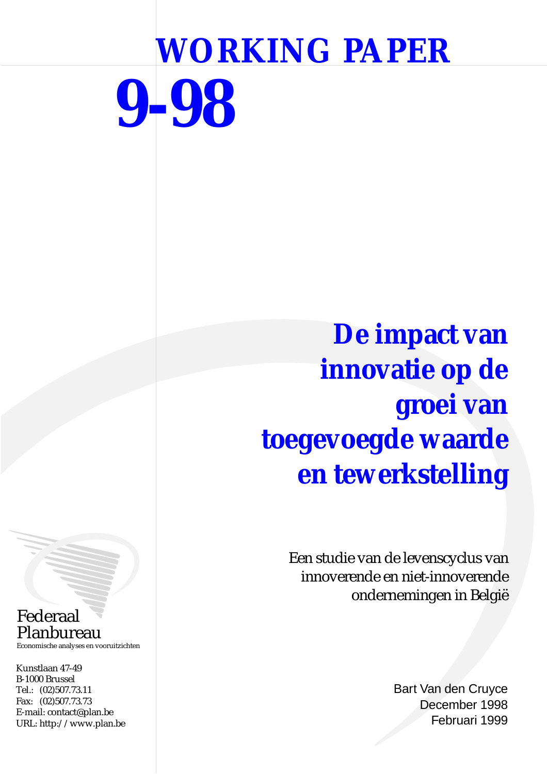# **WORKING PAPER 9-98**

**De impact van innovatie op de groei van toegevoegde waarde en tewerkstelling**

> Een studie van de levenscyclus van innoverende en niet-innoverende ondernemingen in België

> > Bart Van den Cruyce December 1998 Februari 1999

# Federaal Planbureau

Economische analyses en vooruitzichten

Kunstlaan 47-49 B-1000 Brussel Tel.: (02)507.73.11 Fax: (02)507.73.73 E-mail: contact@plan.be URL: http://www.plan.be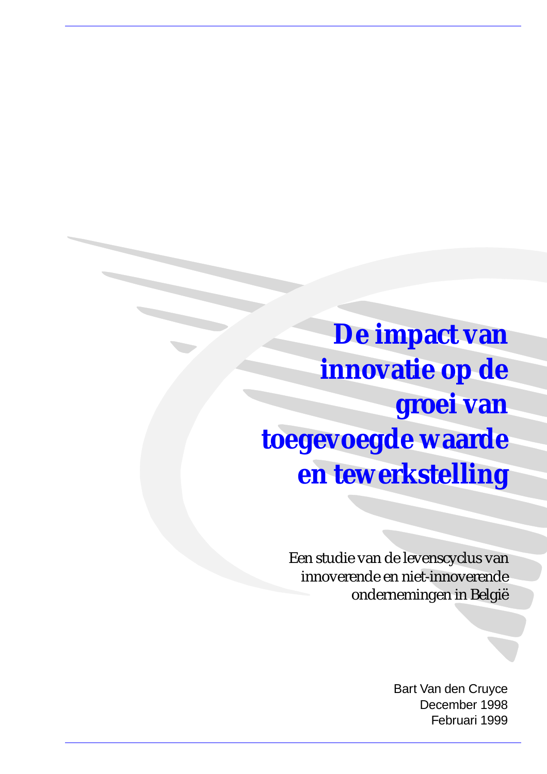**De impact van innovatie op de groei van toegevoegde waarde en tewerkstelling**

> Een studie van de levenscyclus van innoverende en niet-innoverende ondernemingen in België

> > Bart Van den Cruyce December 1998 Februari 1999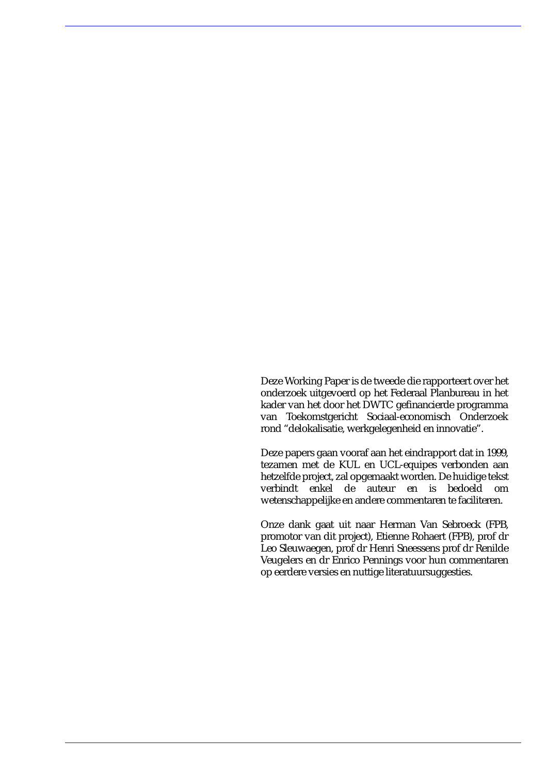Deze Working Paper is de tweede die rapporteert over het onderzoek uitgevoerd op het Federaal Planbureau in het kader van het door het DWTC gefinancierde programma van Toekomstgericht Sociaal-economisch Onderzoek rond "delokalisatie, werkgelegenheid en innovatie".

Deze papers gaan vooraf aan het eindrapport dat in 1999, tezamen met de KUL en UCL-equipes verbonden aan hetzelfde project, zal opgemaakt worden. De huidige tekst verbindt enkel de auteur en is bedoeld om wetenschappelijke en andere commentaren te faciliteren.

Onze dank gaat uit naar Herman Van Sebroeck (FPB, promotor van dit project), Etienne Rohaert (FPB), prof dr Leo Sleuwaegen, prof dr Henri Sneessens prof dr Renilde Veugelers en dr Enrico Pennings voor hun commentaren op eerdere versies en nuttige literatuursuggesties.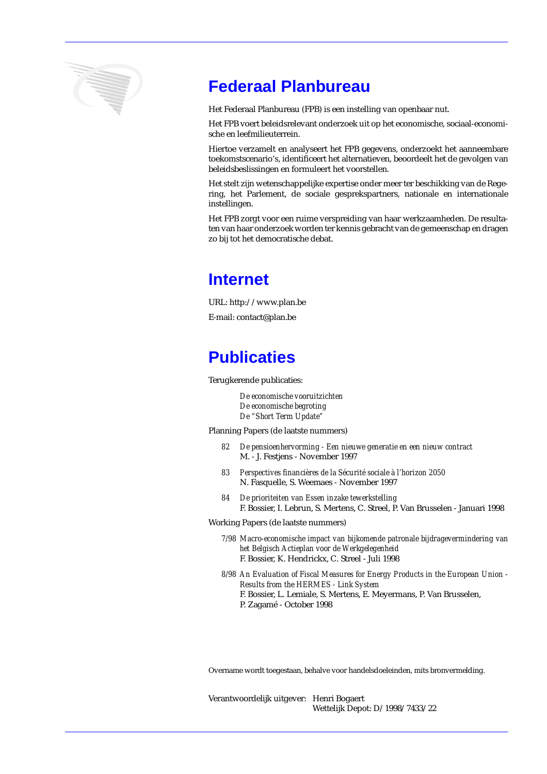

# **Federaal Planbureau**

Het Federaal Planbureau (FPB) is een instelling van openbaar nut.

Het FPB voert beleidsrelevant onderzoek uit op het economische, sociaal-economische en leefmilieuterrein.

Hiertoe verzamelt en analyseert het FPB gegevens, onderzoekt het aanneembare toekomstscenario's, identificeert het alternatieven, beoordeelt het de gevolgen van beleidsbeslissingen en formuleert het voorstellen.

Het stelt zijn wetenschappelijke expertise onder meer ter beschikking van de Regering, het Parlement, de sociale gesprekspartners, nationale en internationale instellingen.

Het FPB zorgt voor een ruime verspreiding van haar werkzaamheden. De resultaten van haar onderzoek worden ter kennis gebracht van de gemeenschap en dragen zo bij tot het democratische debat.

## **Internet**

URL: http://www.plan.be E-mail: contact@plan.be

# **Publicaties**

Terugkerende publicaties:

*De economische vooruitzichten De economische begroting De "Short Term Update"*

Planning Papers (de laatste nummers)

- *82 De pensioenhervorming Een nieuwe generatie en een nieuw contract* M. - J. Festjens - November 1997
- *83 Perspectives financières de la Sécurité sociale à l'horizon 2050* N. Fasquelle, S. Weemaes - November 1997
- *84 De prioriteiten van Essen inzake tewerkstelling* F. Bossier, I. Lebrun, S. Mertens, C. Streel, P. Van Brusselen - Januari 1998

Working Papers (de laatste nummers)

*7/98 Macro-economische impact van bijkomende patronale bijdragevermindering van het Belgisch Actieplan voor de Werkgelegenheid* F. Bossier, K. Hendrickx, C. Streel - Juli 1998

*8/98 An Evaluation of Fiscal Measures for Energy Products in the European Union - Results from the HERMES - Link System* F. Bossier, L. Lemiale, S. Mertens, E. Meyermans, P. Van Brusselen, P. Zagamé - October 1998

Overname wordt toegestaan, behalve voor handelsdoeleinden, mits bronvermelding.

Verantwoordelijk uitgever: Henri Bogaert Wettelijk Depot: D/1998/7433/22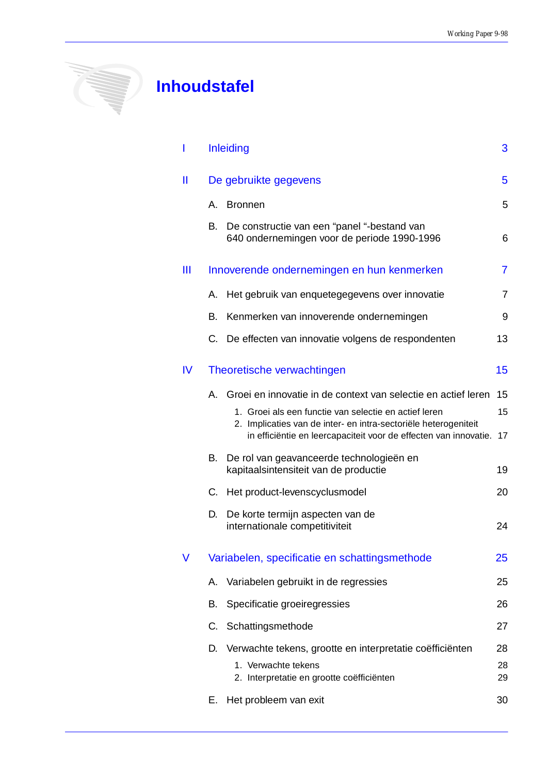

# **Inhoudstafel**

| I   |    | <b>Inleiding</b>                                                                                                                                                                             | 3              |  |  |  |
|-----|----|----------------------------------------------------------------------------------------------------------------------------------------------------------------------------------------------|----------------|--|--|--|
| Ш   |    | De gebruikte gegevens                                                                                                                                                                        |                |  |  |  |
|     |    | A. Bronnen                                                                                                                                                                                   | 5              |  |  |  |
|     | В. | De constructie van een "panel "-bestand van<br>640 ondernemingen voor de periode 1990-1996                                                                                                   | 6              |  |  |  |
| Ш   |    | Innoverende ondernemingen en hun kenmerken                                                                                                                                                   | $\overline{7}$ |  |  |  |
|     | А. | Het gebruik van enquetegegevens over innovatie                                                                                                                                               | 7              |  |  |  |
|     | В. | Kenmerken van innoverende ondernemingen                                                                                                                                                      | 9              |  |  |  |
|     |    | C. De effecten van innovatie volgens de respondenten                                                                                                                                         | 13             |  |  |  |
| IV. |    | Theoretische verwachtingen                                                                                                                                                                   | 15             |  |  |  |
|     | A. | Groei en innovatie in de context van selectie en actief leren                                                                                                                                | 15             |  |  |  |
|     |    | 1. Groei als een functie van selectie en actief leren<br>2. Implicaties van de inter- en intra-sectoriële heterogeniteit<br>in efficiëntie en leercapaciteit voor de effecten van innovatie. | 15<br>17       |  |  |  |
|     | В. | De rol van geavanceerde technologieën en<br>kapitaalsintensiteit van de productie                                                                                                            | 19             |  |  |  |
|     | C. | Het product-levenscyclusmodel                                                                                                                                                                | 20             |  |  |  |
|     | D. | De korte termijn aspecten van de<br>internationale competitiviteit                                                                                                                           | 24             |  |  |  |
| V   |    | Variabelen, specificatie en schattingsmethode                                                                                                                                                | 25             |  |  |  |
|     | А. | Variabelen gebruikt in de regressies                                                                                                                                                         | 25             |  |  |  |
|     | В. | Specificatie groeiregressies                                                                                                                                                                 | 26             |  |  |  |
|     | C. | Schattingsmethode                                                                                                                                                                            | 27             |  |  |  |
|     | D. | Verwachte tekens, grootte en interpretatie coëfficiënten                                                                                                                                     | 28             |  |  |  |
|     |    | 1. Verwachte tekens<br>2. Interpretatie en grootte coëfficiënten                                                                                                                             | 28<br>29       |  |  |  |
|     | Е. | Het probleem van exit                                                                                                                                                                        | 30             |  |  |  |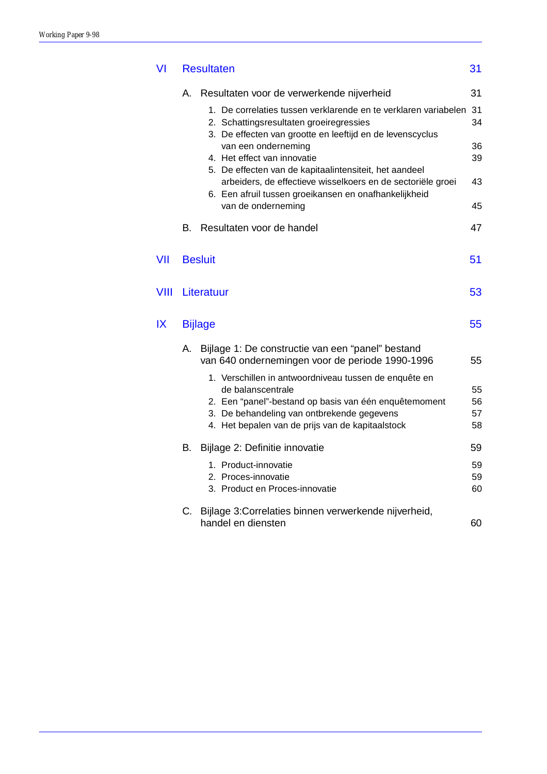| VI          | <b>Resultaten</b> |                                                                                                                                                                                |          |  |  |
|-------------|-------------------|--------------------------------------------------------------------------------------------------------------------------------------------------------------------------------|----------|--|--|
|             | А.                | Resultaten voor de verwerkende nijverheid                                                                                                                                      | 31       |  |  |
|             |                   | 1. De correlaties tussen verklarende en te verklaren variabelen<br>2. Schattingsresultaten groeiregressies<br>3. De effecten van grootte en leeftijd en de levenscyclus        | 31<br>34 |  |  |
|             |                   | van een onderneming<br>4. Het effect van innovatie                                                                                                                             | 36<br>39 |  |  |
|             |                   | 5. De effecten van de kapitaalintensiteit, het aandeel<br>arbeiders, de effectieve wisselkoers en de sectoriële groei<br>6. Een afruil tussen groeikansen en onafhankelijkheid | 43       |  |  |
|             |                   | van de onderneming                                                                                                                                                             | 45       |  |  |
|             | В.                | Resultaten voor de handel                                                                                                                                                      | 47       |  |  |
| VII         |                   | <b>Besluit</b>                                                                                                                                                                 | 51       |  |  |
| <b>VIII</b> |                   | Literatuur                                                                                                                                                                     | 53       |  |  |
| IX          |                   | <b>Bijlage</b>                                                                                                                                                                 | 55       |  |  |
|             | А.                | Bijlage 1: De constructie van een "panel" bestand<br>van 640 ondernemingen voor de periode 1990-1996                                                                           | 55       |  |  |
|             |                   | 1. Verschillen in antwoordniveau tussen de enquête en                                                                                                                          |          |  |  |
|             |                   | de balanscentrale<br>2. Een "panel"-bestand op basis van één enquêtemoment                                                                                                     | 55<br>56 |  |  |
|             |                   | 3. De behandeling van ontbrekende gegevens                                                                                                                                     | 57       |  |  |
|             |                   | 4. Het bepalen van de prijs van de kapitaalstock                                                                                                                               | 58       |  |  |
|             | В.                | Bijlage 2: Definitie innovatie                                                                                                                                                 | 59       |  |  |
|             |                   | 1. Product-innovatie                                                                                                                                                           | 59       |  |  |
|             |                   | 2. Proces-innovatie<br>3. Product en Proces-innovatie                                                                                                                          | 59<br>60 |  |  |
|             | C.                | Bijlage 3: Correlaties binnen verwerkende nijverheid,                                                                                                                          |          |  |  |
|             |                   | handel en diensten                                                                                                                                                             | 60       |  |  |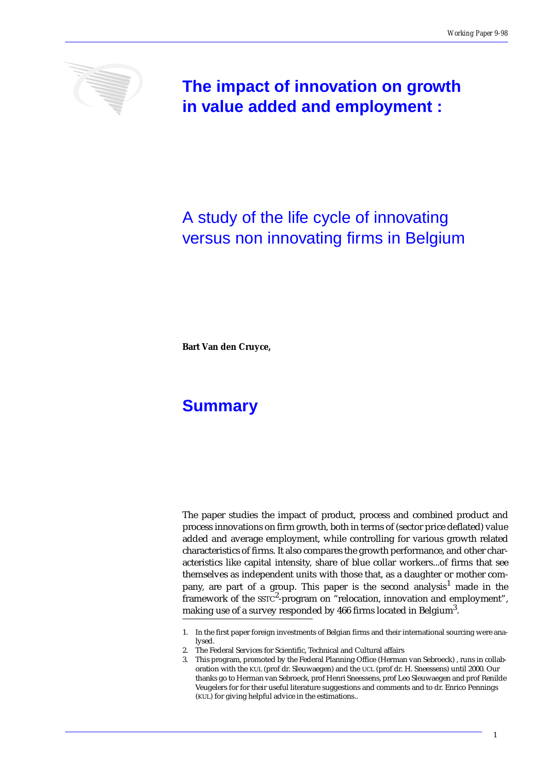

**The impact of innovation on growth in value added and employment :** 

# A study of the life cycle of innovating versus non innovating firms in Belgium

**Bart Van den Cruyce,** 

# **Summary**

The paper studies the impact of product, process and combined product and process innovations on firm growth, both in terms of (sector price deflated) value added and average employment, while controlling for various growth related characteristics of firms. It also compares the growth performance, and other characteristics like capital intensity, share of blue collar workers...of firms that see themselves as independent units with those that, as a daughter or mother company, are part of a group. This paper is the second analysis<sup>1</sup> made in the framework of the  $\mathrm{ssrc}^2$ -program on "relocation, innovation and employment", making use of a survey responded by 466 firms located in Belgium<sup>3</sup>.

<sup>1.</sup> In the first paper foreign investments of Belgian firms and their international sourcing were analysed.

<sup>2.</sup> The Federal Services for Scientific, Technical and Cultural affairs

<sup>3.</sup> This program, promoted by the Federal Planning Office (Herman van Sebroeck) , runs in collaboration with the KUL (prof dr. Sleuwaegen) and the UCL (prof dr. H. Sneessens) until 2000. Our thanks go to Herman van Sebroeck, prof Henri Sneessens, prof Leo Sleuwaegen and prof Renilde Veugelers for for their useful literature suggestions and comments and to dr. Enrico Pennings (KUL) for giving helpful advice in the estimations..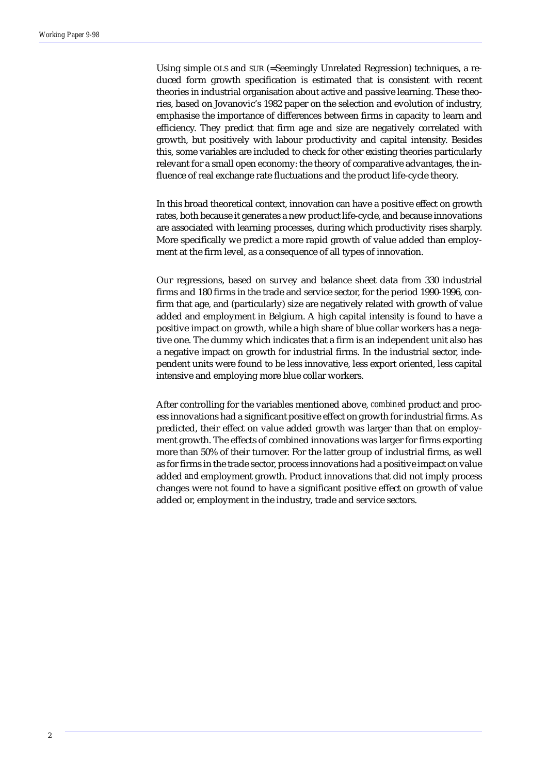Using simple OLS and SUR (=Seemingly Unrelated Regression) techniques, a reduced form growth specification is estimated that is consistent with recent theories in industrial organisation about active and passive learning. These theories, based on Jovanovic's 1982 paper on the selection and evolution of industry, emphasise the importance of differences between firms in capacity to learn and efficiency. They predict that firm age and size are negatively correlated with growth, but positively with labour productivity and capital intensity. Besides this, some variables are included to check for other existing theories particularly relevant for a small open economy: the theory of comparative advantages, the influence of real exchange rate fluctuations and the product life-cycle theory.

In this broad theoretical context, innovation can have a positive effect on growth rates, both because it generates a new product life-cycle, and because innovations are associated with learning processes, during which productivity rises sharply. More specifically we predict a more rapid growth of value added than employment at the firm level, as a consequence of all types of innovation.

Our regressions, based on survey and balance sheet data from 330 industrial firms and 180 firms in the trade and service sector, for the period 1990-1996, confirm that age, and (particularly) size are negatively related with growth of value added and employment in Belgium. A high capital intensity is found to have a positive impact on growth, while a high share of blue collar workers has a negative one. The dummy which indicates that a firm is an independent unit also has a negative impact on growth for industrial firms. In the industrial sector, independent units were found to be less innovative, less export oriented, less capital intensive and employing more blue collar workers.

After controlling for the variables mentioned above, *combined* product and process innovations had a significant positive effect on growth for industrial firms. As predicted, their effect on value added growth was larger than that on employment growth. The effects of combined innovations was larger for firms exporting more than 50% of their turnover. For the latter group of industrial firms, as well as for firms in the trade sector, process innovations had a positive impact on value added *and* employment growth. Product innovations that did not imply process changes were not found to have a significant positive effect on growth of value added or, employment in the industry, trade and service sectors.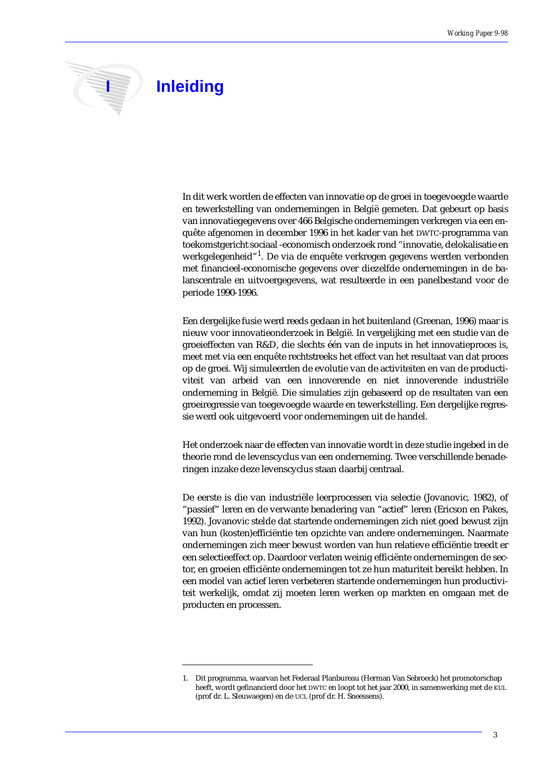

# **I** Inleiding

In dit werk worden de effecten van innovatie op de groei in toegevoegde waarde en tewerkstelling van ondernemingen in België gemeten. Dat gebeurt op basis van innovatiegegevens over 466 Belgische ondernemingen verkregen via een enquête afgenomen in december 1996 in het kader van het DWTC-programma van toekomstgericht sociaal -economisch onderzoek rond "innovatie, delokalisatie en werkgelegenheid"<sup>1</sup>. De via de enquête verkregen gegevens werden verbonden met financieel-economische gegevens over diezelfde ondernemingen in de balanscentrale en uitvoergegevens, wat resulteerde in een panelbestand voor de periode 1990-1996.

Een dergelijke fusie werd reeds gedaan in het buitenland (Greenan, 1996) maar is nieuw voor innovatieonderzoek in België. In vergelijking met een studie van de groeieffecten van R&D, die slechts één van de inputs in het innovatieproces is, meet met via een enquête rechtstreeks het effect van het resultaat van dat proces op de groei. Wij simuleerden de evolutie van de activiteiten en van de productiviteit van arbeid van een innoverende en niet innoverende industriële onderneming in België. Die simulaties zijn gebaseerd op de resultaten van een groeiregressie van toegevoegde waarde en tewerkstelling. Een dergelijke regressie werd ook uitgevoerd voor ondernemingen uit de handel.

Het onderzoek naar de effecten van innovatie wordt in deze studie ingebed in de theorie rond de levenscyclus van een onderneming. Twee verschillende benaderingen inzake deze levenscyclus staan daarbij centraal.

De eerste is die van industriële leerprocessen via selectie (Jovanovic, 1982), of "passief" leren en de verwante benadering van "actief" leren (Ericson en Pakes, 1992). Jovanovic stelde dat startende ondernemingen zich niet goed bewust zijn van hun (kosten)efficiëntie ten opzichte van andere ondernemingen. Naarmate ondernemingen zich meer bewust worden van hun relatieve efficiëntie treedt er een selectieeffect op. Daardoor verlaten weinig efficiënte ondernemingen de sector, en groeien efficiënte ondernemingen tot ze hun maturiteit bereikt hebben. In een model van actief leren verbeteren startende ondernemingen hun productiviteit werkelijk, omdat zij moeten leren werken op markten en omgaan met de producten en processen.

<sup>1.</sup> Dit programma, waarvan het Federaal Planbureau (Herman Van Sebroeck) het promotorschap heeft, wordt gefinancierd door het DWTC en loopt tot het jaar 2000, in samenwerking met de KUL (prof dr. L. Sleuwaegen) en de UCL (prof dr. H. Sneessens).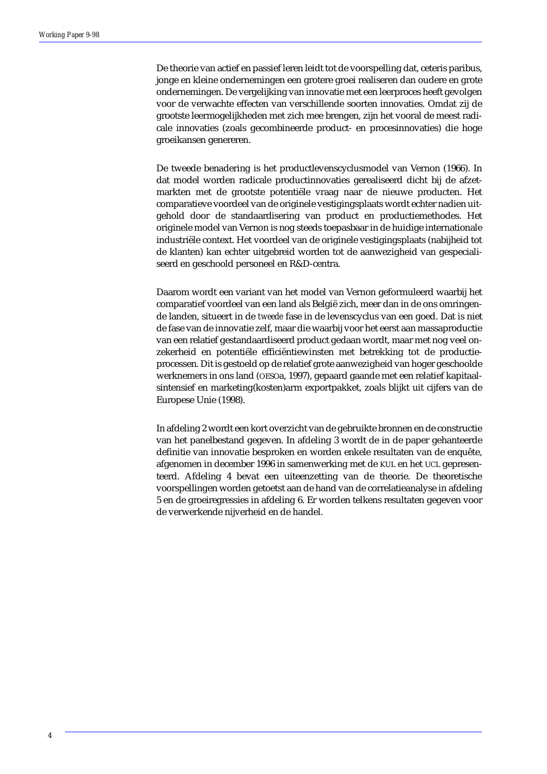De theorie van actief en passief leren leidt tot de voorspelling dat, ceteris paribus, jonge en kleine ondernemingen een grotere groei realiseren dan oudere en grote ondernemingen. De vergelijking van innovatie met een leerproces heeft gevolgen voor de verwachte effecten van verschillende soorten innovaties. Omdat zij de grootste leermogelijkheden met zich mee brengen, zijn het vooral de meest radicale innovaties (zoals gecombineerde product- en procesinnovaties) die hoge groeikansen genereren.

De tweede benadering is het productlevenscyclusmodel van Vernon (1966). In dat model worden radicale productinnovaties gerealiseerd dicht bij de afzetmarkten met de grootste potentiële vraag naar de nieuwe producten. Het comparatieve voordeel van de originele vestigingsplaats wordt echter nadien uitgehold door de standaardisering van product en productiemethodes. Het originele model van Vernon is nog steeds toepasbaar in de huidige internationale industriële context. Het voordeel van de originele vestigingsplaats (nabijheid tot de klanten) kan echter uitgebreid worden tot de aanwezigheid van gespecialiseerd en geschoold personeel en R&D-centra.

Daarom wordt een variant van het model van Vernon geformuleerd waarbij het comparatief voordeel van een land als België zich, meer dan in de ons omringende landen, situeert in de *tweede* fase in de levenscyclus van een goed. Dat is niet de fase van de innovatie zelf, maar die waarbij voor het eerst aan massaproductie van een relatief gestandaardiseerd product gedaan wordt, maar met nog veel onzekerheid en potentiële efficiëntiewinsten met betrekking tot de productieprocessen. Dit is gestoeld op de relatief grote aanwezigheid van hoger geschoolde werknemers in ons land (OESOa, 1997), gepaard gaande met een relatief kapitaalsintensief en marketing(kosten)arm exportpakket, zoals blijkt uit cijfers van de Europese Unie (1998).

In afdeling 2 wordt een kort overzicht van de gebruikte bronnen en de constructie van het panelbestand gegeven. In afdeling 3 wordt de in de paper gehanteerde definitie van innovatie besproken en worden enkele resultaten van de enquête, afgenomen in december 1996 in samenwerking met de KUL en het UCL gepresenteerd. Afdeling 4 bevat een uiteenzetting van de theorie. De theoretische voorspellingen worden getoetst aan de hand van de correlatieanalyse in afdeling 5 en de groeiregressies in afdeling 6. Er worden telkens resultaten gegeven voor de verwerkende nijverheid en de handel.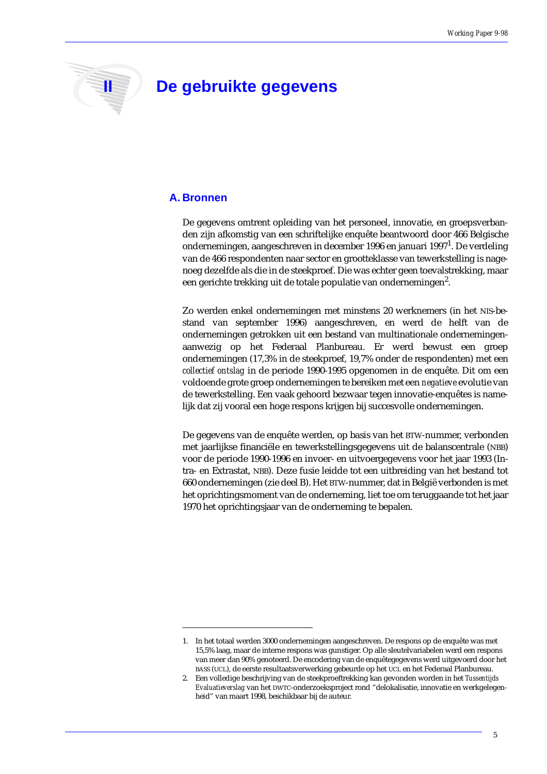

# **II De gebruikte gegevens**

### **A. Bronnen**

De gegevens omtrent opleiding van het personeel, innovatie, en groepsverbanden zijn afkomstig van een schriftelijke enquête beantwoord door 466 Belgische ondernemingen, aangeschreven in december 1996 en januari 1997 $^{\rm 1}$ . De verdeling van de 466 respondenten naar sector en grootteklasse van tewerkstelling is nagenoeg dezelfde als die in de steekproef. Die was echter geen toevalstrekking, maar een gerichte trekking uit de totale populatie van ondernemingen $^2$ .

Zo werden enkel ondernemingen met minstens 20 werknemers (in het NIS-bestand van september 1996) aangeschreven, en werd de helft van de ondernemingen getrokken uit een bestand van multinationale ondernemingenaanwezig op het Federaal Planbureau. Er werd bewust een groep ondernemingen (17,3% in de steekproef, 19,7% onder de respondenten) met een *collectief ontslag* in de periode 1990-1995 opgenomen in de enquête. Dit om een voldoende grote groep ondernemingen te bereiken met een *negatieve* evolutie van de tewerkstelling. Een vaak gehoord bezwaar tegen innovatie-enquêtes is namelijk dat zij vooral een hoge respons krijgen bij succesvolle ondernemingen.

De gegevens van de enquête werden, op basis van het BTW-nummer, verbonden met jaarlijkse financiële en tewerkstellingsgegevens uit de balanscentrale (NBB) voor de periode 1990-1996 en invoer- en uitvoergegevens voor het jaar 1993 (Intra- en Extrastat, NBB). Deze fusie leidde tot een uitbreiding van het bestand tot 660 ondernemingen (zie deel B). Het BTW-nummer, dat in België verbonden is met het oprichtingsmoment van de onderneming, liet toe om teruggaande tot het jaar 1970 het oprichtingsjaar van de onderneming te bepalen.

<sup>1.</sup> In het totaal werden 3000 ondernemingen aangeschreven. De respons op de enquête was met 15,5% laag, maar de interne respons was gunstiger. Op alle sleutelvariabelen werd een respons van meer dan 90% genoteerd. De encodering van de enquêtegegevens werd uitgevoerd door het BASS (UCL), de eerste resultaatsverwerking gebeurde op het UCL en het Federaal Planbureau.

<sup>2.</sup> Een volledige beschrijving van de steekproeftrekking kan gevonden worden in het *Tussentijds Evaluatieverslag* van het DWTC-onderzoeksproject rond "delokalisatie, innovatie en werkgelegenheid" van maart 1998, beschikbaar bij de auteur.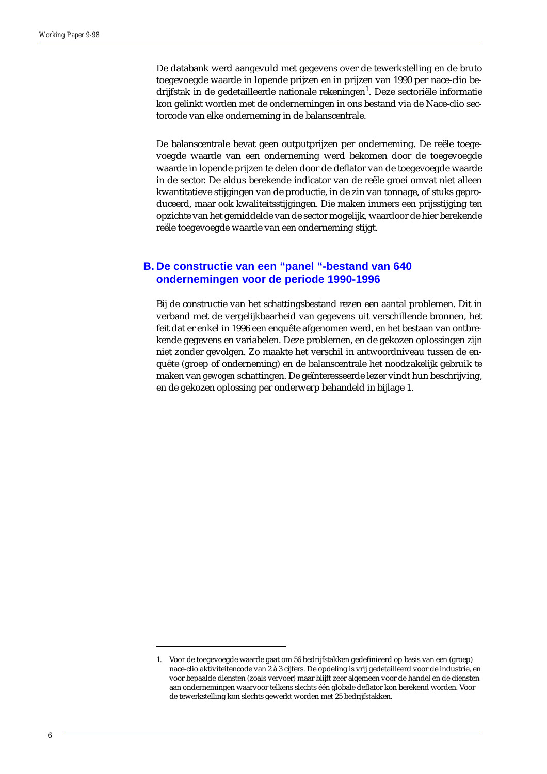De databank werd aangevuld met gegevens over de tewerkstelling en de bruto toegevoegde waarde in lopende prijzen en in prijzen van 1990 per nace-clio bedrijfstak in de gedetailleerde nationale rekeningen<sup>1</sup>. Deze sectoriële informatie kon gelinkt worden met de ondernemingen in ons bestand via de Nace-clio sectorcode van elke onderneming in de balanscentrale.

De balanscentrale bevat geen outputprijzen per onderneming. De reële toegevoegde waarde van een onderneming werd bekomen door de toegevoegde waarde in lopende prijzen te delen door de deflator van de toegevoegde waarde in de sector. De aldus berekende indicator van de reële groei omvat niet alleen kwantitatieve stijgingen van de productie, in de zin van tonnage, of stuks geproduceerd, maar ook kwaliteitsstijgingen. Die maken immers een prijsstijging ten opzichte van het gemiddelde van de sector mogelijk, waardoor de hier berekende reële toegevoegde waarde van een onderneming stijgt.

### **B. De constructie van een "panel "-bestand van 640 ondernemingen voor de periode 1990-1996**

Bij de constructie van het schattingsbestand rezen een aantal problemen. Dit in verband met de vergelijkbaarheid van gegevens uit verschillende bronnen, het feit dat er enkel in 1996 een enquête afgenomen werd, en het bestaan van ontbrekende gegevens en variabelen. Deze problemen, en de gekozen oplossingen zijn niet zonder gevolgen. Zo maakte het verschil in antwoordniveau tussen de enquête (groep of onderneming) en de balanscentrale het noodzakelijk gebruik te maken van *gewogen* schattingen. De geïnteresseerde lezer vindt hun beschrijving, en de gekozen oplossing per onderwerp behandeld in bijlage 1.

<sup>1.</sup> Voor de toegevoegde waarde gaat om 56 bedrijfstakken gedefinieerd op basis van een (groep) nace-clio aktiviteitencode van 2 à 3 cijfers. De opdeling is vrij gedetailleerd voor de industrie, en voor bepaalde diensten (zoals vervoer) maar blijft zeer algemeen voor de handel en de diensten aan ondernemingen waarvoor telkens slechts één globale deflator kon berekend worden. Voor de tewerkstelling kon slechts gewerkt worden met 25 bedrijfstakken.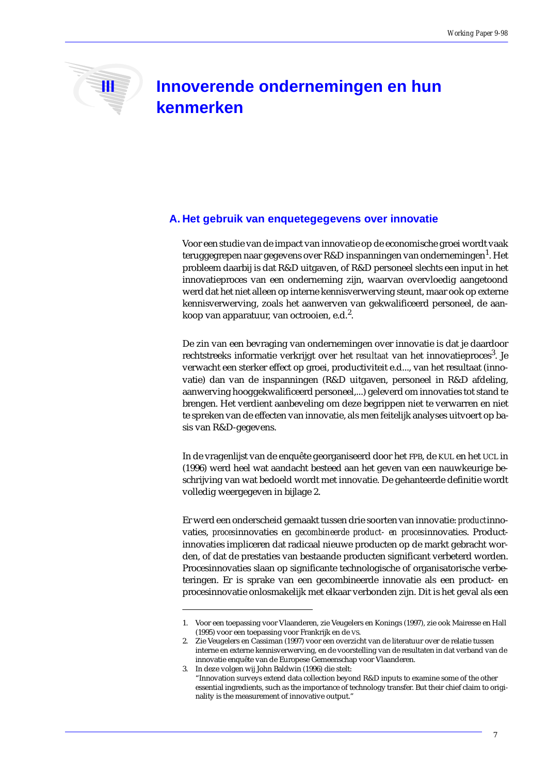# **III** Innoverende ondernemingen en hun **kenmerken**

### **A. Het gebruik van enquetegegevens over innovatie**

Voor een studie van de impact van innovatie op de economische groei wordt vaak teruggegrepen naar gegevens over R&D inspanningen van ondernemingen<sup>1</sup>. Het probleem daarbij is dat R&D uitgaven, of R&D personeel slechts een input in het innovatieproces van een onderneming zijn, waarvan overvloedig aangetoond werd dat het niet alleen op interne kennisverwerving steunt, maar ook op externe kennisverwerving, zoals het aanwerven van gekwalificeerd personeel, de aankoop van apparatuur, van octrooien, e.d. $^2$ .

De zin van een bevraging van ondernemingen over innovatie is dat je daardoor rechtstreeks informatie verkrijgt over het *resultaat* van het innovatieproces<sup>3</sup>. Je verwacht een sterker effect op groei, productiviteit e.d..., van het resultaat (innovatie) dan van de inspanningen (R&D uitgaven, personeel in R&D afdeling, aanwerving hooggekwalificeerd personeel,...) geleverd om innovaties tot stand te brengen. Het verdient aanbeveling om deze begrippen niet te verwarren en niet te spreken van de effecten van innovatie, als men feitelijk analyses uitvoert op basis van R&D-gegevens.

In de vragenlijst van de enquête georganiseerd door het FPB, de KUL en het UCL in (1996) werd heel wat aandacht besteed aan het geven van een nauwkeurige beschrijving van wat bedoeld wordt met innovatie. De gehanteerde definitie wordt volledig weergegeven in bijlage 2.

Er werd een onderscheid gemaakt tussen drie soorten van innovatie: *product*innovaties, *proces*innovaties en *gecombineerde product- en proces*innovaties. Productinnovaties impliceren dat radicaal nieuwe producten op de markt gebracht worden, of dat de prestaties van bestaande producten significant verbeterd worden. Procesinnovaties slaan op significante technologische of organisatorische verbeteringen. Er is sprake van een gecombineerde innovatie als een product- en procesinnovatie onlosmakelijk met elkaar verbonden zijn. Dit is het geval als een

<sup>1.</sup> Voor een toepassing voor Vlaanderen, zie Veugelers en Konings (1997), zie ook Mairesse en Hall (1995) voor een toepassing voor Frankrijk en de VS.

<sup>2.</sup> Zie Veugelers en Cassiman (1997) voor een overzicht van de literatuur over de relatie tussen interne en externe kennisverwerving, en de voorstelling van de resultaten in dat verband van de innovatie enquête van de Europese Gemeenschap voor Vlaanderen.

<sup>3.</sup> In deze volgen wij John Baldwin (1996) die stelt:

<sup>&</sup>quot;Innovation surveys extend data collection beyond R&D inputs to examine some of the other essential ingredients, such as the importance of technology transfer. But their chief claim to originality is the measurement of innovative output."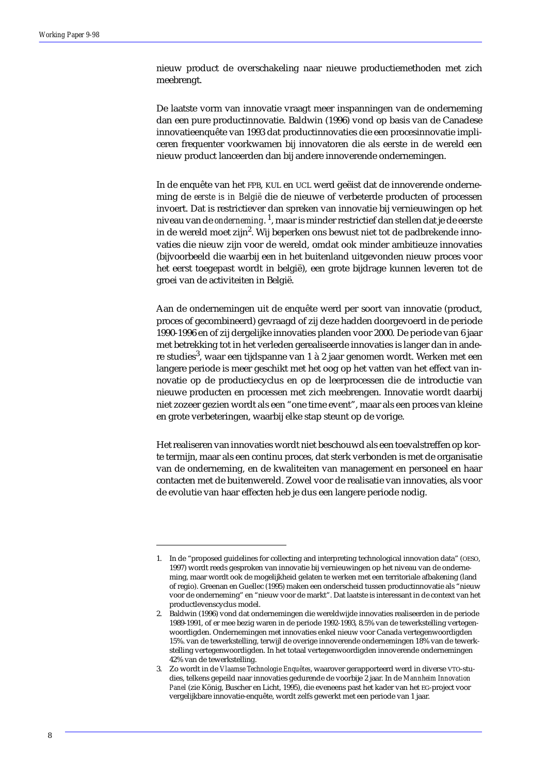nieuw product de overschakeling naar nieuwe productiemethoden met zich meebrengt.

De laatste vorm van innovatie vraagt meer inspanningen van de onderneming dan een pure productinnovatie. Baldwin (1996) vond op basis van de Canadese innovatieenquête van 1993 dat productinnovaties die een procesinnovatie impliceren frequenter voorkwamen bij innovatoren die als eerste in de wereld een nieuw product lanceerden dan bij andere innoverende ondernemingen.

In de enquête van het FPB, KUL en UCL werd geëist dat de innoverende onderneming de *eerste is in België* die de nieuwe of verbeterde producten of processen invoert. Dat is restrictiever dan spreken van innovatie bij vernieuwingen op het niveau van de *onderneming*. 1, maar is minder restrictief dan stellen dat je de eerste in de wereld moet zijn $^2$ . Wij beperken ons bewust niet tot de padbrekende innovaties die nieuw zijn voor de wereld, omdat ook minder ambitieuze innovaties (bijvoorbeeld die waarbij een in het buitenland uitgevonden nieuw proces voor het eerst toegepast wordt in belgië), een grote bijdrage kunnen leveren tot de groei van de activiteiten in België.

Aan de ondernemingen uit de enquête werd per soort van innovatie (product, proces of gecombineerd) gevraagd of zij deze hadden doorgevoerd in de periode 1990-1996 en of zij dergelijke innovaties planden voor 2000. De periode van 6 jaar met betrekking tot in het verleden gerealiseerde innovaties is langer dan in andere studies<sup>3</sup>, waar een tijdspanne van 1 à 2 jaar genomen wordt. Werken met een langere periode is meer geschikt met het oog op het vatten van het effect van innovatie op de productiecyclus en op de leerprocessen die de introductie van nieuwe producten en processen met zich meebrengen. Innovatie wordt daarbij niet zozeer gezien wordt als een "one time event", maar als een proces van kleine en grote verbeteringen, waarbij elke stap steunt op de vorige.

Het realiseren van innovaties wordt niet beschouwd als een toevalstreffen op korte termijn, maar als een continu proces, dat sterk verbonden is met de organisatie van de onderneming, en de kwaliteiten van management en personeel en haar contacten met de buitenwereld. Zowel voor de realisatie van innovaties, als voor de evolutie van haar effecten heb je dus een langere periode nodig.

<sup>1.</sup> In de "proposed guidelines for collecting and interpreting technological innovation data" (OESO, 1997) wordt reeds gesproken van innovatie bij vernieuwingen op het niveau van de onderneming, maar wordt ook de mogelijkheid gelaten te werken met een territoriale afbakening (land of regio). Greenan en Guellec (1995) maken een onderscheid tussen productinnovatie als "nieuw voor de onderneming" en "nieuw voor de markt". Dat laatste is interessant in de context van het productlevenscyclus model.

<sup>2.</sup> Baldwin (1996) vond dat ondernemingen die wereldwijde innovaties realiseerden in de periode 1989-1991, of er mee bezig waren in de periode 1992-1993, 8.5% van de tewerkstelling vertegenwoordigden. Ondernemingen met innovaties enkel nieuw voor Canada vertegenwoordigden 15%. van de tewerkstelling, terwijl de overige innoverende ondernemingen 18% van de tewerkstelling vertegenwoordigden. In het totaal vertegenwoordigden innoverende ondernemingen 42% van de tewerkstelling.

<sup>3.</sup> Zo wordt in de *Vlaamse Technologie Enquêtes*, waarover gerapporteerd werd in diverse VTO-studies, telkens gepeild naar innovaties gedurende de voorbije 2 jaar. In de *Mannheim Innovation Panel* (zie König, Buscher en Licht, 1995), die eveneens past het kader van het EG-project voor vergelijkbare innovatie-enquête, wordt zelfs gewerkt met een periode van 1 jaar.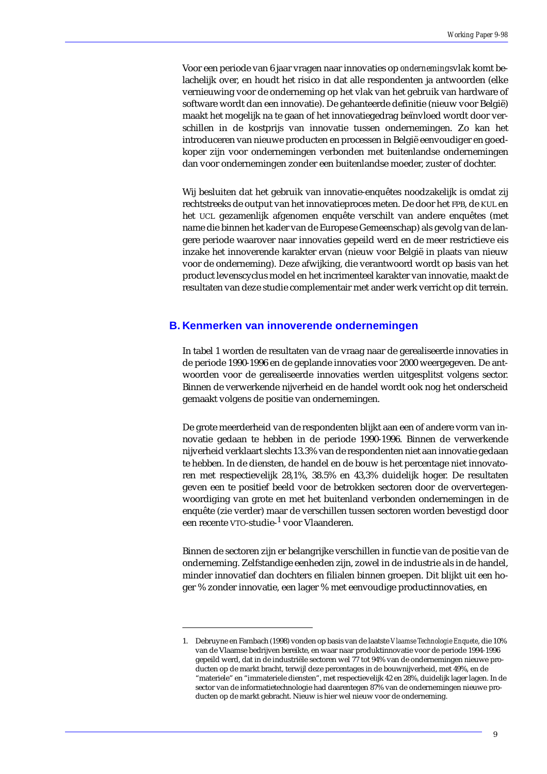Voor een periode van 6 jaar vragen naar innovaties op *ondernemings*vlak komt belachelijk over, en houdt het risico in dat alle respondenten ja antwoorden (elke vernieuwing voor de onderneming op het vlak van het gebruik van hardware of software wordt dan een innovatie). De gehanteerde definitie (nieuw voor België) maakt het mogelijk na te gaan of het innovatiegedrag beïnvloed wordt door verschillen in de kostprijs van innovatie tussen ondernemingen. Zo kan het introduceren van nieuwe producten en processen in België eenvoudiger en goedkoper zijn voor ondernemingen verbonden met buitenlandse ondernemingen dan voor ondernemingen zonder een buitenlandse moeder, zuster of dochter.

Wij besluiten dat het gebruik van innovatie-enquêtes noodzakelijk is omdat zij rechtstreeks de output van het innovatieproces meten. De door het FPB, de KUL en het UCL gezamenlijk afgenomen enquête verschilt van andere enquêtes (met name die binnen het kader van de Europese Gemeenschap) als gevolg van de langere periode waarover naar innovaties gepeild werd en de meer restrictieve eis inzake het innoverende karakter ervan (nieuw voor België in plaats van nieuw voor de onderneming). Deze afwijking, die verantwoord wordt op basis van het product levenscyclus model en het incrimenteel karakter van innovatie, maakt de resultaten van deze studie complementair met ander werk verricht op dit terrein.

### **B. Kenmerken van innoverende ondernemingen**

In tabel 1 worden de resultaten van de vraag naar de gerealiseerde innovaties in de periode 1990-1996 en de geplande innovaties voor 2000 weergegeven. De antwoorden voor de gerealiseerde innovaties werden uitgesplitst volgens sector. Binnen de verwerkende nijverheid en de handel wordt ook nog het onderscheid gemaakt volgens de positie van ondernemingen.

De grote meerderheid van de respondenten blijkt aan een of andere vorm van innovatie gedaan te hebben in de periode 1990-1996. Binnen de verwerkende nijverheid verklaart slechts 13.3% van de respondenten niet aan innovatie gedaan te hebben. In de diensten, de handel en de bouw is het percentage niet innovatoren met respectievelijk 28,1%, 38.5% en 43,3% duidelijk hoger. De resultaten geven een te positief beeld voor de betrokken sectoren door de oververtegenwoordiging van grote en met het buitenland verbonden ondernemingen in de enquête (zie verder) maar de verschillen tussen sectoren worden bevestigd door een recente VTO-studie-<sup>1</sup> voor Vlaanderen.

Binnen de sectoren zijn er belangrijke verschillen in functie van de positie van de onderneming. Zelfstandige eenheden zijn, zowel in de industrie als in de handel, minder innovatief dan dochters en filialen binnen groepen. Dit blijkt uit een hoger % zonder innovatie, een lager % met eenvoudige productinnovaties, en

<sup>1.</sup> Debruyne en Fambach (1998) vonden op basis van de laatste *Vlaamse Technologie Enquete*, die 10% van de Vlaamse bedrijven bereikte, en waar naar produktinnovatie voor de periode 1994-1996 gepeild werd, dat in de industriële sectoren wel 77 tot 94% van de ondernemingen nieuwe producten op de markt bracht, terwijl deze percentages in de bouwnijverheid, met 49%, en de "materiele" en "immateriele diensten", met respectievelijk 42 en 28%, duidelijk lager lagen. In de sector van de informatietechnologie had daarentegen 87% van de ondernemingen nieuwe producten op de markt gebracht. Nieuw is hier wel nieuw voor de onderneming.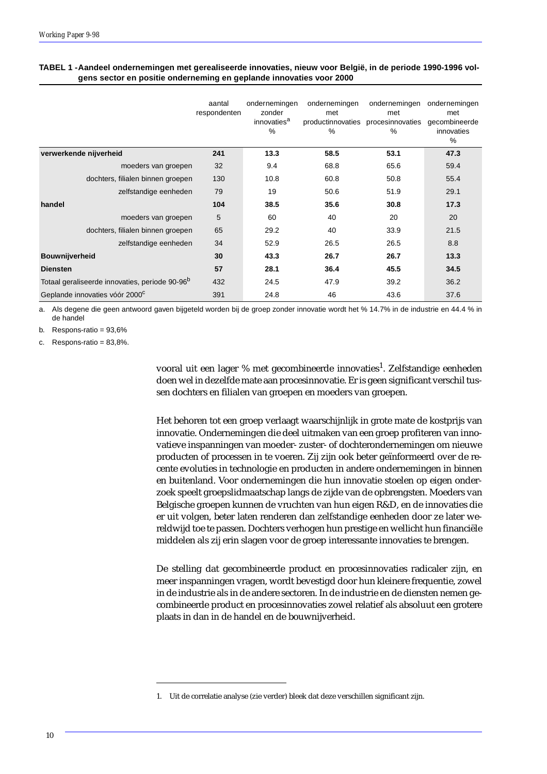|                                                            | aantal<br>respondenten | ondernemingen<br>zonder<br>innovaties <sup>a</sup><br>% | ondernemingen<br>met<br>productinnovaties procesinnovaties<br>$\%$ | ondernemingen<br>met<br>$\%$ | ondernemingen<br>met<br>gecombineerde<br>innovaties<br>% |
|------------------------------------------------------------|------------------------|---------------------------------------------------------|--------------------------------------------------------------------|------------------------------|----------------------------------------------------------|
| verwerkende nijverheid                                     | 241                    | 13.3                                                    | 58.5                                                               | 53.1                         | 47.3                                                     |
| moeders van groepen                                        | 32                     | 9.4                                                     | 68.8                                                               | 65.6                         | 59.4                                                     |
| dochters, filialen binnen groepen                          | 130                    | 10.8                                                    | 60.8                                                               | 50.8                         | 55.4                                                     |
| zelfstandige eenheden                                      | 79                     | 19                                                      | 50.6                                                               | 51.9                         | 29.1                                                     |
| handel                                                     | 104                    | 38.5                                                    | 35.6                                                               | 30.8                         | 17.3                                                     |
| moeders van groepen                                        | 5                      | 60                                                      | 40                                                                 | 20                           | 20                                                       |
| dochters, filialen binnen groepen                          | 65                     | 29.2                                                    | 40                                                                 | 33.9                         | 21.5                                                     |
| zelfstandige eenheden                                      | 34                     | 52.9                                                    | 26.5                                                               | 26.5                         | 8.8                                                      |
| Bouwnijverheid                                             | 30                     | 43.3                                                    | 26.7                                                               | 26.7                         | 13.3                                                     |
| <b>Diensten</b>                                            | 57                     | 28.1                                                    | 36.4                                                               | 45.5                         | 34.5                                                     |
| Totaal geraliseerde innovaties, periode 90-96 <sup>b</sup> | 432                    | 24.5                                                    | 47.9                                                               | 39.2                         | 36.2                                                     |
| Geplande innovaties vóór 2000 <sup>c</sup>                 | 391                    | 24.8                                                    | 46                                                                 | 43.6                         | 37.6                                                     |

### **TABEL 1 -Aandeel ondernemingen met gerealiseerde innovaties, nieuw voor België, in de periode 1990-1996 volgens sector en positie onderneming en geplande innovaties voor 2000**

a. Als degene die geen antwoord gaven bijgeteld worden bij de groep zonder innovatie wordt het % 14.7% in de industrie en 44.4 % in de handel

b. Respons-ratio = 93,6%

c. Respons-ratio =  $83,8\%$ .

vooral uit een lager % met gecombineerde innovaties<sup>1</sup>. Zelfstandige eenheden doen wel in dezelfde mate aan procesinnovatie. Er is geen significant verschil tussen dochters en filialen van groepen en moeders van groepen.

Het behoren tot een groep verlaagt waarschijnlijk in grote mate de kostprijs van innovatie. Ondernemingen die deel uitmaken van een groep profiteren van innovatieve inspanningen van moeder- zuster- of dochterondernemingen om nieuwe producten of processen in te voeren. Zij zijn ook beter geïnformeerd over de recente evoluties in technologie en producten in andere ondernemingen in binnen en buitenland. Voor ondernemingen die hun innovatie stoelen op eigen onderzoek speelt groepslidmaatschap langs de zijde van de opbrengsten. Moeders van Belgische groepen kunnen de vruchten van hun eigen R&D, en de innovaties die er uit volgen, beter laten renderen dan zelfstandige eenheden door ze later wereldwijd toe te passen. Dochters verhogen hun prestige en wellicht hun financiële middelen als zij erin slagen voor de groep interessante innovaties te brengen.

De stelling dat gecombineerde product en procesinnovaties radicaler zijn, en meer inspanningen vragen, wordt bevestigd door hun kleinere frequentie, zowel in de industrie als in de andere sectoren. In de industrie en de diensten nemen gecombineerde product en procesinnovaties zowel relatief als absoluut een grotere plaats in dan in de handel en de bouwnijverheid.

<sup>1.</sup> Uit de correlatie analyse (zie verder) bleek dat deze verschillen significant zijn.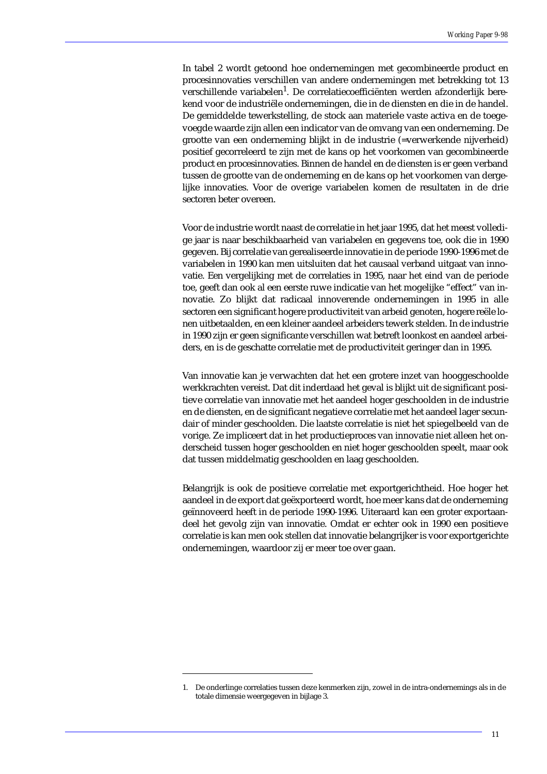In tabel 2 wordt getoond hoe ondernemingen met gecombineerde product en procesinnovaties verschillen van andere ondernemingen met betrekking tot 13 verschillende variabelen<sup>1</sup>. De correlatiecoefficiënten werden afzonderlijk berekend voor de industriële ondernemingen, die in de diensten en die in de handel. De gemiddelde tewerkstelling, de stock aan materiele vaste activa en de toegevoegde waarde zijn allen een indicator van de omvang van een onderneming. De grootte van een onderneming blijkt in de industrie (=verwerkende nijverheid) positief gecorreleerd te zijn met de kans op het voorkomen van gecombineerde product en procesinnovaties. Binnen de handel en de diensten is er geen verband tussen de grootte van de onderneming en de kans op het voorkomen van dergelijke innovaties. Voor de overige variabelen komen de resultaten in de drie sectoren beter overeen.

Voor de industrie wordt naast de correlatie in het jaar 1995, dat het meest volledige jaar is naar beschikbaarheid van variabelen en gegevens toe, ook die in 1990 gegeven. Bij correlatie van gerealiseerde innovatie in de periode 1990-1996 met de variabelen in 1990 kan men uitsluiten dat het causaal verband uitgaat van innovatie. Een vergelijking met de correlaties in 1995, naar het eind van de periode toe, geeft dan ook al een eerste ruwe indicatie van het mogelijke "effect" van innovatie. Zo blijkt dat radicaal innoverende ondernemingen in 1995 in alle sectoren een significant hogere productiviteit van arbeid genoten, hogere reële lonen uitbetaalden, en een kleiner aandeel arbeiders tewerk stelden. In de industrie in 1990 zijn er geen significante verschillen wat betreft loonkost en aandeel arbeiders, en is de geschatte correlatie met de productiviteit geringer dan in 1995.

Van innovatie kan je verwachten dat het een grotere inzet van hooggeschoolde werkkrachten vereist. Dat dit inderdaad het geval is blijkt uit de significant positieve correlatie van innovatie met het aandeel hoger geschoolden in de industrie en de diensten, en de significant negatieve correlatie met het aandeel lager secundair of minder geschoolden. Die laatste correlatie is niet het spiegelbeeld van de vorige. Ze impliceert dat in het productieproces van innovatie niet alleen het onderscheid tussen hoger geschoolden en niet hoger geschoolden speelt, maar ook dat tussen middelmatig geschoolden en laag geschoolden.

Belangrijk is ook de positieve correlatie met exportgerichtheid. Hoe hoger het aandeel in de export dat geëxporteerd wordt, hoe meer kans dat de onderneming geïnnoveerd heeft in de periode 1990-1996. Uiteraard kan een groter exportaandeel het gevolg zijn van innovatie. Omdat er echter ook in 1990 een positieve correlatie is kan men ook stellen dat innovatie belangrijker is voor exportgerichte ondernemingen, waardoor zij er meer toe over gaan.

<sup>1.</sup> De onderlinge correlaties tussen deze kenmerken zijn, zowel in de intra-ondernemings als in de totale dimensie weergegeven in bijlage 3.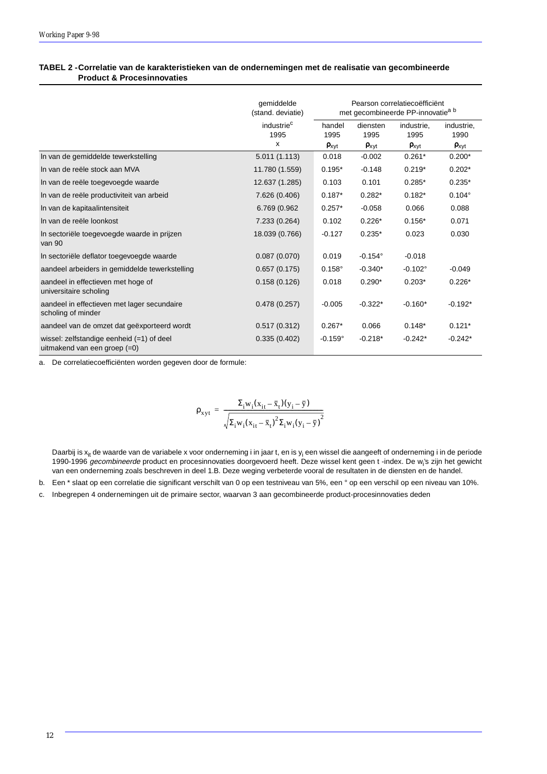### **TABEL 2 -Correlatie van de karakteristieken van de ondernemingen met de realisatie van gecombineerde Product & Procesinnovaties**

|                                                                               | gemiddelde<br>(stand. deviatie) | Pearson correlatiecoëfficiënt<br>met gecombineerde PP-innovatie <sup>a b</sup> |                  |                     |                    |  |
|-------------------------------------------------------------------------------|---------------------------------|--------------------------------------------------------------------------------|------------------|---------------------|--------------------|--|
|                                                                               | industrie <sup>c</sup><br>1995  | handel<br>1995                                                                 | diensten<br>1995 | industrie,<br>1995  | industrie,<br>1990 |  |
|                                                                               | x                               | $\rho_{xyt}$                                                                   | $\rho_{xyt}$     | $\rho_{\text{xyt}}$ | $\rho_{xyt}$       |  |
| In van de gemiddelde tewerkstelling                                           | 5.011(1.113)                    | 0.018                                                                          | $-0.002$         | $0.261*$            | $0.200*$           |  |
| In van de reële stock aan MVA                                                 | 11.780 (1.559)                  | $0.195*$                                                                       | $-0.148$         | $0.219*$            | $0.202*$           |  |
| In van de reële toegevoegde waarde                                            | 12.637 (1.285)                  | 0.103                                                                          | 0.101            | $0.285*$            | $0.235*$           |  |
| In van de reële productiviteit van arbeid                                     | 7.626 (0.406)                   | $0.187*$                                                                       | $0.282*$         | $0.182*$            | $0.104^{\circ}$    |  |
| In van de kapitaalintensiteit                                                 | 6.769 (0.962                    | $0.257*$                                                                       | $-0.058$         | 0.066               | 0.088              |  |
| In van de reële loonkost                                                      | 7.233 (0.264)                   | 0.102                                                                          | $0.226*$         | $0.156*$            | 0.071              |  |
| In sectoriële toegevoegde waarde in prijzen<br>van 90                         | 18.039 (0.766)                  | $-0.127$                                                                       | $0.235*$         | 0.023               | 0.030              |  |
| In sectoriële deflator toegevoegde waarde                                     | 0.087(0.070)                    | 0.019                                                                          | $-0.154^{\circ}$ | $-0.018$            |                    |  |
| aandeel arbeiders in gemiddelde tewerkstelling                                | 0.657(0.175)                    | $0.158^\circ$                                                                  | $-0.340*$        | $-0.102^{\circ}$    | $-0.049$           |  |
| aandeel in effectieven met hoge of<br>universitaire scholing                  | 0.158(0.126)                    | 0.018                                                                          | $0.290*$         | $0.203*$            | $0.226*$           |  |
| aandeel in effectieven met lager secundaire<br>scholing of minder             | 0.478(0.257)                    | $-0.005$                                                                       | $-0.322*$        | $-0.160*$           | $-0.192*$          |  |
| aandeel van de omzet dat geëxporteerd wordt                                   | 0.517(0.312)                    | $0.267*$                                                                       | 0.066            | $0.148*$            | $0.121*$           |  |
| wissel: $zelfstandige eenheid (=1)$ of deel<br>uitmakend van een groep $(=0)$ | 0.335(0.402)                    | $-0.159^{\circ}$                                                               | $-0.218*$        | $-0.242*$           | $-0.242*$          |  |

a. De correlatiecoefficiënten worden gegeven door de formule:

$$
\rho_{xyt} = \frac{\Sigma_i w_i (x_{it}-\bar{x}_t)(y_i-\bar{y})}{\sqrt{\Sigma_i w_i (x_{it}-\bar{x}_t)^2 \Sigma_i w_i (y_i-\bar{y})^2}}
$$

Daarbij is x<sub>it</sub> de waarde van de variabele x voor onderneming i in jaar t, en is y<sub>i</sub> een wissel die aangeeft of onderneming i in de periode 1990-1996 *gecombineerde* product en procesinnovaties doorgevoerd heeft. Deze wissel kent geen t -index. De w<sub>i</sub>'s zijn het gewicht van een onderneming zoals beschreven in deel 1.B. Deze weging verbeterde vooral de resultaten in de diensten en de handel.

b. Een \* slaat op een correlatie die significant verschilt van 0 op een testniveau van 5%, een ° op een verschil op een niveau van 10%.

c. Inbegrepen 4 ondernemingen uit de primaire sector, waarvan 3 aan gecombineerde product-procesinnovaties deden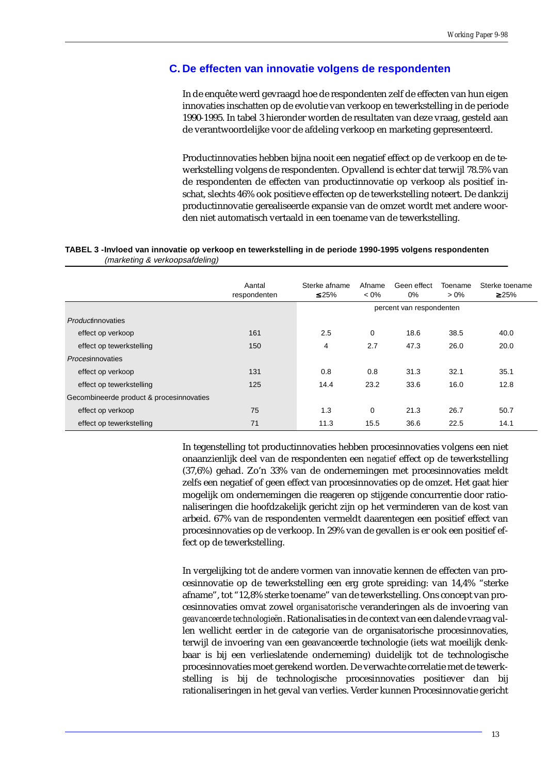### **C. De effecten van innovatie volgens de respondenten**

In de enquête werd gevraagd hoe de respondenten zelf de effecten van hun eigen innovaties inschatten op de evolutie van verkoop en tewerkstelling in de periode 1990-1995. In tabel 3 hieronder worden de resultaten van deze vraag, gesteld aan de verantwoordelijke voor de afdeling verkoop en marketing gepresenteerd.

Productinnovaties hebben bijna nooit een negatief effect op de verkoop en de tewerkstelling volgens de respondenten. Opvallend is echter dat terwijl 78.5% van de respondenten de effecten van productinnovatie op verkoop als positief inschat, slechts 46% ook positieve effecten op de tewerkstelling noteert. De dankzij productinnovatie gerealiseerde expansie van de omzet wordt met andere woorden niet automatisch vertaald in een toename van de tewerkstelling.

|                                          | Aantal<br>respondenten | Sterke afname<br>$\leq 25\%$ | Afname<br>$< 0\%$ | Geen effect<br>$0\%$     | Toename<br>$> 0\%$ | Sterke toename<br>$\geq 25\%$ |
|------------------------------------------|------------------------|------------------------------|-------------------|--------------------------|--------------------|-------------------------------|
|                                          |                        |                              |                   | percent van respondenten |                    |                               |
| Productinnovaties                        |                        |                              |                   |                          |                    |                               |
| effect op verkoop                        | 161                    | 2.5                          | 0                 | 18.6                     | 38.5               | 40.0                          |
| effect op tewerkstelling                 | 150                    | 4                            | 2.7               | 47.3                     | 26.0               | 20.0                          |
| <i>Procesinnovaties</i>                  |                        |                              |                   |                          |                    |                               |
| effect op verkoop                        | 131                    | 0.8                          | 0.8               | 31.3                     | 32.1               | 35.1                          |
| effect op tewerkstelling                 | 125                    | 14.4                         | 23.2              | 33.6                     | 16.0               | 12.8                          |
| Gecombineerde product & procesinnovaties |                        |                              |                   |                          |                    |                               |
| effect op verkoop                        | 75                     | 1.3                          | 0                 | 21.3                     | 26.7               | 50.7                          |
| effect op tewerkstelling                 | 71                     | 11.3                         | 15.5              | 36.6                     | 22.5               | 14.1                          |

### **TABEL 3 -Invloed van innovatie op verkoop en tewerkstelling in de periode 1990-1995 volgens respondenten**  (marketing & verkoopsafdeling)

In tegenstelling tot productinnovaties hebben procesinnovaties volgens een niet onaanzienlijk deel van de respondenten een *negatief* effect op de tewerkstelling (37,6%) gehad. Zo'n 33% van de ondernemingen met procesinnovaties meldt zelfs een negatief of geen effect van procesinnovaties op de omzet. Het gaat hier mogelijk om ondernemingen die reageren op stijgende concurrentie door rationaliseringen die hoofdzakelijk gericht zijn op het verminderen van de kost van arbeid. 67% van de respondenten vermeldt daarentegen een positief effect van procesinnovaties op de verkoop. In 29% van de gevallen is er ook een positief effect op de tewerkstelling.

In vergelijking tot de andere vormen van innovatie kennen de effecten van procesinnovatie op de tewerkstelling een erg grote spreiding: van 14,4% "sterke afname", tot "12,8% sterke toename" van de tewerkstelling. Ons concept van procesinnovaties omvat zowel *organisatorische* veranderingen als de invoering van *geavanceerde technologieën*. Rationalisaties in de context van een dalende vraag vallen wellicht eerder in de categorie van de organisatorische procesinnovaties, terwijl de invoering van een geavanceerde technologie (iets wat moeilijk denkbaar is bij een verlieslatende onderneming) duidelijk tot de technologische procesinnovaties moet gerekend worden. De verwachte correlatie met de tewerkstelling is bij de technologische procesinnovaties positiever dan bij rationaliseringen in het geval van verlies. Verder kunnen Procesinnovatie gericht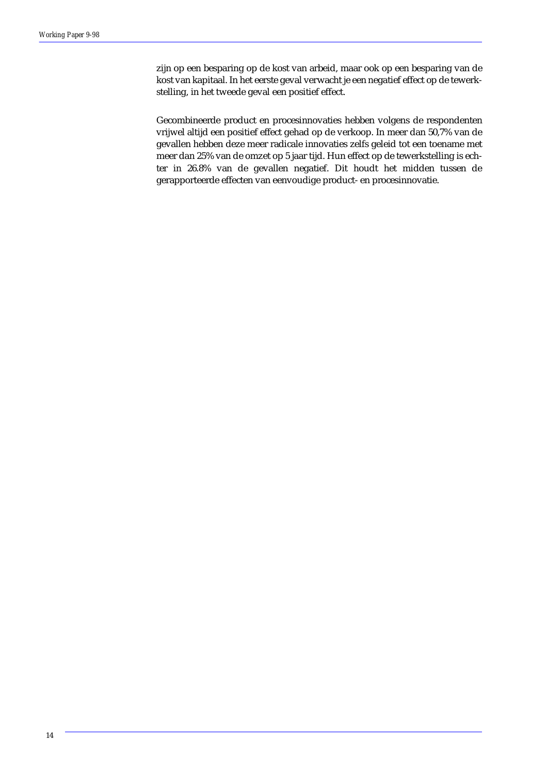zijn op een besparing op de kost van arbeid, maar ook op een besparing van de kost van kapitaal. In het eerste geval verwacht je een negatief effect op de tewerkstelling, in het tweede geval een positief effect.

Gecombineerde product en procesinnovaties hebben volgens de respondenten vrijwel altijd een positief effect gehad op de verkoop. In meer dan 50,7% van de gevallen hebben deze meer radicale innovaties zelfs geleid tot een toename met meer dan 25% van de omzet op 5 jaar tijd. Hun effect op de tewerkstelling is echter in 26.8% van de gevallen negatief. Dit houdt het midden tussen de gerapporteerde effecten van eenvoudige product- en procesinnovatie.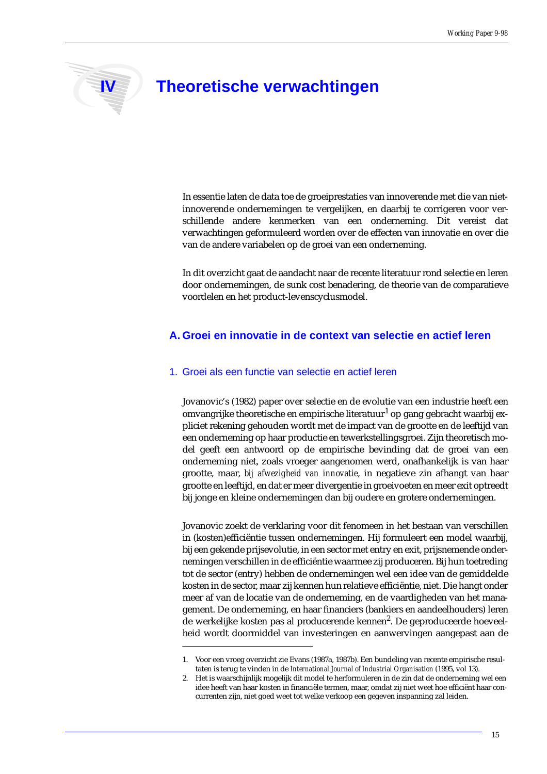# **IV Theoretische verwachtingen**

In essentie laten de data toe de groeiprestaties van innoverende met die van nietinnoverende ondernemingen te vergelijken, en daarbij te corrigeren voor verschillende andere kenmerken van een onderneming. Dit vereist dat verwachtingen geformuleerd worden over de effecten van innovatie en over die van de andere variabelen op de groei van een onderneming.

In dit overzicht gaat de aandacht naar de recente literatuur rond selectie en leren door ondernemingen, de sunk cost benadering, de theorie van de comparatieve voordelen en het product-levenscyclusmodel.

### **A. Groei en innovatie in de context van selectie en actief leren**

### 1. Groei als een functie van selectie en actief leren

Jovanovic's (1982) paper over selectie en de evolutie van een industrie heeft een omvangrijke theoretische en empirische literatuur<sup>1</sup> op gang gebracht waarbij expliciet rekening gehouden wordt met de impact van de grootte en de leeftijd van een onderneming op haar productie en tewerkstellingsgroei. Zijn theoretisch model geeft een antwoord op de empirische bevinding dat de groei van een onderneming niet, zoals vroeger aangenomen werd, onafhankelijk is van haar grootte, maar, *bij afwezigheid van innovatie*, in negatieve zin afhangt van haar grootte en leeftijd, en dat er meer divergentie in groeivoeten en meer exit optreedt bij jonge en kleine ondernemingen dan bij oudere en grotere ondernemingen.

Jovanovic zoekt de verklaring voor dit fenomeen in het bestaan van verschillen in (kosten)efficiëntie tussen ondernemingen. Hij formuleert een model waarbij, bij een gekende prijsevolutie, in een sector met entry en exit, prijsnemende ondernemingen verschillen in de efficiëntie waarmee zij produceren. Bij hun toetreding tot de sector (entry) hebben de ondernemingen wel een idee van de gemiddelde kosten in de sector, maar zij kennen hun relatieve efficiëntie, niet. Die hangt onder meer af van de locatie van de onderneming, en de vaardigheden van het management. De onderneming, en haar financiers (bankiers en aandeelhouders) leren de werkelijke kosten pas al producerende kennen<sup>2</sup>. De geproduceerde hoeveelheid wordt doormiddel van investeringen en aanwervingen aangepast aan de

<sup>1.</sup> Voor een vroeg overzicht zie Evans (1987a, 1987b). Een bundeling van recente empirische resultaten is terug te vinden in de *International Journal of Industrial Organisation* (1995, vol 13).

<sup>2.</sup> Het is waarschijnlijk mogelijk dit model te herformuleren in de zin dat de onderneming wel een idee heeft van haar kosten in financiële termen, maar, omdat zij niet weet hoe efficiënt haar concurrenten zijn, niet goed weet tot welke verkoop een gegeven inspanning zal leiden.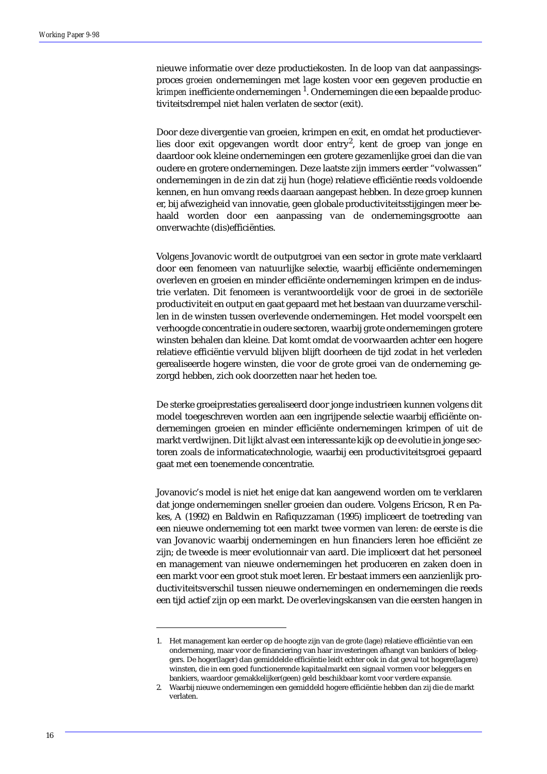nieuwe informatie over deze productiekosten. In de loop van dat aanpassingsproces *groeien* ondernemingen met lage kosten voor een gegeven productie en *krimpen* inefficiente ondernemingen <sup>1</sup>. Ondernemingen die een bepaalde productiviteitsdrempel niet halen verlaten de sector (exit).

Door deze divergentie van groeien, krimpen en exit, en omdat het productieverlies door exit opgevangen wordt door entry $^2$ , kent de groep van jonge en daardoor ook kleine ondernemingen een grotere gezamenlijke groei dan die van oudere en grotere ondernemingen. Deze laatste zijn immers eerder "volwassen" ondernemingen in de zin dat zij hun (hoge) relatieve efficiëntie reeds voldoende kennen, en hun omvang reeds daaraan aangepast hebben. In deze groep kunnen er, bij afwezigheid van innovatie, geen globale productiviteitsstijgingen meer behaald worden door een aanpassing van de ondernemingsgrootte aan onverwachte (dis)efficiënties.

Volgens Jovanovic wordt de outputgroei van een sector in grote mate verklaard door een fenomeen van natuurlijke selectie, waarbij efficiënte ondernemingen overleven en groeien en minder efficiënte ondernemingen krimpen en de industrie verlaten. Dit fenomeen is verantwoordelijk voor de groei in de sectoriële productiviteit en output en gaat gepaard met het bestaan van duurzame verschillen in de winsten tussen overlevende ondernemingen. Het model voorspelt een verhoogde concentratie in oudere sectoren, waarbij grote ondernemingen grotere winsten behalen dan kleine. Dat komt omdat de voorwaarden achter een hogere relatieve efficiëntie vervuld blijven blijft doorheen de tijd zodat in het verleden gerealiseerde hogere winsten, die voor de grote groei van de onderneming gezorgd hebben, zich ook doorzetten naar het heden toe.

De sterke groeiprestaties gerealiseerd door jonge industrieen kunnen volgens dit model toegeschreven worden aan een ingrijpende selectie waarbij efficiënte ondernemingen groeien en minder efficiënte ondernemingen krimpen of uit de markt verdwijnen. Dit lijkt alvast een interessante kijk op de evolutie in jonge sectoren zoals de informaticatechnologie, waarbij een productiviteitsgroei gepaard gaat met een toenemende concentratie.

Jovanovic's model is niet het enige dat kan aangewend worden om te verklaren dat jonge ondernemingen sneller groeien dan oudere. Volgens Ericson, R en Pakes, A (1992) en Baldwin en Rafiquzzaman (1995) impliceert de toetreding van een nieuwe onderneming tot een markt twee vormen van leren: de eerste is die van Jovanovic waarbij ondernemingen en hun financiers leren hoe efficiënt ze zijn; de tweede is meer evolutionnair van aard. Die impliceert dat het personeel en management van nieuwe ondernemingen het produceren en zaken doen in een markt voor een groot stuk moet leren. Er bestaat immers een aanzienlijk productiviteitsverschil tussen nieuwe ondernemingen en ondernemingen die reeds een tijd actief zijn op een markt. De overlevingskansen van die eersten hangen in

<sup>1.</sup> Het management kan eerder op de hoogte zijn van de grote (lage) relatieve efficiëntie van een onderneming, maar voor de financiering van haar investeringen afhangt van bankiers of beleggers. De hoger(lager) dan gemiddelde efficiëntie leidt echter ook in dat geval tot hogere(lagere) winsten, die in een goed functionerende kapitaalmarkt een signaal vormen voor beleggers en bankiers, waardoor gemakkelijker(geen) geld beschikbaar komt voor verdere expansie.

<sup>2.</sup> Waarbij nieuwe ondernemingen een gemiddeld hogere efficiëntie hebben dan zij die de markt verlaten.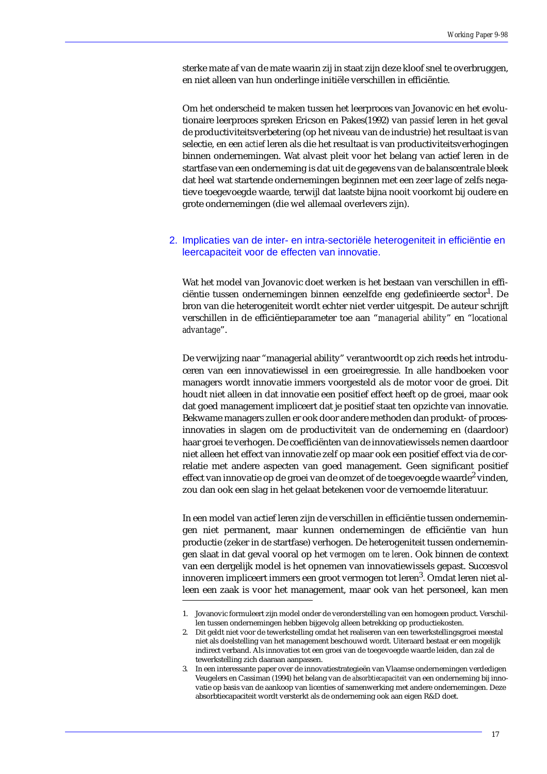sterke mate af van de mate waarin zij in staat zijn deze kloof snel te overbruggen, en niet alleen van hun onderlinge initiële verschillen in efficiëntie.

Om het onderscheid te maken tussen het leerproces van Jovanovic en het evolutionaire leerproces spreken Ericson en Pakes(1992) van *passief* leren in het geval de productiviteitsverbetering (op het niveau van de industrie) het resultaat is van selectie, en een *actief* leren als die het resultaat is van productiviteitsverhogingen binnen ondernemingen. Wat alvast pleit voor het belang van actief leren in de startfase van een onderneming is dat uit de gegevens van de balanscentrale bleek dat heel wat startende ondernemingen beginnen met een zeer lage of zelfs negatieve toegevoegde waarde, terwijl dat laatste bijna nooit voorkomt bij oudere en grote ondernemingen (die wel allemaal overlevers zijn).

### 2. Implicaties van de inter- en intra-sectoriële heterogeniteit in efficiëntie en leercapaciteit voor de effecten van innovatie.

Wat het model van Jovanovic doet werken is het bestaan van verschillen in efficiëntie tussen ondernemingen binnen eenzelfde eng gedefinieerde sector<sup>1</sup>. De bron van die heterogeniteit wordt echter niet verder uitgespit. De auteur schrijft verschillen in de efficiëntieparameter toe aan "*managerial ability*" en "*locational advantage*".

De verwijzing naar "managerial ability" verantwoordt op zich reeds het introduceren van een innovatiewissel in een groeiregressie. In alle handboeken voor managers wordt innovatie immers voorgesteld als de motor voor de groei. Dit houdt niet alleen in dat innovatie een positief effect heeft op de groei, maar ook dat goed management impliceert dat je positief staat ten opzichte van innovatie. Bekwame managers zullen er ook door andere methoden dan produkt- of procesinnovaties in slagen om de productiviteit van de onderneming en (daardoor) haar groei te verhogen. De coefficiënten van de innovatiewissels nemen daardoor niet alleen het effect van innovatie zelf op maar ook een positief effect via de correlatie met andere aspecten van goed management. Geen significant positief effect van innovatie op de groei van de omzet of de toegevoegde waarde<sup>2</sup> vinden, zou dan ook een slag in het gelaat betekenen voor de vernoemde literatuur.

In een model van actief leren zijn de verschillen in efficiëntie tussen ondernemingen niet permanent, maar kunnen ondernemingen de efficiëntie van hun productie (zeker in de startfase) verhogen. De heterogeniteit tussen ondernemingen slaat in dat geval vooral op het *vermogen om te leren*. Ook binnen de context van een dergelijk model is het opnemen van innovatiewissels gepast. Succesvol innoveren impliceert immers een groot vermogen tot leren $^3$ . Omdat leren niet alleen een zaak is voor het management, maar ook van het personeel, kan men

<sup>1.</sup> Jovanovic formuleert zijn model onder de veronderstelling van een homogeen product. Verschillen tussen ondernemingen hebben bijgevolg alleen betrekking op productiekosten.

<sup>2.</sup> Dit geldt niet voor de tewerkstelling omdat het realiseren van een tewerkstellingsgroei meestal niet als doelstelling van het management beschouwd wordt. Uiteraard bestaat er een mogelijk indirect verband. Als innovaties tot een groei van de toegevoegde waarde leiden, dan zal de tewerkstelling zich daaraan aanpassen.

<sup>3.</sup> In een interessante paper over de innovatiestrategieën van Vlaamse ondernemingen verdedigen Veugelers en Cassiman (1994) het belang van de *absorbtiecapaciteit* van een onderneming bij innovatie op basis van de aankoop van licenties of samenwerking met andere ondernemingen. Deze absorbtiecapaciteit wordt versterkt als de onderneming ook aan eigen R&D doet.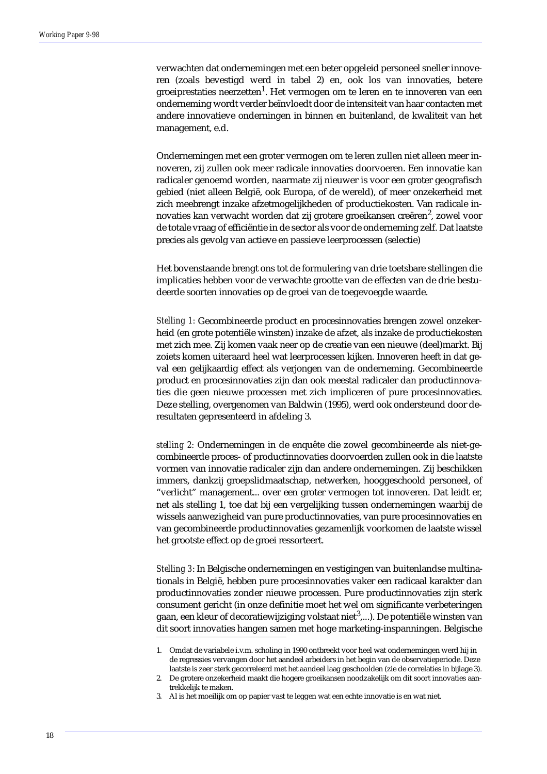verwachten dat ondernemingen met een beter opgeleid personeel sneller innoveren (zoals bevestigd werd in tabel 2) en, ook los van innovaties, betere groeiprestaties neerzetten<sup>1</sup>. Het vermogen om te leren en te innoveren van een onderneming wordt verder beïnvloedt door de intensiteit van haar contacten met andere innovatieve onderningen in binnen en buitenland, de kwaliteit van het management, e.d.

Ondernemingen met een groter vermogen om te leren zullen niet alleen meer innoveren, zij zullen ook meer radicale innovaties doorvoeren. Een innovatie kan radicaler genoemd worden, naarmate zij nieuwer is voor een groter geografisch gebied (niet alleen België, ook Europa, of de wereld), of meer onzekerheid met zich meebrengt inzake afzetmogelijkheden of productiekosten. Van radicale innovaties kan verwacht worden dat zij grotere groeikansen creëren $^2$ , zowel voor de totale vraag of efficiëntie in de sector als voor de onderneming zelf. Dat laatste precies als gevolg van actieve en passieve leerprocessen (selectie)

Het bovenstaande brengt ons tot de formulering van drie toetsbare stellingen die implicaties hebben voor de verwachte grootte van de effecten van de drie bestudeerde soorten innovaties op de groei van de toegevoegde waarde.

*Stelling 1:* Gecombineerde product en procesinnovaties brengen zowel onzekerheid (en grote potentiële winsten) inzake de afzet, als inzake de productiekosten met zich mee. Zij komen vaak neer op de creatie van een nieuwe (deel)markt. Bij zoiets komen uiteraard heel wat leerprocessen kijken. Innoveren heeft in dat geval een gelijkaardig effect als verjongen van de onderneming. Gecombineerde product en procesinnovaties zijn dan ook meestal radicaler dan productinnovaties die geen nieuwe processen met zich impliceren of pure procesinnovaties. Deze stelling, overgenomen van Baldwin (1995), werd ook ondersteund door deresultaten gepresenteerd in afdeling 3.

*stelling 2:* Ondernemingen in de enquête die zowel gecombineerde als niet-gecombineerde proces- of productinnovaties doorvoerden zullen ook in die laatste vormen van innovatie radicaler zijn dan andere ondernemingen. Zij beschikken immers, dankzij groepslidmaatschap, netwerken, hooggeschoold personeel, of "verlicht" management... over een groter vermogen tot innoveren. Dat leidt er, net als stelling 1, toe dat bij een vergelijking tussen ondernemingen waarbij de wissels aanwezigheid van pure productinnovaties, van pure procesinnovaties en van gecombineerde productinnovaties gezamenlijk voorkomen de laatste wissel het grootste effect op de groei ressorteert.

*Stelling 3*: In Belgische ondernemingen en vestigingen van buitenlandse multinationals in België, hebben pure procesinnovaties vaker een radicaal karakter dan productinnovaties zonder nieuwe processen. Pure productinnovaties zijn sterk consument gericht (in onze definitie moet het wel om significante verbeteringen gaan, een kleur of decoratiewijziging volstaat niet<sup>3</sup>,...). De potentiële winsten van dit soort innovaties hangen samen met hoge marketing-inspanningen. Belgische

<sup>1.</sup> Omdat de variabele i.v.m. scholing in 1990 ontbreekt voor heel wat ondernemingen werd hij in de regressies vervangen door het aandeel arbeiders in het begin van de observatieperiode. Deze laatste is zeer sterk gecorreleerd met het aandeel laag geschoolden (zie de correlaties in bijlage 3).

<sup>2.</sup> De grotere onzekerheid maakt die hogere groeikansen noodzakelijk om dit soort innovaties aantrekkelijk te maken.

<sup>3.</sup> Al is het moeilijk om op papier vast te leggen wat een echte innovatie is en wat niet.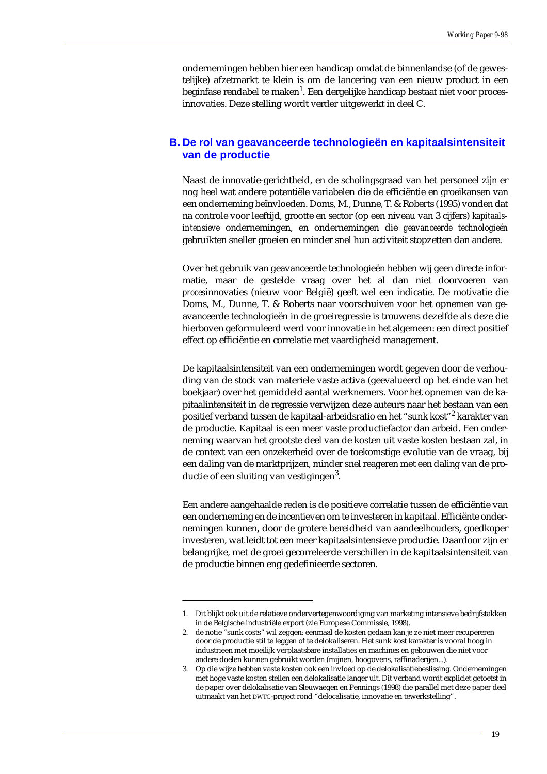ondernemingen hebben hier een handicap omdat de binnenlandse (of de gewestelijke) afzetmarkt te klein is om de lancering van een nieuw product in een beginfase rendabel te maken $^{\rm l}$ . Een dergelijke handicap bestaat niet voor procesinnovaties. Deze stelling wordt verder uitgewerkt in deel C.

### **B. De rol van geavanceerde technologieën en kapitaalsintensiteit van de productie**

Naast de innovatie-gerichtheid, en de scholingsgraad van het personeel zijn er nog heel wat andere potentiële variabelen die de efficiëntie en groeikansen van een onderneming beïnvloeden. Doms, M., Dunne, T. & Roberts (1995) vonden dat na controle voor leeftijd, grootte en sector (op een niveau van 3 cijfers) *kapitaalsintensieve* ondernemingen, en ondernemingen die *geavanceerde technologieën* gebruikten sneller groeien en minder snel hun activiteit stopzetten dan andere.

Over het gebruik van geavanceerde technologieën hebben wij geen directe informatie, maar de gestelde vraag over het al dan niet doorvoeren van *proces*innovaties (nieuw voor België) geeft wel een indicatie. De motivatie die Doms, M., Dunne, T. & Roberts naar voorschuiven voor het opnemen van geavanceerde technologieën in de groeiregressie is trouwens dezelfde als deze die hierboven geformuleerd werd voor innovatie in het algemeen: een direct positief effect op efficiëntie en correlatie met vaardigheid management.

De kapitaalsintensiteit van een ondernemingen wordt gegeven door de verhouding van de stock van materiele vaste activa (geevalueerd op het einde van het boekjaar) over het gemiddeld aantal werknemers. Voor het opnemen van de kapitaalintensiteit in de regressie verwijzen deze auteurs naar het bestaan van een positief verband tussen de kapitaal-arbeidsratio en het "sunk kost"<sup>2</sup> karakter van de productie. Kapitaal is een meer vaste productiefactor dan arbeid. Een onderneming waarvan het grootste deel van de kosten uit vaste kosten bestaan zal, in de context van een onzekerheid over de toekomstige evolutie van de vraag, bij een daling van de marktprijzen, minder snel reageren met een daling van de productie of een sluiting van vestigingen<sup>3</sup>.

Een andere aangehaalde reden is de positieve correlatie tussen de efficiëntie van een onderneming en de incentieven om te investeren in kapitaal. Efficiënte ondernemingen kunnen, door de grotere bereidheid van aandeelhouders, goedkoper investeren, wat leidt tot een meer kapitaalsintensieve productie. Daardoor zijn er belangrijke, met de groei gecorreleerde verschillen in de kapitaalsintensiteit van de productie binnen eng gedefinieerde sectoren.

<sup>1.</sup> Dit blijkt ook uit de relatieve ondervertegenwoordiging van marketing intensieve bedrijfstakken in de Belgische industriële export (zie Europese Commissie, 1998).

<sup>2.</sup> de notie "sunk costs" wil zeggen: eenmaal de kosten gedaan kan je ze niet meer recupereren door de productie stil te leggen of te delokaliseren. Het sunk kost karakter is vooral hoog in industrieen met moeilijk verplaatsbare installaties en machines en gebouwen die niet voor andere doelen kunnen gebruikt worden (mijnen, hoogovens, raffinaderijen...).

<sup>3.</sup> Op die wijze hebben vaste kosten ook een invloed op de delokalisatiebeslissing. Ondernemingen met hoge vaste kosten stellen een delokalisatie langer uit. Dit verband wordt expliciet getoetst in de paper over delokalisatie van Sleuwaegen en Pennings (1998) die parallel met deze paper deel uitmaakt van het DWTC-project rond "delocalisatie, innovatie en tewerkstelling".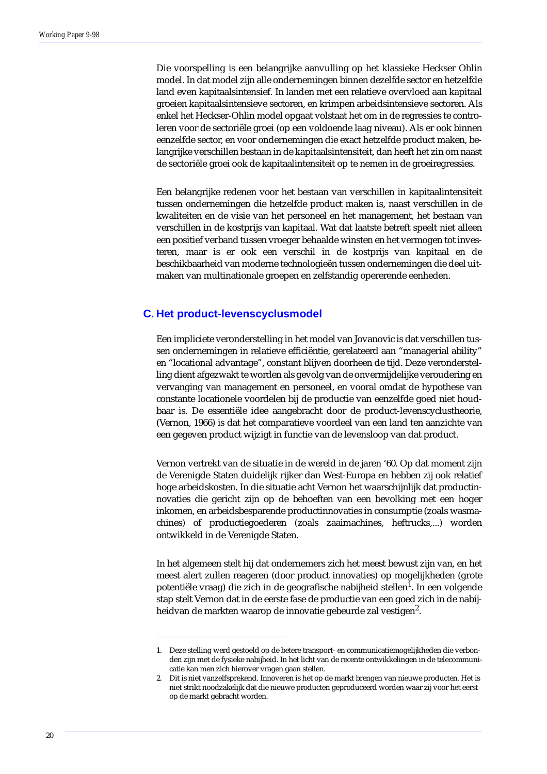Die voorspelling is een belangrijke aanvulling op het klassieke Heckser Ohlin model. In dat model zijn alle ondernemingen binnen dezelfde sector en hetzelfde land even kapitaalsintensief. In landen met een relatieve overvloed aan kapitaal groeien kapitaalsintensieve sectoren, en krimpen arbeidsintensieve sectoren. Als enkel het Heckser-Ohlin model opgaat volstaat het om in de regressies te controleren voor de sectoriële groei (op een voldoende laag niveau). Als er ook binnen eenzelfde sector, en voor ondernemingen die exact hetzelfde product maken, belangrijke verschillen bestaan in de kapitaalsintensiteit, dan heeft het zin om naast de sectoriële groei ook de kapitaalintensiteit op te nemen in de groeiregressies.

Een belangrijke redenen voor het bestaan van verschillen in kapitaalintensiteit tussen ondernemingen die hetzelfde product maken is, naast verschillen in de kwaliteiten en de visie van het personeel en het management, het bestaan van verschillen in de kostprijs van kapitaal. Wat dat laatste betreft speelt niet alleen een positief verband tussen vroeger behaalde winsten en het vermogen tot investeren, maar is er ook een verschil in de kostprijs van kapitaal en de beschikbaarheid van moderne technologieën tussen ondernemingen die deel uitmaken van multinationale groepen en zelfstandig opererende eenheden.

### **C. Het product-levenscyclusmodel**

Een impliciete veronderstelling in het model van Jovanovic is dat verschillen tussen ondernemingen in relatieve efficiëntie, gerelateerd aan "managerial ability" en "locational advantage", constant blijven doorheen de tijd. Deze veronderstelling dient afgezwakt te worden als gevolg van de onvermijdelijke veroudering en vervanging van management en personeel, en vooral omdat de hypothese van constante locationele voordelen bij de productie van eenzelfde goed niet houdbaar is. De essentiële idee aangebracht door de product-levenscyclustheorie, (Vernon, 1966) is dat het comparatieve voordeel van een land ten aanzichte van een gegeven product wijzigt in functie van de levensloop van dat product.

Vernon vertrekt van de situatie in de wereld in de jaren '60. Op dat moment zijn de Verenigde Staten duidelijk rijker dan West-Europa en hebben zij ook relatief hoge arbeidskosten. In die situatie acht Vernon het waarschijnlijk dat productinnovaties die gericht zijn op de behoeften van een bevolking met een hoger inkomen, en arbeidsbesparende productinnovaties in consumptie (zoals wasmachines) of productiegoederen (zoals zaaimachines, heftrucks,...) worden ontwikkeld in de Verenigde Staten.

In het algemeen stelt hij dat ondernemers zich het meest bewust zijn van, en het meest alert zullen reageren (door product innovaties) op mogelijkheden (grote potentiële vraag) die zich in de geografische nabijheid stellen $^{\rm l}$ . In een volgende stap stelt Vernon dat in de eerste fase de productie van een goed zich in de nabijheidvan de markten waarop de innovatie gebeurde zal vestigen $^2$ .

<sup>1.</sup> Deze stelling werd gestoeld op de betere transport- en communicatiemogelijkheden die verbonden zijn met de fysieke nabijheid. In het licht van de recente ontwikkelingen in de telecommunicatie kan men zich hierover vragen gaan stellen.

<sup>2.</sup> Dit is niet vanzelfsprekend. Innoveren is het op de markt brengen van nieuwe producten. Het is niet strikt noodzakelijk dat die nieuwe producten geproduceerd worden waar zij voor het eerst op de markt gebracht worden.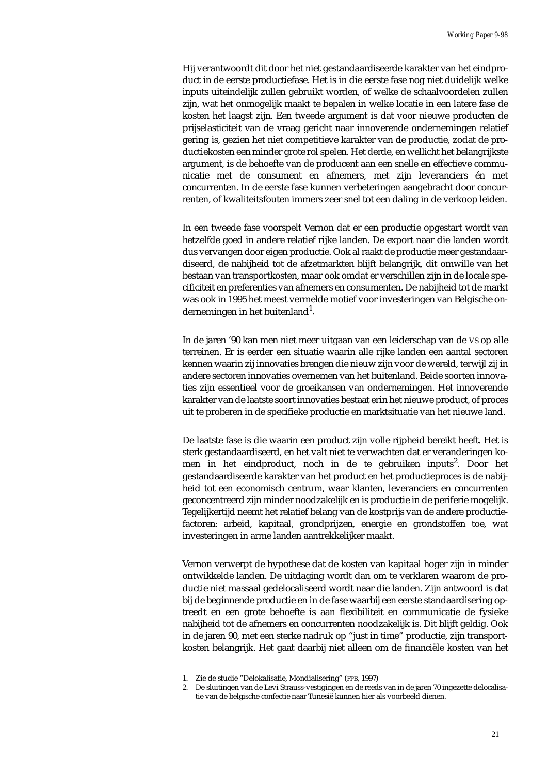Hij verantwoordt dit door het niet gestandaardiseerde karakter van het eindproduct in de eerste productiefase. Het is in die eerste fase nog niet duidelijk welke inputs uiteindelijk zullen gebruikt worden, of welke de schaalvoordelen zullen zijn, wat het onmogelijk maakt te bepalen in welke locatie in een latere fase de kosten het laagst zijn. Een tweede argument is dat voor nieuwe producten de prijselasticiteit van de vraag gericht naar innoverende ondernemingen relatief gering is, gezien het niet competitieve karakter van de productie, zodat de productiekosten een minder grote rol spelen. Het derde, en wellicht het belangrijkste argument, is de behoefte van de producent aan een snelle en effectieve communicatie met de consument en afnemers, met zijn leveranciers én met concurrenten. In de eerste fase kunnen verbeteringen aangebracht door concurrenten, of kwaliteitsfouten immers zeer snel tot een daling in de verkoop leiden.

In een tweede fase voorspelt Vernon dat er een productie opgestart wordt van hetzelfde goed in andere relatief rijke landen. De export naar die landen wordt dus vervangen door eigen productie. Ook al raakt de productie meer gestandaardiseerd, de nabijheid tot de afzetmarkten blijft belangrijk, dit omwille van het bestaan van transportkosten, maar ook omdat er verschillen zijn in de locale specificiteit en preferenties van afnemers en consumenten. De nabijheid tot de markt was ook in 1995 het meest vermelde motief voor investeringen van Belgische ondernemingen in het buitenland<sup>1</sup>.

In de jaren '90 kan men niet meer uitgaan van een leiderschap van de VS op alle terreinen. Er is eerder een situatie waarin alle rijke landen een aantal sectoren kennen waarin zij innovaties brengen die nieuw zijn voor de wereld, terwijl zij in andere sectoren innovaties overnemen van het buitenland. Beide soorten innovaties zijn essentieel voor de groeikansen van ondernemingen. Het innoverende karakter van de laatste soort innovaties bestaat erin het nieuwe product, of proces uit te proberen in de specifieke productie en marktsituatie van het nieuwe land.

De laatste fase is die waarin een product zijn volle rijpheid bereikt heeft. Het is sterk gestandaardiseerd, en het valt niet te verwachten dat er veranderingen komen in het eindproduct, noch in de te gebruiken inputs<sup>2</sup>. Door het gestandaardiseerde karakter van het product en het productieproces is de nabijheid tot een economisch centrum, waar klanten, leveranciers en concurrenten geconcentreerd zijn minder noodzakelijk en is productie in de periferie mogelijk. Tegelijkertijd neemt het relatief belang van de kostprijs van de andere productiefactoren: arbeid, kapitaal, grondprijzen, energie en grondstoffen toe, wat investeringen in arme landen aantrekkelijker maakt.

Vernon verwerpt de hypothese dat de kosten van kapitaal hoger zijn in minder ontwikkelde landen. De uitdaging wordt dan om te verklaren waarom de productie niet massaal gedelocaliseerd wordt naar die landen. Zijn antwoord is dat bij de beginnende productie en in de fase waarbij een eerste standaardisering optreedt en een grote behoefte is aan flexibiliteit en communicatie de fysieke nabijheid tot de afnemers en concurrenten noodzakelijk is. Dit blijft geldig. Ook in de jaren 90, met een sterke nadruk op "just in time" productie, zijn transportkosten belangrijk. Het gaat daarbij niet alleen om de financiële kosten van het

<sup>1.</sup> Zie de studie "Delokalisatie, Mondialisering" (FPB, 1997)

<sup>2.</sup> De sluitingen van de Levi Strauss-vestigingen en de reeds van in de jaren 70 ingezette delocalisatie van de belgische confectie naar Tunesië kunnen hier als voorbeeld dienen.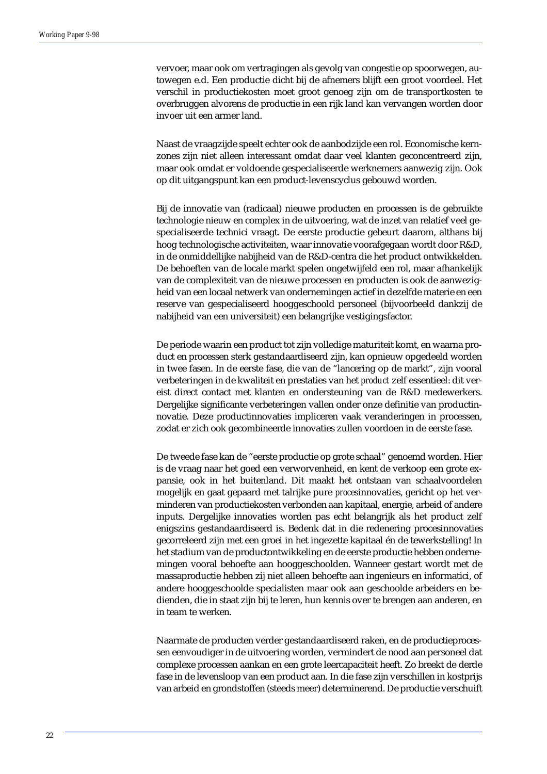vervoer, maar ook om vertragingen als gevolg van congestie op spoorwegen, autowegen e.d. Een productie dicht bij de afnemers blijft een groot voordeel. Het verschil in productiekosten moet groot genoeg zijn om de transportkosten te overbruggen alvorens de productie in een rijk land kan vervangen worden door invoer uit een armer land.

Naast de vraagzijde speelt echter ook de aanbodzijde een rol. Economische kernzones zijn niet alleen interessant omdat daar veel klanten geconcentreerd zijn, maar ook omdat er voldoende gespecialiseerde werknemers aanwezig zijn. Ook op dit uitgangspunt kan een product-levenscyclus gebouwd worden.

Bij de innovatie van (radicaal) nieuwe producten en processen is de gebruikte technologie nieuw en complex in de uitvoering, wat de inzet van relatief veel gespecialiseerde technici vraagt. De eerste productie gebeurt daarom, althans bij hoog technologische activiteiten, waar innovatie voorafgegaan wordt door R&D, in de onmiddellijke nabijheid van de R&D-centra die het product ontwikkelden. De behoeften van de locale markt spelen ongetwijfeld een rol, maar afhankelijk van de complexiteit van de nieuwe processen en producten is ook de aanwezigheid van een locaal netwerk van ondernemingen actief in dezelfde materie en een reserve van gespecialiseerd hooggeschoold personeel (bijvoorbeeld dankzij de nabijheid van een universiteit) een belangrijke vestigingsfactor.

De periode waarin een product tot zijn volledige maturiteit komt, en waarna product en processen sterk gestandaardiseerd zijn, kan opnieuw opgedeeld worden in twee fasen. In de eerste fase, die van de "lancering op de markt", zijn vooral verbeteringen in de kwaliteit en prestaties van het *product* zelf essentieel: dit vereist direct contact met klanten en ondersteuning van de R&D medewerkers. Dergelijke significante verbeteringen vallen onder onze definitie van productinnovatie. Deze productinnovaties impliceren vaak veranderingen in processen, zodat er zich ook gecombineerde innovaties zullen voordoen in de eerste fase.

De tweede fase kan de "eerste productie op grote schaal" genoemd worden. Hier is de vraag naar het goed een verworvenheid, en kent de verkoop een grote expansie, ook in het buitenland. Dit maakt het ontstaan van schaalvoordelen mogelijk en gaat gepaard met talrijke pure *proces*innovaties, gericht op het verminderen van productiekosten verbonden aan kapitaal, energie, arbeid of andere inputs. Dergelijke innovaties worden pas echt belangrijk als het product zelf enigszins gestandaardiseerd is. Bedenk dat in die redenering procesinnovaties gecorreleerd zijn met een groei in het ingezette kapitaal én de tewerkstelling! In het stadium van de productontwikkeling en de eerste productie hebben ondernemingen vooral behoefte aan hooggeschoolden. Wanneer gestart wordt met de massaproductie hebben zij niet alleen behoefte aan ingenieurs en informatici, of andere hooggeschoolde specialisten maar ook aan geschoolde arbeiders en bedienden, die in staat zijn bij te leren, hun kennis over te brengen aan anderen, en in team te werken.

Naarmate de producten verder gestandaardiseerd raken, en de productieprocessen eenvoudiger in de uitvoering worden, vermindert de nood aan personeel dat complexe processen aankan en een grote leercapaciteit heeft. Zo breekt de derde fase in de levensloop van een product aan. In die fase zijn verschillen in kostprijs van arbeid en grondstoffen (steeds meer) determinerend. De productie verschuift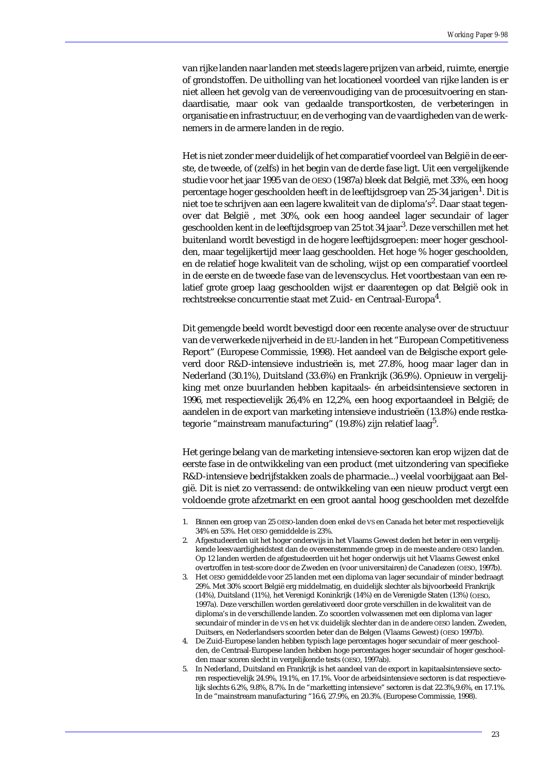van rijke landen naar landen met steeds lagere prijzen van arbeid, ruimte, energie of grondstoffen. De uitholling van het locationeel voordeel van rijke landen is er niet alleen het gevolg van de vereenvoudiging van de procesuitvoering en standaardisatie, maar ook van gedaalde transportkosten, de verbeteringen in organisatie en infrastructuur, en de verhoging van de vaardigheden van de werknemers in de armere landen in de regio.

Het is niet zonder meer duidelijk of het comparatief voordeel van België in de eerste, de tweede, of (zelfs) in het begin van de derde fase ligt. Uit een vergelijkende studie voor het jaar 1995 van de OESO (1987a) bleek dat België, met 33%, een hoog percentage hoger geschoolden heeft in de leeftijdsgroep van 25-34 jarigen<sup>1</sup>. Dit is niet toe te schrijven aan een lagere kwaliteit van de diploma's $^2$ . Daar staat tegenover dat België , met 30%, ook een hoog aandeel lager secundair of lager geschoolden kent in de leeftijdsgroep van 25 tot 34 jaar<sup>3</sup>. Deze verschillen met het buitenland wordt bevestigd in de hogere leeftijdsgroepen: meer hoger geschoolden, maar tegelijkertijd meer laag geschoolden. Het hoge % hoger geschoolden, en de relatief hoge kwaliteit van de scholing, wijst op een comparatief voordeel in de eerste en de tweede fase van de levenscyclus. Het voortbestaan van een relatief grote groep laag geschoolden wijst er daarentegen op dat België ook in rechtstreekse concurrentie staat met Zuid- en Centraal-Europa $^4\!\!$ .

Dit gemengde beeld wordt bevestigd door een recente analyse over de structuur van de verwerkede nijverheid in de EU-landen in het "European Competitiveness Report" (Europese Commissie, 1998). Het aandeel van de Belgische export geleverd door R&D-intensieve industrieën is, met 27.8%, hoog maar lager dan in Nederland (30.1%), Duitsland (33.6%) en Frankrijk (36.9%). Opnieuw in vergelijking met onze buurlanden hebben kapitaals- én arbeidsintensieve sectoren in 1996, met respectievelijk 26,4% en 12,2%, een hoog exportaandeel in België; de aandelen in de export van marketing intensieve industrieën (13.8%) ende restkategorie "mainstream manufacturing" (19.8%) zijn relatief laag<sup>5</sup>.

Het geringe belang van de marketing intensieve-sectoren kan erop wijzen dat de eerste fase in de ontwikkeling van een product (met uitzondering van specifieke R&D-intensieve bedrijfstakken zoals de pharmacie...) veelal voorbijgaat aan België. Dit is niet zo verrassend: de ontwikkeling van een nieuw product vergt een voldoende grote afzetmarkt en een groot aantal hoog geschoolden met dezelfde

<sup>1.</sup> Binnen een groep van 25 OESO-landen doen enkel de VS en Canada het beter met respectievelijk 34% en 53%. Het OESO gemiddelde is 23%.

<sup>2.</sup> Afgestudeerden uit het hoger onderwijs in het Vlaams Gewest deden het beter in een vergelijkende leesvaardigheidstest dan de overeenstemmende groep in de meeste andere OESO landen. Op 12 landen werden de afgestudeerden uit het hoger onderwijs uit het Vlaams Gewest enkel overtroffen in test-score door de Zweden en (voor universitairen) de Canadezen (OESO, 1997b).

<sup>3.</sup> Het OESO gemiddelde voor 25 landen met een diploma van lager secundair of minder bedraagt 29%. Met 30% scoort België erg middelmatig, en duidelijk slechter als bijvoorbeeld Frankrijk (14%), Duitsland (11%), het Verenigd Koninkrijk (14%) en de Verenigde Staten (13%) (OESO, 1997a). Deze verschillen worden gerelativeerd door grote verschillen in de kwaliteit van de diploma's in de verschillende landen. Zo scoorden volwassenen met een diploma van lager secundair of minder in de VS en het VK duidelijk slechter dan in de andere OESO landen. Zweden, Duitsers, en Nederlandsers scoorden beter dan de Belgen (Vlaams Gewest) (OESO 1997b).

<sup>4.</sup> De Zuid-Europese landen hebben typisch lage percentages hoger secundair of meer geschoolden, de Centraal-Europese landen hebben hoge percentages hoger secundair of hoger geschoolden maar scoren slecht in vergelijkende tests (OESO, 1997ab).

<sup>5.</sup> In Nederland, Duitsland en Frankrijk is het aandeel van de export in kapitaalsintensieve sectoren respectievelijk 24.9%, 19.1%, en 17.1%. Voor de arbeidsintensieve sectoren is dat respectievelijk slechts 6.2%, 9.8%, 8.7%. In de "marketting intensieve" sectoren is dat 22.3%,9.6%, en 17.1%. In de "mainstream manufacturing "16.6, 27.9%, en 20.3%. (Europese Commissie, 1998).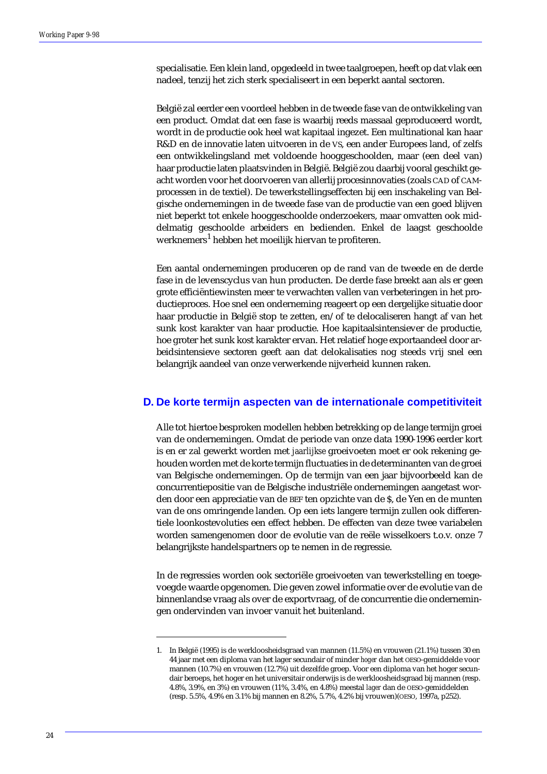specialisatie. Een klein land, opgedeeld in twee taalgroepen, heeft op dat vlak een nadeel, tenzij het zich sterk specialiseert in een beperkt aantal sectoren.

België zal eerder een voordeel hebben in de tweede fase van de ontwikkeling van een product. Omdat dat een fase is waarbij reeds massaal geproduceerd wordt, wordt in de productie ook heel wat kapitaal ingezet. Een multinational kan haar R&D en de innovatie laten uitvoeren in de VS, een ander Europees land, of zelfs een ontwikkelingsland met voldoende hooggeschoolden, maar (een deel van) haar productie laten plaatsvinden in België. België zou daarbij vooral geschikt geacht worden voor het doorvoeren van allerlij procesinnovaties (zoals CAD of CAMprocessen in de textiel). De tewerkstellingseffecten bij een inschakeling van Belgische ondernemingen in de tweede fase van de productie van een goed blijven niet beperkt tot enkele hooggeschoolde onderzoekers, maar omvatten ook middelmatig geschoolde arbeiders en bedienden. Enkel de laagst geschoolde werknemers<sup>1</sup> hebben het moeilijk hiervan te profiteren.

Een aantal ondernemingen produceren op de rand van de tweede en de derde fase in de levenscyclus van hun producten. De derde fase breekt aan als er geen grote efficiëntiewinsten meer te verwachten vallen van verbeteringen in het productieproces. Hoe snel een onderneming reageert op een dergelijke situatie door haar productie in België stop te zetten, en/of te delocaliseren hangt af van het sunk kost karakter van haar productie. Hoe kapitaalsintensiever de productie, hoe groter het sunk kost karakter ervan. Het relatief hoge exportaandeel door arbeidsintensieve sectoren geeft aan dat delokalisaties nog steeds vrij snel een belangrijk aandeel van onze verwerkende nijverheid kunnen raken.

### **D. De korte termijn aspecten van de internationale competitiviteit**

Alle tot hiertoe besproken modellen hebben betrekking op de lange termijn groei van de ondernemingen. Omdat de periode van onze data 1990-1996 eerder kort is en er zal gewerkt worden met *jaarlijkse* groeivoeten moet er ook rekening gehouden worden met de korte termijn fluctuaties in de determinanten van de groei van Belgische ondernemingen. Op de termijn van een jaar bijvoorbeeld kan de concurrentiepositie van de Belgische industriële ondernemingen aangetast worden door een appreciatie van de BEF ten opzichte van de \$, de Yen en de munten van de ons omringende landen. Op een iets langere termijn zullen ook differentiele loonkostevoluties een effect hebben. De effecten van deze twee variabelen worden samengenomen door de evolutie van de reële wisselkoers t.o.v. onze 7 belangrijkste handelspartners op te nemen in de regressie.

In de regressies worden ook sectoriële groeivoeten van tewerkstelling en toegevoegde waarde opgenomen. Die geven zowel informatie over de evolutie van de binnenlandse vraag als over de exportvraag, of de concurrentie die ondernemingen ondervinden van invoer vanuit het buitenland.

<sup>1.</sup> In België (1995) is de werkloosheidsgraad van mannen (11.5%) en vrouwen (21.1%) tussen 30 en 44 jaar met een diploma van het lager secundair of minder *hoger* dan het OESO-gemiddelde voor mannen (10.7%) en vrouwen (12.7%) uit dezelfde groep. Voor een diploma van het hoger secundair beroeps, het hoger en het universitair onderwijs is de werkloosheidsgraad bij mannen (resp. 4.8%, 3.9%, en 3%) en vrouwen (11%, 3.4%, en 4.8%) meestal *lager* dan de OESO-gemiddelden (resp. 5.5%, 4.9% en 3.1% bij mannen en 8.2%, 5.7%, 4.2% bij vrouwen)(OESO, 1997a, p252).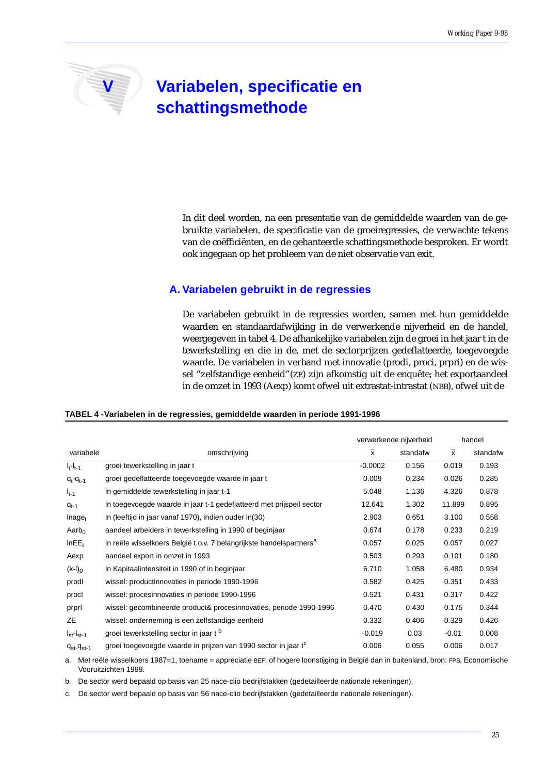# **V** Variabelen, specificatie en **schattingsmethode**

In dit deel worden, na een presentatie van de gemiddelde waarden van de gebruikte variabelen, de specificatie van de groeiregressies, de verwachte tekens van de coëfficiënten, en de gehanteerde schattingsmethode besproken. Er wordt ook ingegaan op het probleem van de niet observatie van exit.

### **A. Variabelen gebruikt in de regressies**

De variabelen gebruikt in de regressies worden, samen met hun gemiddelde waarden en standaardafwijking in de verwerkende nijverheid en de handel, weergegeven in tabel 4. De afhankelijke variabelen zijn de groei in het jaar t in de tewerkstelling en die in de, met de sectorprijzen gedeflatteerde, toegevoegde waarde. De variabelen in verband met innovatie (prodi, proci, prpri) en de wissel "zelfstandige eenheid"(ZE) zijn afkomstig uit de enquête; het exportaandeel in de omzet in 1993 (Aexp) komt ofwel uit extrastat-intrastat (NBB), ofwel uit de

### **TABEL 4 -Variabelen in de regressies, gemiddelde waarden in periode 1991-1996**

|                        |                                                                                 | verwerkende nijverheid |          | handel       |          |
|------------------------|---------------------------------------------------------------------------------|------------------------|----------|--------------|----------|
| variabele              | omschrijving                                                                    | X                      | standafw | $\mathsf{x}$ | standafw |
| $I_t-I_{t-1}$          | groei tewerkstelling in jaar t                                                  | $-0.0002$              | 0.156    | 0.019        | 0.193    |
| $q_t - q_{t-1}$        | groei gedeflatteerde toegevoegde waarde in jaar t                               | 0.009                  | 0.234    | 0.026        | 0.285    |
| $I_{t-1}$              | In gemiddelde tewerkstelling in jaar t-1                                        | 5.048                  | 1.136    | 4.326        | 0.878    |
| $q_{t-1}$              | In toegevoegde waarde in jaar t-1 gedeflatteerd met prijspeil sector            | 12.641                 | 1.302    | 11.899       | 0.895    |
| $Inage_t$              | In (leeftijd in jaar vanaf 1970), indien ouder In(30)                           | 2.903                  | 0.651    | 3.100        | 0.558    |
| Aarb <sub>0</sub>      | aandeel arbeiders in tewerkstelling in 1990 of beginjaar                        | 0.674                  | 0.178    | 0.233        | 0.219    |
| InEE <sub>t</sub>      | In reële wisselkoers België t.o.v. 7 belangrijkste handelspartners <sup>a</sup> | 0.057                  | 0.025    | 0.057        | 0.027    |
| Aexp                   | aandeel export in omzet in 1993                                                 | 0.503                  | 0.293    | 0.101        | 0.180    |
| $(k-1)_0$              | In Kapitaalintensiteit in 1990 of in beginjaar                                  | 6.710                  | 1.058    | 6.480        | 0.934    |
| prodl                  | wissel: productinnovaties in periode 1990-1996                                  | 0.582                  | 0.425    | 0.351        | 0.433    |
| procl                  | wissel: procesinnovaties in periode 1990-1996                                   | 0.521                  | 0.431    | 0.317        | 0.422    |
| prprl                  | wissel: gecombineerde product& procesinnovaties, periode 1990-1996              | 0.470                  | 0.430    | 0.175        | 0.344    |
| ZE                     | wissel: onderneming is een zelfstandige eenheid                                 | 0.332                  | 0.406    | 0.329        | 0.426    |
| $I_{st}$ - $I_{st-1}$  | groei tewerkstelling sector in jaar t <sup>b</sup>                              | $-0.019$               | 0.03     | $-0.01$      | 0.008    |
| $q_{st}$ - $q_{st}$ -1 | groei toegevoegde waarde in prijzen van 1990 sector in jaar t <sup>c</sup>      | 0.006                  | 0.055    | 0.006        | 0.017    |

a. Met reële wisselkoers 1987=1, toename = appreciatie BEF, of hogere loonstijging in België dan in buitenland, bron: FPB, Economische Vooruitzichten 1999.

b. De sector werd bepaald op basis van 25 nace-clio bedrijfstakken (gedetailleerde nationale rekeningen).

c. De sector werd bepaald op basis van 56 nace-clio bedrijfstakken (gedetailleerde nationale rekeningen).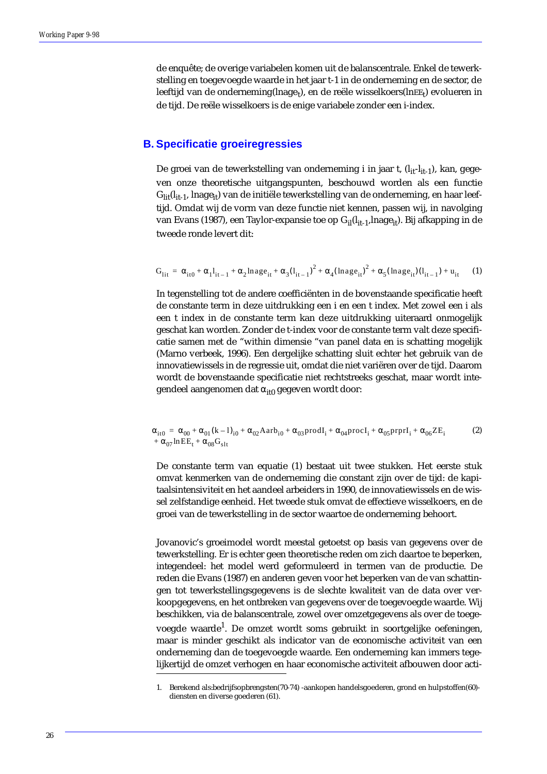de enquête; de overige variabelen komen uit de balanscentrale. Enkel de tewerkstelling en toegevoegde waarde in het jaar t-1 in de onderneming en de sector, de leeftijd van de onderneming(lnage<sub>t</sub>), en de reële wisselkoers(lnEE<sub>t</sub>) evolueren in de tijd. De reële wisselkoers is de enige variabele zonder een i-index.

### **B. Specificatie groeiregressies**

De groei van de tewerkstelling van onderneming i in jaar t,  $(l_{it} - l_{it-1})$ , kan, gegeven onze theoretische uitgangspunten, beschouwd worden als een functie Glit(l<sub>it-1</sub>, lnage<sub>it</sub>) van de initiële tewerkstelling van de onderneming, en haar leeftijd. Omdat wij de vorm van deze functie niet kennen, passen wij, in navolging van Evans (1987), een Taylor-expansie toe op G<sub>il</sub>(l<sub>it-1</sub>, lnage<sub>it</sub>). Bij afkapping in de tweede ronde levert dit:

$$
G_{lit} = \alpha_{it0} + \alpha_1 l_{it-1} + \alpha_2 lnage_{it} + \alpha_3 (l_{it-1})^2 + \alpha_4 (lnage_{it})^2 + \alpha_5 (lnage_{it}) (l_{it-1}) + u_{it} \tag{1}
$$

In tegenstelling tot de andere coefficiënten in de bovenstaande specificatie heeft de constante term in deze uitdrukking een i en een t index. Met zowel een i als een t index in de constante term kan deze uitdrukking uiteraard onmogelijk geschat kan worden. Zonder de t-index voor de constante term valt deze specificatie samen met de "within dimensie "van panel data en is schatting mogelijk (Marno verbeek, 1996). Een dergelijke schatting sluit echter het gebruik van de innovatiewissels in de regressie uit, omdat die niet variëren over de tijd. Daarom wordt de bovenstaande specificatie niet rechtstreeks geschat, maar wordt integendeel aangenomen dat  $\alpha_{it0}$  gegeven wordt door:

$$
\alpha_{it0} = \alpha_{00} + \alpha_{01} (k - 1)_{i0} + \alpha_{02} A a r b_{i0} + \alpha_{03} \text{prod}_{i} + \alpha_{04} \text{prod}_{i} + \alpha_{05} \text{prpr} I_{i} + \alpha_{06} Z E_{i}
$$
\n
$$
+ \alpha_{07} \ln E E_{t} + \alpha_{08} G_{slt}
$$
\n(2)

De constante term van equatie (1) bestaat uit twee stukken. Het eerste stuk omvat kenmerken van de onderneming die constant zijn over de tijd: de kapitaalsintensiviteit en het aandeel arbeiders in 1990, de innovatiewissels en de wissel zelfstandige eenheid. Het tweede stuk omvat de effectieve wisselkoers, en de groei van de tewerkstelling in de sector waartoe de onderneming behoort.

Jovanovic's groeimodel wordt meestal getoetst op basis van gegevens over de tewerkstelling. Er is echter geen theoretische reden om zich daartoe te beperken, integendeel: het model werd geformuleerd in termen van de productie. De reden die Evans (1987) en anderen geven voor het beperken van de van schattingen tot tewerkstellingsgegevens is de slechte kwaliteit van de data over verkoopgegevens, en het ontbreken van gegevens over de toegevoegde waarde. Wij beschikken, via de balanscentrale, zowel over omzetgegevens als over de toegevoegde waarde<sup>1</sup>. De omzet wordt soms gebruikt in soortgelijke oefeningen, maar is minder geschikt als indicator van de economische activiteit van een onderneming dan de toegevoegde waarde. Een onderneming kan immers tegelijkertijd de omzet verhogen en haar economische activiteit afbouwen door acti-

<sup>1.</sup> Berekend als:bedrijfsopbrengsten(70-74) -aankopen handelsgoederen, grond en hulpstoffen(60) diensten en diverse goederen (61).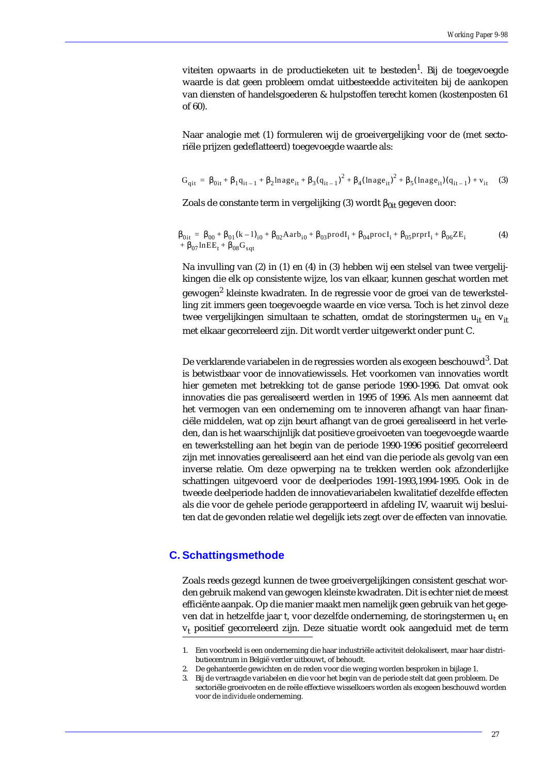viteiten opwaarts in de productieketen uit te besteden<sup>1</sup>. Bij de toegevoegde waarde is dat geen probleem omdat uitbesteedde activiteiten bij de aankopen van diensten of handelsgoederen & hulpstoffen terecht komen (kostenposten 61 of 60).

Naar analogie met (1) formuleren wij de groeivergelijking voor de (met sectoriële prijzen gedeflatteerd) toegevoegde waarde als:

$$
G_{qit} = \beta_{0it} + \beta_1 q_{it-1} + \beta_2 \text{Image}_{it} + \beta_3 (q_{it-1})^2 + \beta_4 (\text{Image}_{it})^2 + \beta_5 (\text{Image}_{it}) (q_{it-1}) + v_{it} \tag{3}
$$

Zoals de constante term in vergelijking (3) wordt  $\beta_{0it}$  gegeven door:

$$
\begin{array}{lll} \beta_{0it} & = \beta_{00} + \beta_{01} (k-1)_{i0} + \beta_{02} A a r b_{i0} + \beta_{03} prodI_{i} + \beta_{04} procI_{i} + \beta_{05} prprI_{i} + \beta_{06} Z E_{i} & (4) \\ & & + \beta_{07} ln E E_{t} + \beta_{08} G_{sqt} & \end{array}
$$

Na invulling van (2) in (1) en (4) in (3) hebben wij een stelsel van twee vergelijkingen die elk op consistente wijze, los van elkaar, kunnen geschat worden met gewogen<sup>2</sup> kleinste kwadraten. In de regressie voor de groei van de tewerkstelling zit immers geen toegevoegde waarde en vice versa. Toch is het zinvol deze twee vergelijkingen simultaan te schatten, omdat de storingstermen u<sub>it</sub> en v<sub>it</sub> met elkaar gecorreleerd zijn. Dit wordt verder uitgewerkt onder punt C.

De verklarende variabelen in de regressies worden als exogeen beschouwd $^3$ . Dat is betwistbaar voor de innovatiewissels. Het voorkomen van innovaties wordt hier gemeten met betrekking tot de ganse periode 1990-1996. Dat omvat ook innovaties die pas gerealiseerd werden in 1995 of 1996. Als men aanneemt dat het vermogen van een onderneming om te innoveren afhangt van haar financiële middelen, wat op zijn beurt afhangt van de groei gerealiseerd in het verleden, dan is het waarschijnlijk dat positieve groeivoeten van toegevoegde waarde en tewerkstelling aan het begin van de periode 1990-1996 positief gecorreleerd zijn met innovaties gerealiseerd aan het eind van die periode als gevolg van een inverse relatie. Om deze opwerping na te trekken werden ook afzonderlijke schattingen uitgevoerd voor de deelperiodes 1991-1993,1994-1995. Ook in de tweede deelperiode hadden de innovatievariabelen kwalitatief dezelfde effecten als die voor de gehele periode gerapporteerd in afdeling IV, waaruit wij besluiten dat de gevonden relatie wel degelijk iets zegt over de effecten van innovatie.

### **C. Schattingsmethode**

Zoals reeds gezegd kunnen de twee groeivergelijkingen consistent geschat worden gebruik makend van gewogen kleinste kwadraten. Dit is echter niet de meest efficiënte aanpak. Op die manier maakt men namelijk geen gebruik van het gegeven dat in hetzelfde jaar t, voor dezelfde onderneming, de storingstermen  $u_t$  en  $v<sub>t</sub>$  positief gecorreleerd zijn. Deze situatie wordt ook aangeduid met de term

<sup>1.</sup> Een voorbeeld is een onderneming die haar industriële activiteit delokaliseert, maar haar distributiecentrum in België verder uitbouwt, of behoudt.

<sup>2.</sup> De gehanteerde gewichten en de reden voor die weging worden besproken in bijlage 1.

<sup>3.</sup> Bij de vertraagde variabelen en die voor het begin van de periode stelt dat geen probleem. De sectoriële groeivoeten en de reële effectieve wisselkoers worden als exogeen beschouwd worden voor de *individuele* onderneming.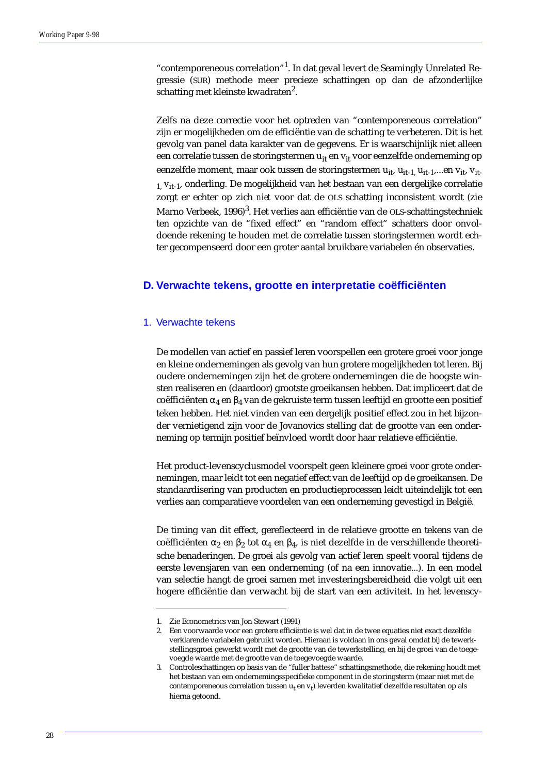"contemporeneous correlation"<sup>1</sup>. In dat geval levert de Seamingly Unrelated Regressie (SUR) methode meer precieze schattingen op dan de afzonderlijke schatting met kleinste kwadraten $^2$ .

Zelfs na deze correctie voor het optreden van "contemporeneous correlation" zijn er mogelijkheden om de efficiëntie van de schatting te verbeteren. Dit is het gevolg van panel data karakter van de gegevens. Er is waarschijnlijk niet alleen een correlatie tussen de storingstermen u<sub>it</sub> en v<sub>it</sub> voor eenzelfde onderneming op eenzelfde moment, maar ook tussen de storingstermen u<sub>it</sub>, u<sub>it-1</sub>, u<sub>it-1</sub>,...en v<sub>it</sub>, v<sub>it-</sub>  $1$ ,  $V_{it-1}$ , onderling. De mogelijkheid van het bestaan van een dergelijke correlatie zorgt er echter op zich *niet* voor dat de OLS schatting inconsistent wordt (zie Marno Verbeek, 1996)<sup>3</sup>. Het verlies aan efficiëntie van de OLS-schattingstechniek ten opzichte van de "fixed effect" en "random effect" schatters door onvoldoende rekening te houden met de correlatie tussen storingstermen wordt echter gecompenseerd door een groter aantal bruikbare variabelen én observaties.

### **D. Verwachte tekens, grootte en interpretatie coëfficiënten**

### 1. Verwachte tekens

De modellen van actief en passief leren voorspellen een grotere groei voor jonge en kleine ondernemingen als gevolg van hun grotere mogelijkheden tot leren. Bij oudere ondernemingen zijn het de grotere ondernemingen die de hoogste winsten realiseren en (daardoor) grootste groeikansen hebben. Dat impliceert dat de coëfficiënten  $\alpha_4$  en  $\beta_4$  van de gekruiste term tussen leeftijd en grootte een positief teken hebben. Het niet vinden van een dergelijk positief effect zou in het bijzonder vernietigend zijn voor de Jovanovics stelling dat de grootte van een onderneming op termijn positief beïnvloed wordt door haar relatieve efficiëntie.

Het product-levenscyclusmodel voorspelt geen kleinere groei voor grote ondernemingen, maar leidt tot een negatief effect van de leeftijd op de groeikansen. De standaardisering van producten en productieprocessen leidt uiteindelijk tot een verlies aan comparatieve voordelen van een onderneming gevestigd in België.

De timing van dit effect, gereflecteerd in de relatieve grootte en tekens van de coëfficiënten  $\alpha_2$  en  $\beta_2$  tot  $\alpha_4$  en  $\beta_4$ , is niet dezelfde in de verschillende theoretische benaderingen. De groei als gevolg van actief leren speelt vooral tijdens de eerste levensjaren van een onderneming (of na een innovatie...). In een model van selectie hangt de groei samen met investeringsbereidheid die volgt uit een hogere efficiëntie dan verwacht bij de start van een activiteit. In het levenscy-

<sup>1.</sup> Zie Econometrics van Jon Stewart (1991)

<sup>2.</sup> Een voorwaarde voor een grotere efficiëntie is wel dat in de twee equaties niet exact dezelfde verklarende variabelen gebruikt worden. Hieraan is voldaan in ons geval omdat bij de tewerkstellingsgroei gewerkt wordt met de grootte van de tewerkstelling, en bij de groei van de toegevoegde waarde met de grootte van de toegevoegde waarde.

<sup>3.</sup> Controleschattingen op basis van de "fuller battese" schattingsmethode, die rekening houdt met het bestaan van een ondernemingsspecifieke component in de storingsterm (maar niet met de contemporeneous correlation tussen u<sub>t</sub> en v<sub>t</sub>) leverden kwalitatief dezelfde resultaten op als hierna getoond.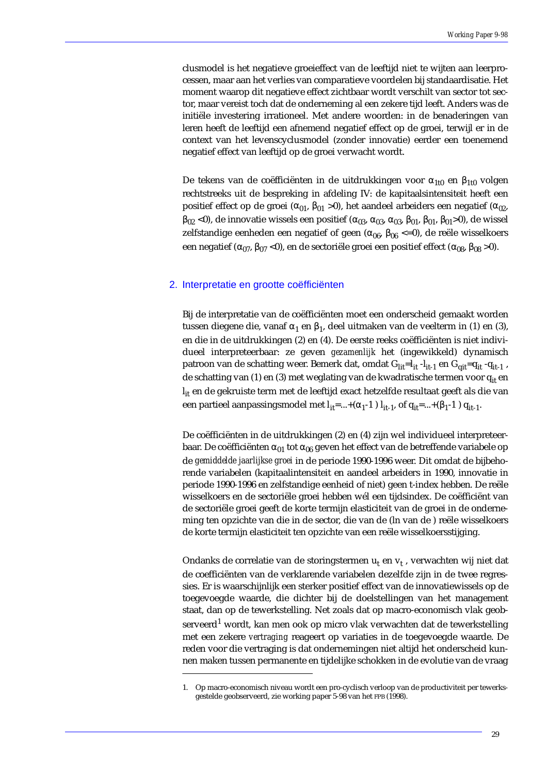clusmodel is het negatieve groeieffect van de leeftijd niet te wijten aan leerprocessen, maar aan het verlies van comparatieve voordelen bij standaardisatie. Het moment waarop dit negatieve effect zichtbaar wordt verschilt van sector tot sector, maar vereist toch dat de onderneming al een zekere tijd leeft. Anders was de initiële investering irrationeel. Met andere woorden: in de benaderingen van leren heeft de leeftijd een afnemend negatief effect op de groei, terwijl er in de context van het levenscyclusmodel (zonder innovatie) eerder een toenemend negatief effect van leeftijd op de groei verwacht wordt.

De tekens van de coëfficiënten in de uitdrukkingen voor  $α_{1t0}$  en  $β_{1t0}$  volgen rechtstreeks uit de bespreking in afdeling IV: de kapitaalsintensiteit heeft een positief effect op de groei ( $\alpha_{01}$ ,  $\beta_{01}$  >0), het aandeel arbeiders een negatief ( $\alpha_{02}$ ,  $β_{02}$  <0), de innovatie wissels een positief ( $α_{03}$ ,  $α_{03}$ ,  $α_{03}$ ,  $β_{01}$ ,  $β_{01}$ ,  $β_{01}$ >0), de wissel zelfstandige eenheden een negatief of geen ( $\alpha_{06}$ ,  $\beta_{06}$  <=0), de reële wisselkoers een negatief ( $\alpha_{07}$ ,  $\beta_{07}$  <0), en de sectoriële groei een positief effect ( $\alpha_{08}$ ,  $\beta_{08}$  >0).

### 2. Interpretatie en grootte coëfficiënten

Bij de interpretatie van de coëfficiënten moet een onderscheid gemaakt worden tussen diegene die, vanaf α<sub>1</sub> en β<sub>1</sub>, deel uitmaken van de veelterm in (1) en (3), en die in de uitdrukkingen (2) en (4). De eerste reeks coëfficiënten is niet individueel interpreteerbaar: ze geven *gezamenlijk* het (ingewikkeld) dynamisch patroon van de schatting weer. Bemerk dat, omdat G<sub>lit</sub>=l<sub>it</sub> -l<sub>it-1</sub> en G<sub>qit</sub>=q<sub>it</sub> -q<sub>it-1</sub>, de schatting van (1) en (3) met weglating van de kwadratische termen voor q<sub>it</sub> en  $I_{it}$  en de gekruiste term met de leeftijd exact hetzelfde resultaat geeft als die van een partieel aanpassingsmodel met  $l_{it} = ... + (\alpha_1 - 1) l_{it-1}$ , of  $q_{it} = ... + (\beta_1 - 1) q_{it-1}$ .

De coëfficiënten in de uitdrukkingen (2) en (4) zijn wel individueel interpreteerbaar. De coëfficiënten  $\alpha_{01}$  tot  $\alpha_{06}$  geven het effect van de betreffende variabele op de *gemiddelde jaarlijkse groei* in de periode 1990-1996 weer. Dit omdat de bijbehorende variabelen (kapitaalintensiteit en aandeel arbeiders in 1990, innovatie in periode 1990-1996 en zelfstandige eenheid of niet) geen t-index hebben. De reële wisselkoers en de sectoriële groei hebben wél een tijdsindex. De coëfficiënt van de sectoriële groei geeft de korte termijn elasticiteit van de groei in de onderneming ten opzichte van die in de sector, die van de (ln van de ) reële wisselkoers de korte termijn elasticiteit ten opzichte van een reële wisselkoersstijging.

Ondanks de correlatie van de storingstermen  $u_t$  en  $v_t$ , verwachten wij niet dat de coefficiënten van de verklarende variabelen dezelfde zijn in de twee regressies. Er is waarschijnlijk een sterker positief effect van de innovatiewissels op de toegevoegde waarde, die dichter bij de doelstellingen van het management staat, dan op de tewerkstelling. Net zoals dat op macro-economisch vlak geobserveerd $^1$  wordt, kan men ook op micro vlak verwachten dat de tewerkstelling met een zekere *vertraging* reageert op variaties in de toegevoegde waarde. De reden voor die vertraging is dat ondernemingen niet altijd het onderscheid kunnen maken tussen permanente en tijdelijke schokken in de evolutie van de vraag

<sup>1.</sup> Op macro-economisch niveau wordt een pro-cyclisch verloop van de productiviteit per tewerksgestelde geobserveerd, zie working paper 5-98 van het FPB (1998).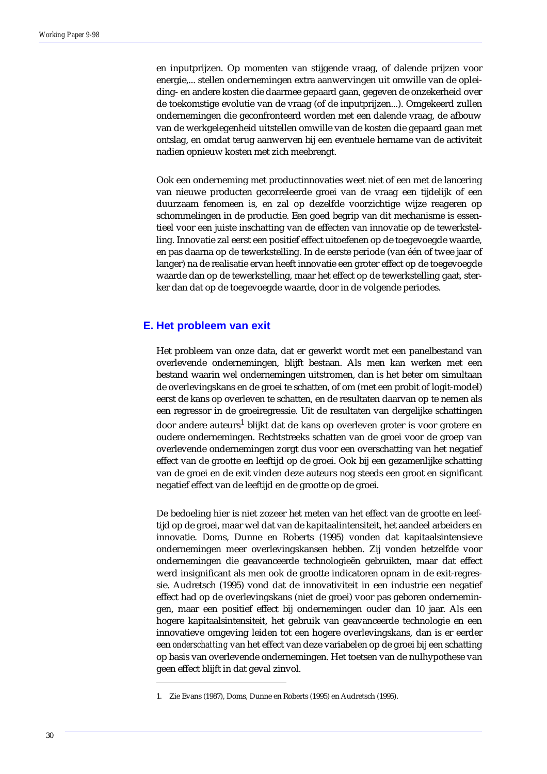en inputprijzen. Op momenten van stijgende vraag, of dalende prijzen voor energie,... stellen ondernemingen extra aanwervingen uit omwille van de opleiding- en andere kosten die daarmee gepaard gaan, gegeven de onzekerheid over de toekomstige evolutie van de vraag (of de inputprijzen...). Omgekeerd zullen ondernemingen die geconfronteerd worden met een dalende vraag, de afbouw van de werkgelegenheid uitstellen omwille van de kosten die gepaard gaan met ontslag, en omdat terug aanwerven bij een eventuele hername van de activiteit nadien opnieuw kosten met zich meebrengt.

Ook een onderneming met productinnovaties weet niet of een met de lancering van nieuwe producten gecorreleerde groei van de vraag een tijdelijk of een duurzaam fenomeen is, en zal op dezelfde voorzichtige wijze reageren op schommelingen in de productie. Een goed begrip van dit mechanisme is essentieel voor een juiste inschatting van de effecten van innovatie op de tewerkstelling. Innovatie zal eerst een positief effect uitoefenen op de toegevoegde waarde, en pas daarna op de tewerkstelling. In de eerste periode (van één of twee jaar of langer) na de realisatie ervan heeft innovatie een groter effect op de toegevoegde waarde dan op de tewerkstelling, maar het effect op de tewerkstelling gaat, sterker dan dat op de toegevoegde waarde, door in de volgende periodes.

# **E. Het probleem van exit**

Het probleem van onze data, dat er gewerkt wordt met een panelbestand van overlevende ondernemingen, blijft bestaan. Als men kan werken met een bestand waarin wel ondernemingen uitstromen, dan is het beter om simultaan de overlevingskans en de groei te schatten, of om (met een probit of logit-model) eerst de kans op overleven te schatten, en de resultaten daarvan op te nemen als een regressor in de groeiregressie. Uit de resultaten van dergelijke schattingen door andere auteurs<sup>1</sup> blijkt dat de kans op overleven groter is voor grotere en oudere ondernemingen. Rechtstreeks schatten van de groei voor de groep van overlevende ondernemingen zorgt dus voor een overschatting van het negatief effect van de grootte en leeftijd op de groei. Ook bij een gezamenlijke schatting van de groei en de exit vinden deze auteurs nog steeds een groot en significant negatief effect van de leeftijd en de grootte op de groei.

De bedoeling hier is niet zozeer het meten van het effect van de grootte en leeftijd op de groei, maar wel dat van de kapitaalintensiteit, het aandeel arbeiders en innovatie. Doms, Dunne en Roberts (1995) vonden dat kapitaalsintensieve ondernemingen meer overlevingskansen hebben. Zij vonden hetzelfde voor ondernemingen die geavanceerde technologieën gebruikten, maar dat effect werd insignificant als men ook de grootte indicatoren opnam in de exit-regressie. Audretsch (1995) vond dat de innovativiteit in een industrie een negatief effect had op de overlevingskans (niet de groei) voor pas geboren ondernemingen, maar een positief effect bij ondernemingen ouder dan 10 jaar. Als een hogere kapitaalsintensiteit, het gebruik van geavanceerde technologie en een innovatieve omgeving leiden tot een hogere overlevingskans, dan is er eerder een *onderschatting* van het effect van deze variabelen op de groei bij een schatting op basis van overlevende ondernemingen. Het toetsen van de nulhypothese van geen effect blijft in dat geval zinvol.

<sup>1.</sup> Zie Evans (1987), Doms, Dunne en Roberts (1995) en Audretsch (1995).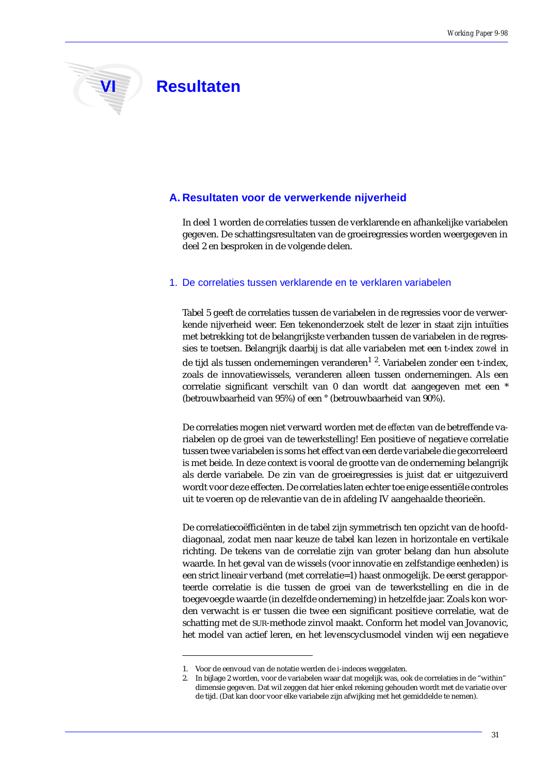

# **VI Resultaten**

# **A. Resultaten voor de verwerkende nijverheid**

In deel 1 worden de correlaties tussen de verklarende en afhankelijke variabelen gegeven. De schattingsresultaten van de groeiregressies worden weergegeven in deel 2 en besproken in de volgende delen.

### 1. De correlaties tussen verklarende en te verklaren variabelen

Tabel 5 geeft de correlaties tussen de variabelen in de regressies voor de verwerkende nijverheid weer. Een tekenonderzoek stelt de lezer in staat zijn intuïties met betrekking tot de belangrijkste verbanden tussen de variabelen in de regressies te toetsen. Belangrijk daarbij is dat alle variabelen met een t-index *zowel* in de tijd als tussen ondernemingen veranderen $^{\rm 1}$   $^{\rm 2}$ . Variabelen zonder een t-index, zoals de innovatiewissels, veranderen alleen tussen ondernemingen. Als een correlatie significant verschilt van 0 dan wordt dat aangegeven met een \* (betrouwbaarheid van 95%) of een ° (betrouwbaarheid van 90%).

De correlaties mogen niet verward worden met de *effecten* van de betreffende variabelen op de groei van de tewerkstelling! Een positieve of negatieve correlatie tussen twee variabelen is soms het effect van een derde variabele die gecorreleerd is met beide. In deze context is vooral de grootte van de onderneming belangrijk als derde variabele. De zin van de groeiregressies is juist dat er uitgezuiverd wordt voor deze effecten. De correlaties laten echter toe enige essentiële controles uit te voeren op de relevantie van de in afdeling IV aangehaalde theorieën.

De correlatiecoëfficiënten in de tabel zijn symmetrisch ten opzicht van de hoofddiagonaal, zodat men naar keuze de tabel kan lezen in horizontale en vertikale richting. De tekens van de correlatie zijn van groter belang dan hun absolute waarde. In het geval van de wissels (voor innovatie en zelfstandige eenheden) is een strict lineair verband (met correlatie=1) haast onmogelijk. De eerst gerapporteerde correlatie is die tussen de groei van de tewerkstelling en die in de toegevoegde waarde (in dezelfde onderneming) in hetzelfde jaar. Zoals kon worden verwacht is er tussen die twee een significant positieve correlatie, wat de schatting met de SUR-methode zinvol maakt. Conform het model van Jovanovic, het model van actief leren, en het levenscyclusmodel vinden wij een negatieve

<sup>1.</sup> Voor de eenvoud van de notatie werden de i-indeces weggelaten.

<sup>2.</sup> In bijlage 2 worden, voor de variabelen waar dat mogelijk was, ook de correlaties in de "within" dimensie gegeven. Dat wil zeggen dat hier enkel rekening gehouden wordt met de variatie over de tijd. (Dat kan door voor elke variabele zijn afwijking met het gemiddelde te nemen).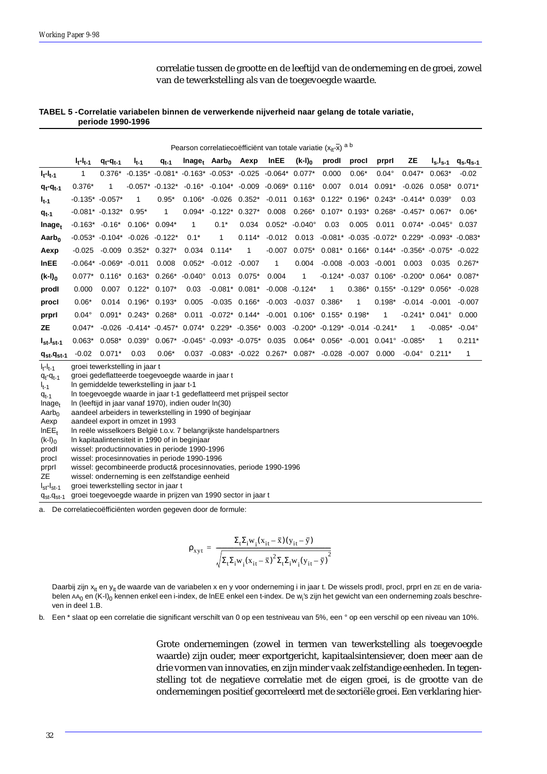correlatie tussen de grootte en de leeftijd van de onderneming en de groei, zowel van de tewerkstelling als van de toegevoegde waarde.

### **TABEL 5 -Correlatie variabelen binnen de verwerkende nijverheid naar gelang de totale variatie, periode 1990-1996**

Pearson correlatiecoëfficiënt van totale variatie  $(x_{it}-\bar{x})$  a b **lt-lt-1 qt-qt-1 lt-1 qt-1 lnaget Aarb0 Aexp lnEE (k-l)0 prodI procI prprI ZE ls-ls-1 qs-qs-1 lt-lt-1** 1 0.376\* -0.135\* -0.081\* -0.163\* -0.053\* -0.025 -0.064\* 0.077\* 0.000 0.06\* 0.04° 0.047\* 0.063\* -0.02 **qt-qt-1** 0.376\* 1 -0.057\* -0.132\* -0.16\* -0.104\* -0.009 -0.069\* 0.116\* 0.007 0.014 0.091\* -0.026 0.058\* 0.071\* **lt-1** -0.135\* -0.057\* 1 0.95\* 0.106\* -0.026 0.352\* -0.011 0.163\* 0.122\* 0.196\* 0.243\* -0.414\* 0.039° 0.03 **qt-1** -0.081\* -0.132\* 0.95\* 1 0.094\* -0.122\* 0.327\* 0.008 0.266\* 0.107\* 0.193\* 0.268\* -0.457\* 0.067\* 0.06\* **lnaget** -0.163\* -0.16\* 0.106\* 0.094\* 1 0.1\* 0.034 0.052\* -0.040° 0.03 0.005 0.011 0.074\* -0.045° 0.037 **Aarb0** -0.053\* -0.104\* -0.026 -0.122\* 0.1\* 1 0.114\* -0.012 0.013 -0.081\* -0.035 -0.072\* 0.229\* -0.093\* -0.083\* **Aexp** -0.025 -0.009 0.352\* 0.327\* 0.034 0.114\* 1 -0.007 0.075\* 0.081\* 0.166\* 0.144\* -0.356\* -0.075\* -0.022 **lnEE** -0.064\* -0.069\* -0.011 0.008 0.052\* -0.012 -0.007 1 0.004 -0.008 -0.003 -0.001 0.003 0.035 0.267\* **(k-l)0** 0.077\* 0.116\* 0.163\* 0.266\* -0.040° 0.013 0.075\* 0.004 1 -0.124\* -0.037 0.106\* -0.200\* 0.064\* 0.087\* **prodI** 0.000 0.007 0.122\* 0.107\* 0.03 -0.081\* 0.081\* -0.008 -0.124\* 1 0.386\* 0.155\* -0.129\* 0.056\* -0.028 **procI** 0.06\* 0.014 0.196\* 0.193\* 0.005 -0.035 0.166\* -0.003 -0.037 0.386\* 1 0.198\* -0.014 -0.001 -0.007 **prprI** 0.04° 0.091\* 0.243\* 0.268\* 0.011 -0.072\* 0.144\* -0.001 0.106\* 0.155\* 0.198\* 1 -0.241\* 0.041° 0.000 **ZE** 0.047\* -0.026 -0.414\* -0.457\* 0.074\* 0.229\* -0.356\* 0.003 -0.200\* -0.129\* -0.014 -0.241\* 1 -0.085\* -0.04° **lst-lst-1** 0.063\* 0.058\* 0.039° 0.067\* -0.045° -0.093\* -0.075\* 0.035 0.064\* 0.056\* -0.001 0.041° -0.085\* 1 0.211\* **qst-qst-1** -0.02 0.071\* 0.03 0.06\* 0.037 -0.083\* -0.022 0.267\* 0.087\* -0.028 -0.007 0.000 -0.04° 0.211\* 1 groei tewerkstelling in jaar t

 $I_{t-1}$  $q_t - q_{t-1}$ groei gedeflatteerde toegevoegde waarde in jaar t

l t-1 ln gemiddelde tewerkstelling in jaar t-1

 $q_{t-1}$ ln toegevoegde waarde in jaar t-1 gedeflatteerd met prijspeil sector

 $Inage<sub>t</sub>$ ln (leeftijd in jaar vanaf 1970), indien ouder ln(30)

Aarb $<sub>0</sub>$ </sub> aandeel arbeiders in tewerkstelling in 1990 of beginjaar

Aexp aandeel export in omzet in 1993

 $InEE<sub>t</sub>$ ln reële wisselkoers België t.o.v. 7 belangrijkste handelspartners

 $(k-l)<sub>0</sub>$ ln kapitaalintensiteit in 1990 of in beginjaar

prodI wissel: productinnovaties in periode 1990-1996

procI wissel: procesinnovaties in periode 1990-1996

prprI wissel: gecombineerde product& procesinnovaties, periode 1990-1996

ZE wissel: onderneming is een zelfstandige eenheid

l<sub>st</sub>-l<sub>st-1</sub> groei tewerkstelling sector in jaar t

 $q_{st}$ - $q_{st}$ -1 groei toegevoegde waarde in prijzen van 1990 sector in jaar t

a. De correlatiecoëfficiënten worden gegeven door de formule:

$$
\rho_{xyt} = \frac{\Sigma_t \Sigma_i w_i (x_{it}-\bar{x})(y_{it}-\bar{y})}{\sqrt{\Sigma_t \Sigma_i w_i (x_{it}-\bar{x})^2 \Sigma_t \Sigma_i w_i (y_{it}-\bar{y})^2}}
$$

Daarbij zijn x<sub>it</sub> en y<sub>it</sub> de waarde van de variabelen x en y voor onderneming i in jaar t. De wissels prodl, procl, prprI en zE en de variabelen AA<sub>0</sub> en (K-I)<sub>0</sub> kennen enkel een i-index, de InEE enkel een t-index. De w<sub>i</sub>'s zijn het gewicht van een onderneming zoals beschreven in deel 1.B.

b. Een \* slaat op een correlatie die significant verschilt van 0 op een testniveau van 5%, een ° op een verschil op een niveau van 10%.

Grote ondernemingen (zowel in termen van tewerkstelling als toegevoegde waarde) zijn ouder, meer exportgericht, kapitaalsintensiever, doen meer aan de drie vormen van innovaties, en zijn minder vaak zelfstandige eenheden. In tegenstelling tot de negatieve correlatie met de eigen groei, is de grootte van de ondernemingen positief gecorreleerd met de sectoriële groei. Een verklaring hier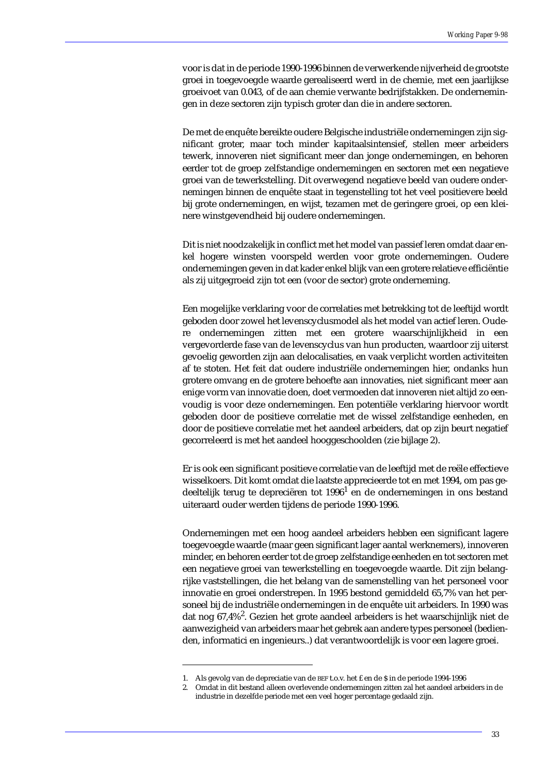voor is dat in de periode 1990-1996 binnen de verwerkende nijverheid de grootste groei in toegevoegde waarde gerealiseerd werd in de chemie, met een jaarlijkse groeivoet van 0.043, of de aan chemie verwante bedrijfstakken. De ondernemingen in deze sectoren zijn typisch groter dan die in andere sectoren.

De met de enquête bereikte oudere Belgische industriële ondernemingen zijn significant groter, maar toch minder kapitaalsintensief, stellen meer arbeiders tewerk, innoveren niet significant meer dan jonge ondernemingen, en behoren eerder tot de groep zelfstandige ondernemingen en sectoren met een negatieve groei van de tewerkstelling. Dit overwegend negatieve beeld van oudere ondernemingen binnen de enquête staat in tegenstelling tot het veel positievere beeld bij grote ondernemingen, en wijst, tezamen met de geringere groei, op een kleinere winstgevendheid bij oudere ondernemingen.

Dit is niet noodzakelijk in conflict met het model van passief leren omdat daar enkel hogere winsten voorspeld werden voor grote ondernemingen. Oudere ondernemingen geven in dat kader enkel blijk van een grotere relatieve efficiëntie als zij uitgegroeid zijn tot een (voor de sector) grote onderneming.

Een mogelijke verklaring voor de correlaties met betrekking tot de leeftijd wordt geboden door zowel het levenscyclusmodel als het model van actief leren. Oudere ondernemingen zitten met een grotere waarschijnlijkheid in een vergevorderde fase van de levenscyclus van hun producten, waardoor zij uiterst gevoelig geworden zijn aan delocalisaties, en vaak verplicht worden activiteiten af te stoten. Het feit dat oudere industriële ondernemingen hier, ondanks hun grotere omvang en de grotere behoefte aan innovaties, niet significant meer aan enige vorm van innovatie doen, doet vermoeden dat innoveren niet altijd zo eenvoudig is voor deze ondernemingen. Een potentiële verklaring hiervoor wordt geboden door de positieve correlatie met de wissel zelfstandige eenheden, en door de positieve correlatie met het aandeel arbeiders, dat op zijn beurt negatief gecorreleerd is met het aandeel hooggeschoolden (zie bijlage 2).

Er is ook een significant positieve correlatie van de leeftijd met de reële effectieve wisselkoers. Dit komt omdat die laatste apprecieerde tot en met 1994, om pas gedeeltelijk terug te depreciëren tot  $1996<sup>1</sup>$  en de ondernemingen in ons bestand uiteraard ouder werden tijdens de periode 1990-1996.

Ondernemingen met een hoog aandeel arbeiders hebben een significant lagere toegevoegde waarde (maar geen significant lager aantal werknemers), innoveren minder, en behoren eerder tot de groep zelfstandige eenheden en tot sectoren met een negatieve groei van tewerkstelling en toegevoegde waarde. Dit zijn belangrijke vaststellingen, die het belang van de samenstelling van het personeel voor innovatie en groei onderstrepen. In 1995 bestond gemiddeld 65,7% van het personeel bij de industriële ondernemingen in de enquête uit arbeiders. In 1990 was dat nog 67,4% $^2$ . Gezien het grote aandeel arbeiders is het waarschijnlijk niet de aanwezigheid van arbeiders maar het gebrek aan andere types personeel (bedienden, informatici en ingenieurs..) dat verantwoordelijk is voor een lagere groei.

<sup>1.</sup> Als gevolg van de depreciatie van de BEF t.o.v. het £ en de \$ in de periode 1994-1996

<sup>2.</sup> Omdat in dit bestand alleen overlevende ondernemingen zitten zal het aandeel arbeiders in de industrie in dezelfde periode met een veel hoger percentage gedaald zijn.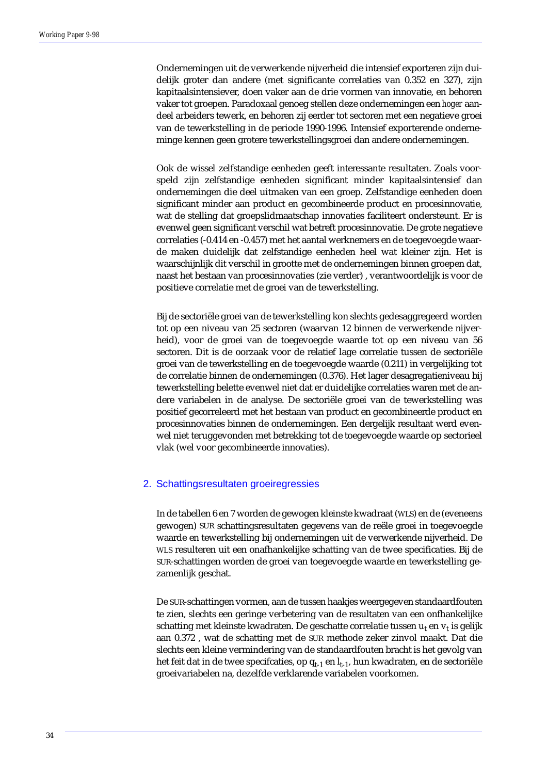Ondernemingen uit de verwerkende nijverheid die intensief exporteren zijn duidelijk groter dan andere (met significante correlaties van 0.352 en 327), zijn kapitaalsintensiever, doen vaker aan de drie vormen van innovatie, en behoren vaker tot groepen. Paradoxaal genoeg stellen deze ondernemingen een *hoger* aandeel arbeiders tewerk, en behoren zij eerder tot sectoren met een negatieve groei van de tewerkstelling in de periode 1990-1996. Intensief exporterende onderneminge kennen geen grotere tewerkstellingsgroei dan andere ondernemingen.

Ook de wissel zelfstandige eenheden geeft interessante resultaten. Zoals voorspeld zijn zelfstandige eenheden significant minder kapitaalsintensief dan ondernemingen die deel uitmaken van een groep. Zelfstandige eenheden doen significant minder aan product en gecombineerde product en procesinnovatie, wat de stelling dat groepslidmaatschap innovaties faciliteert ondersteunt. Er is evenwel geen significant verschil wat betreft procesinnovatie. De grote negatieve correlaties (-0.414 en -0.457) met het aantal werknemers en de toegevoegde waarde maken duidelijk dat zelfstandige eenheden heel wat kleiner zijn. Het is waarschijnlijk dit verschil in grootte met de ondernemingen binnen groepen dat, naast het bestaan van procesinnovaties (zie verder) , verantwoordelijk is voor de positieve correlatie met de groei van de tewerkstelling.

Bij de sectoriële groei van de tewerkstelling kon slechts gedesaggregeerd worden tot op een niveau van 25 sectoren (waarvan 12 binnen de verwerkende nijverheid), voor de groei van de toegevoegde waarde tot op een niveau van 56 sectoren. Dit is de oorzaak voor de relatief lage correlatie tussen de sectoriële groei van de tewerkstelling en de toegevoegde waarde (0.211) in vergelijking tot de correlatie binnen de ondernemingen (0.376). Het lager desagregatieniveau bij tewerkstelling belette evenwel niet dat er duidelijke correlaties waren met de andere variabelen in de analyse. De sectoriële groei van de tewerkstelling was positief gecorreleerd met het bestaan van product en gecombineerde product en procesinnovaties binnen de ondernemingen. Een dergelijk resultaat werd evenwel niet teruggevonden met betrekking tot de toegevoegde waarde op sectorieel vlak (wel voor gecombineerde innovaties).

### 2. Schattingsresultaten groeiregressies

In de tabellen 6 en 7 worden de gewogen kleinste kwadraat (WLS) en de (eveneens gewogen) SUR schattingsresultaten gegevens van de reële groei in toegevoegde waarde en tewerkstelling bij ondernemingen uit de verwerkende nijverheid. De WLS resulteren uit een onafhankelijke schatting van de twee specificaties. Bij de SUR-schattingen worden de groei van toegevoegde waarde en tewerkstelling gezamenlijk geschat.

De SUR-schattingen vormen, aan de tussen haakjes weergegeven standaardfouten te zien, slechts een geringe verbetering van de resultaten van een onfhankelijke schatting met kleinste kwadraten. De geschatte correlatie tussen  $u_t$  en  $v_t$  is gelijk aan 0.372 , wat de schatting met de SUR methode zeker zinvol maakt. Dat die slechts een kleine vermindering van de standaardfouten bracht is het gevolg van het feit dat in de twee specifcaties, op  $q_{t-1}$  en  $l_{t-1}$ , hun kwadraten, en de sectoriële groeivariabelen na, dezelfde verklarende variabelen voorkomen.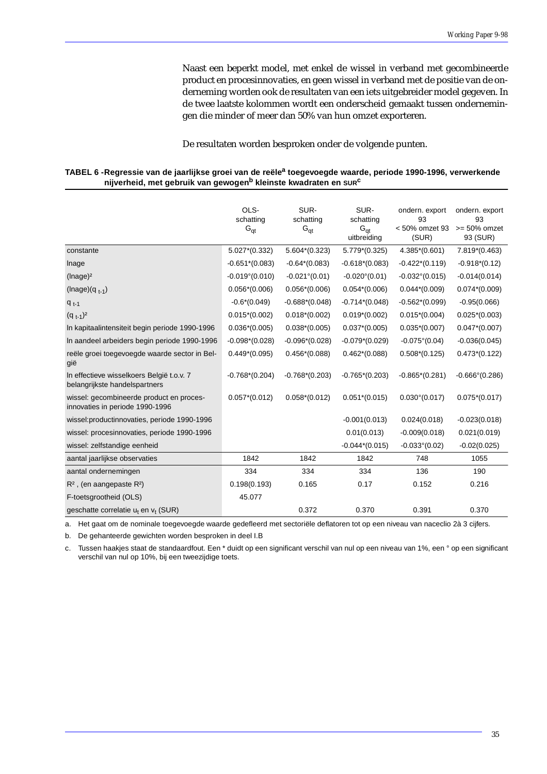Naast een beperkt model, met enkel de wissel in verband met gecombineerde product en procesinnovaties, en geen wissel in verband met de positie van de onderneming worden ook de resultaten van een iets uitgebreider model gegeven. In de twee laatste kolommen wordt een onderscheid gemaakt tussen ondernemingen die minder of meer dan 50% van hun omzet exporteren.

De resultaten worden besproken onder de volgende punten.

| TABEL 6 -Regressie van de jaarlijkse groei van de reële <sup>a</sup> toegevoegde waarde, periode 1990-1996, verwerkende |  |
|-------------------------------------------------------------------------------------------------------------------------|--|
| nijverheid, met gebruik van gewogen <sup>b</sup> kleinste kwadraten en surc                                             |  |

|                                                                             | OLS-                    | SUR-                   | SUR-                   | ondern. export          | ondern. export          |
|-----------------------------------------------------------------------------|-------------------------|------------------------|------------------------|-------------------------|-------------------------|
|                                                                             | schatting               | schatting              | schatting<br>$G_{at}$  | 93<br>< 50% omzet 93    | 93<br>$>= 50\%$ omzet   |
|                                                                             | $G_{qt}$                | $G_{qt}$               | uitbreiding            | (SUR)                   | 93 (SUR)                |
| constante                                                                   | $5.027*(0.332)$         | $5.604*(0.323)$        | 5.779*(0.325)          | $4.385*(0.601)$         | 7.819*(0.463)           |
| Inage                                                                       | $-0.651*(0.083)$        | $-0.64*(0.083)$        | $-0.618*(0.083)$       | $-0.422*(0.119)$        | $-0.918*(0.12)$         |
| $($ lnage $)$ <sup>2</sup>                                                  | $-0.019^{\circ}(0.010)$ | $-0.021^{\circ}(0.01)$ | $-0.020^{\circ}(0.01)$ | $-0.032^{\circ}(0.015)$ | $-0.014(0.014)$         |
| $(Image)(q_{t-1})$                                                          | $0.056*(0.006)$         | $0.056*(0.006)$        | $0.054*(0.006)$        | $0.044*(0.009)$         | $0.074*(0.009)$         |
| $q_{t-1}$                                                                   | $-0.6*(0.049)$          | $-0.688*(0.048)$       | $-0.714*(0.048)$       | $-0.562*(0.099)$        | $-0.95(0.066)$          |
| $(q_{t-1})^2$                                                               | $0.015*(0.002)$         | $0.018*(0.002)$        | $0.019*(0.002)$        | $0.015*(0.004)$         | $0.025*(0.003)$         |
| In kapitaalintensiteit begin periode 1990-1996                              | $0.036*(0.005)$         | $0.038*(0.005)$        | $0.037*(0.005)$        | $0.035*(0.007)$         | $0.047*(0.007)$         |
| In aandeel arbeiders begin periode 1990-1996                                | $-0.098*(0.028)$        | $-0.096*(0.028)$       | $-0.079*(0.029)$       | $-0.075^{\circ}(0.04)$  | $-0.036(0.045)$         |
| reële groei toegevoegde waarde sector in Bel-<br>gië                        | $0.449*(0.095)$         | $0.456*(0.088)$        | $0.462*(0.088)$        | $0.508*(0.125)$         | $0.473*(0.122)$         |
| In effectieve wisselkoers België t.o.v. 7<br>belangrijkste handelspartners  | $-0.768*(0.204)$        | $-0.768*(0.203)$       | $-0.765*(0.203)$       | $-0.865*(0.281)$        | $-0.666^{\circ}(0.286)$ |
| wissel: gecombineerde product en proces-<br>innovaties in periode 1990-1996 | $0.057*(0.012)$         | $0.058*(0.012)$        | $0.051*(0.015)$        | $0.030^{\circ}(0.017)$  | $0.075*(0.017)$         |
| wissel: productinnovaties, periode 1990-1996                                |                         |                        | $-0.001(0.013)$        | 0.024(0.018)            | $-0.023(0.018)$         |
| wissel: procesinnovaties, periode 1990-1996                                 |                         |                        | 0.01(0.013)            | $-0.009(0.018)$         | 0.021(0.019)            |
| wissel: zelfstandige eenheid                                                |                         |                        | $-0.044*(0.015)$       | $-0.033^{\circ}(0.02)$  | $-0.02(0.025)$          |
| aantal jaarlijkse observaties                                               | 1842                    | 1842                   | 1842                   | 748                     | 1055                    |
| aantal ondernemingen                                                        | 334                     | 334                    | 334                    | 136                     | 190                     |
| $R^2$ , (en aangepaste $R^2$ )                                              | 0.198(0.193)            | 0.165                  | 0.17                   | 0.152                   | 0.216                   |
| F-toetsgrootheid (OLS)                                                      | 45.077                  |                        |                        |                         |                         |
| geschatte correlatie u <sub>t</sub> en v <sub>t</sub> (SUR)                 |                         | 0.372                  | 0.370                  | 0.391                   | 0.370                   |

a. Het gaat om de nominale toegevoegde waarde gedefleerd met sectoriële deflatoren tot op een niveau van naceclio 2à 3 cijfers.

b. De gehanteerde gewichten worden besproken in deel I.B

c. Tussen haakjes staat de standaardfout. Een \* duidt op een significant verschil van nul op een niveau van 1%, een ° op een significant verschil van nul op 10%, bij een tweezijdige toets.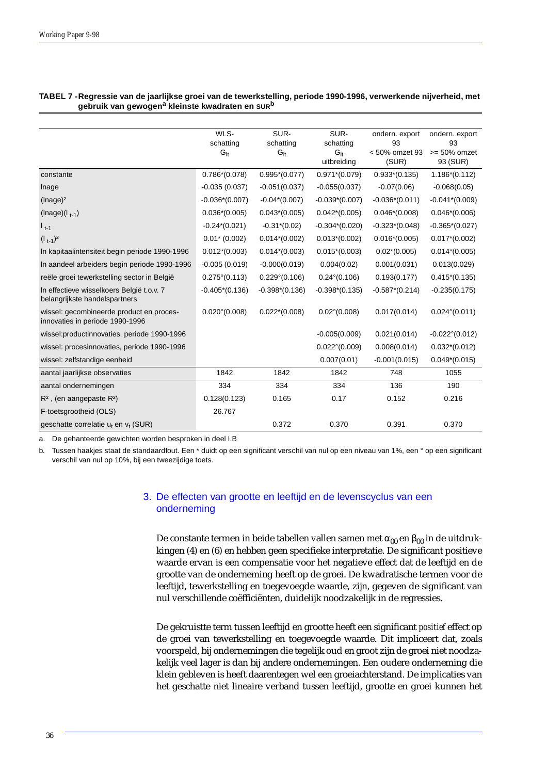|                                                                             | WLS-                   | SUR-                   | SUR-                   | ondern. export       | ondern. export          |
|-----------------------------------------------------------------------------|------------------------|------------------------|------------------------|----------------------|-------------------------|
|                                                                             | schatting              | schatting              | schatting              | 93<br>< 50% omzet 93 | 93<br>$>= 50\%$ omzet   |
|                                                                             | $G_{\text{lt}}$        | $G_{\rm{lt}}$          | $G_H$<br>uitbreiding   | (SUR)                | 93 (SUR)                |
|                                                                             |                        |                        |                        |                      |                         |
| constante                                                                   | $0.786*(0.078)$        | $0.995*(0.077)$        | $0.971*(0.079)$        | $0.933*(0.135)$      | $1.186*(0.112)$         |
| Inage                                                                       | $-0.035(0.037)$        | $-0.051(0.037)$        | $-0.055(0.037)$        | $-0.07(0.06)$        | $-0.068(0.05)$          |
| $($ lnage $)$ <sup>2</sup>                                                  | $-0.036*(0.007)$       | $-0.04*(0.007)$        | $-0.039*(0.007)$       | $-0.036*(0.011)$     | $-0.041*(0.009)$        |
| $( \text{Image}) (  _{t-1})$                                                | $0.036*(0.005)$        | $0.043*(0.005)$        | $0.042*(0.005)$        | $0.046*(0.008)$      | $0.046*(0.006)$         |
| $1_{t-1}$                                                                   | $-0.24*(0.021)$        | $-0.31*(0.02)$         | $-0.304*(0.020)$       | $-0.323*(0.048)$     | $-0.365*(0.027)$        |
| $(1_{t-1})^2$                                                               | $0.01*$ (0.002)        | $0.014*(0.002)$        | $0.013*(0.002)$        | $0.016*(0.005)$      | $0.017*(0.002)$         |
| In kapitaalintensiteit begin periode 1990-1996                              | $0.012*(0.003)$        | $0.014*(0.003)$        | $0.015*(0.003)$        | $0.02*(0.005)$       | $0.014*(0.005)$         |
| In aandeel arbeiders begin periode 1990-1996                                | $-0.005(0.019)$        | $-0.000(0.019)$        | 0.004(0.02)            | 0.001(0.031)         | 0.013(0.029)            |
| reële groei tewerkstelling sector in België                                 | $0.275^{\circ}(0.113)$ | $0.229^{\circ}(0.106)$ | $0.24^{\circ}(0.106)$  | 0.193(0.177)         | $0.415*(0.135)$         |
| In effectieve wisselkoers België t.o.v. 7<br>belangrijkste handelspartners  | $-0.405*(0.136)$       | $-0.398*(0.136)$       | $-0.398*(0.135)$       | $-0.587*(0.214)$     | $-0.235(0.175)$         |
| wissel: gecombineerde product en proces-<br>innovaties in periode 1990-1996 | $0.020^{\circ}(0.008)$ | $0.022*(0.008)$        | $0.02^{\circ}(0.008)$  | 0.017(0.014)         | $0.024^{\circ}(0.011)$  |
| wissel: productinnovaties, periode 1990-1996                                |                        |                        | $-0.005(0.009)$        | 0.021(0.014)         | $-0.022^{\circ}(0.012)$ |
| wissel: procesinnovaties, periode 1990-1996                                 |                        |                        | $0.022^{\circ}(0.009)$ | 0.008(0.014)         | $0.032*(0.012)$         |
| wissel: zelfstandige eenheid                                                |                        |                        | 0.007(0.01)            | $-0.001(0.015)$      | $0.049*(0.015)$         |
| aantal jaarlijkse observaties                                               | 1842                   | 1842                   | 1842                   | 748                  | 1055                    |
| aantal ondernemingen                                                        | 334                    | 334                    | 334                    | 136                  | 190                     |
| $R^2$ , (en aangepaste $R^2$ )                                              | 0.128(0.123)           | 0.165                  | 0.17                   | 0.152                | 0.216                   |
| F-toetsgrootheid (OLS)                                                      | 26.767                 |                        |                        |                      |                         |
| geschatte correlatie u <sub>t</sub> en v <sub>t</sub> (SUR)                 |                        | 0.372                  | 0.370                  | 0.391                | 0.370                   |

### **TABEL 7 -Regressie van de jaarlijkse groei van de tewerkstelling, periode 1990-1996, verwerkende nijverheid, met gebruik van gewogena kleinste kwadraten en SURb**

a. De gehanteerde gewichten worden besproken in deel I.B

b. Tussen haakjes staat de standaardfout. Een \* duidt op een significant verschil van nul op een niveau van 1%, een ° op een significant verschil van nul op 10%, bij een tweezijdige toets.

## 3. De effecten van grootte en leeftijd en de levenscyclus van een onderneming

De constante termen in beide tabellen vallen samen met  $\alpha_{00}$  en  $\beta_{00}$  in de uitdrukkingen (4) en (6) en hebben geen specifieke interpretatie. De significant positieve waarde ervan is een compensatie voor het negatieve effect dat de leeftijd en de grootte van de onderneming heeft op de groei. De kwadratische termen voor de leeftijd, tewerkstelling en toegevoegde waarde, zijn, gegeven de significant van nul verschillende coëfficiënten, duidelijk noodzakelijk in de regressies.

De gekruistte term tussen leeftijd en grootte heeft een significant *positief* effect op de groei van tewerkstelling en toegevoegde waarde. Dit impliceert dat, zoals voorspeld, bij ondernemingen die tegelijk oud en groot zijn de groei niet noodzakelijk veel lager is dan bij andere ondernemingen. Een oudere onderneming die klein gebleven is heeft daarentegen wel een groeiachterstand. De implicaties van het geschatte niet lineaire verband tussen leeftijd, grootte en groei kunnen het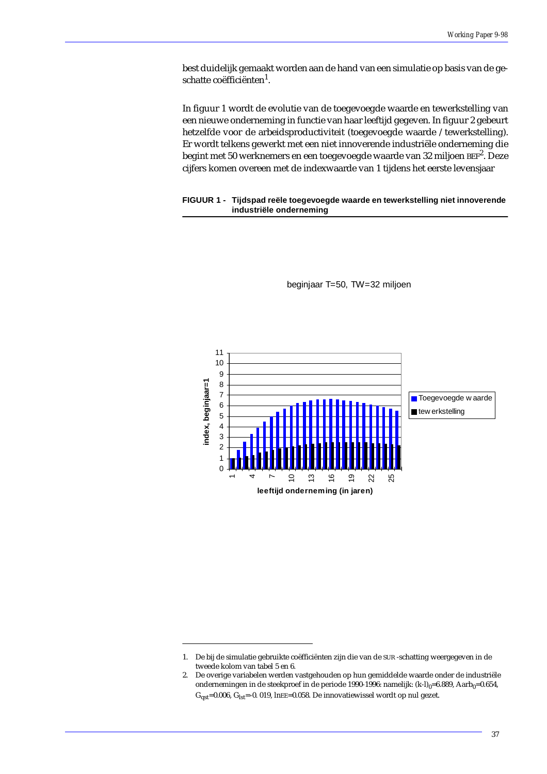best duidelijk gemaakt worden aan de hand van een simulatie op basis van de geschatte coëfficiënten<sup>1</sup>.

In figuur 1 wordt de evolutie van de toegevoegde waarde en tewerkstelling van een nieuwe onderneming in functie van haar leeftijd gegeven. In figuur 2 gebeurt hetzelfde voor de arbeidsproductiviteit (toegevoegde waarde /tewerkstelling). Er wordt telkens gewerkt met een niet innoverende industriële onderneming die begint met 50 werknemers en een toegevoegde waarde van 32 miljoen BEF<sup>2</sup>. Deze cijfers komen overeen met de indexwaarde van 1 tijdens het eerste levensjaar

### **FIGUUR 1 - Tijdspad reële toegevoegde waarde en tewerkstelling niet innoverende industriële onderneming**



beginjaar T=50, TW=32 miljoen

<sup>1.</sup> De bij de simulatie gebruikte coëfficiënten zijn die van de SUR -schatting weergegeven in de tweede kolom van tabel 5 en 6.

<sup>2.</sup> De overige variabelen werden vastgehouden op hun gemiddelde waarde onder de industriële ondernemingen in de steekproef in de periode 1990-1996: namelijk:  $(k-l)_{0}=6.889$ , Aarb $_{0}=0.654$ ,  $G_{\text{ast}}$ =0.006,  $G_{\text{lst}}$ =-0. 019, lnEE=0.058. De innovatiewissel wordt op nul gezet.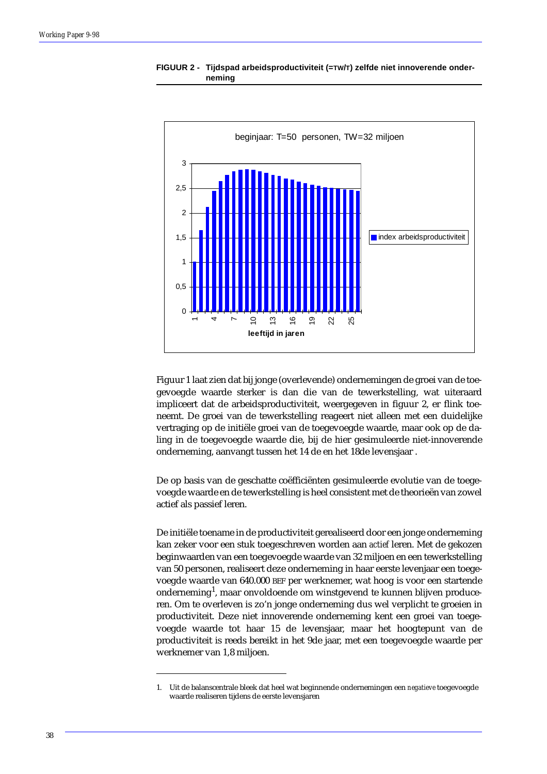

**FIGUUR 2 - Tijdspad arbeidsproductiviteit (=TW/T) zelfde niet innoverende onderneming**

Figuur 1 laat zien dat bij jonge (overlevende) ondernemingen de groei van de toegevoegde waarde sterker is dan die van de tewerkstelling, wat uiteraard impliceert dat de arbeidsproductiviteit, weergegeven in figuur 2, er flink toeneemt. De groei van de tewerkstelling reageert niet alleen met een duidelijke vertraging op de initiële groei van de toegevoegde waarde, maar ook op de daling in de toegevoegde waarde die, bij de hier gesimuleerde niet-innoverende onderneming, aanvangt tussen het 14 de en het 18de levensjaar .

De op basis van de geschatte coëfficiënten gesimuleerde evolutie van de toegevoegde waarde en de tewerkstelling is heel consistent met de theorieën van zowel actief als passief leren.

De initiële toename in de productiviteit gerealiseerd door een jonge onderneming kan zeker voor een stuk toegeschreven worden aan *actief* leren. Met de gekozen beginwaarden van een toegevoegde waarde van 32 miljoen en een tewerkstelling van 50 personen, realiseert deze onderneming in haar eerste levenjaar een toegevoegde waarde van 640.000 BEF per werknemer, wat hoog is voor een startende onderneming $^{\rm l}$ , maar onvoldoende om winstgevend te kunnen blijven produceren. Om te overleven is zo'n jonge onderneming dus wel verplicht te groeien in productiviteit. Deze niet innoverende onderneming kent een groei van toegevoegde waarde tot haar 15 de levensjaar, maar het hoogtepunt van de productiviteit is reeds bereikt in het 9de jaar, met een toegevoegde waarde per werknemer van 1,8 miljoen.

<sup>1.</sup> Uit de balanscentrale bleek dat heel wat beginnende ondernemingen een *negatieve* toegevoegde waarde realiseren tijdens de eerste levensjaren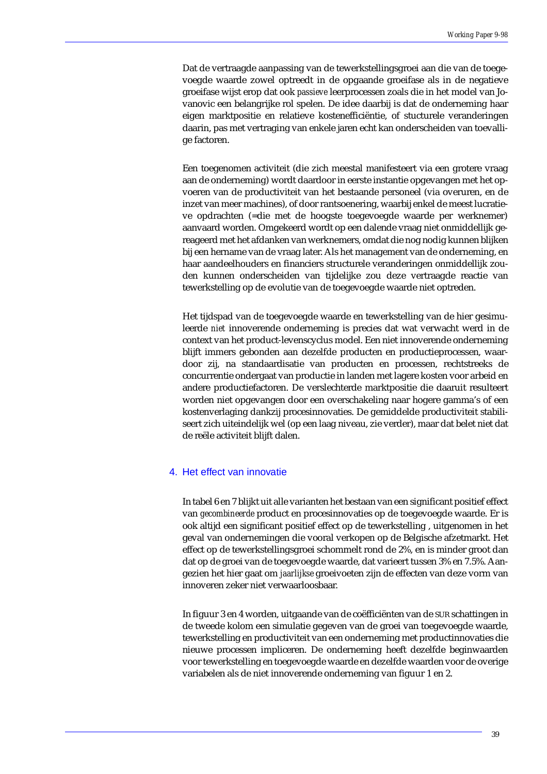Dat de vertraagde aanpassing van de tewerkstellingsgroei aan die van de toegevoegde waarde zowel optreedt in de opgaande groeifase als in de negatieve groeifase wijst erop dat ook *passieve* leerprocessen zoals die in het model van Jovanovic een belangrijke rol spelen. De idee daarbij is dat de onderneming haar eigen marktpositie en relatieve kostenefficiëntie, of stucturele veranderingen daarin, pas met vertraging van enkele jaren echt kan onderscheiden van toevallige factoren.

Een toegenomen activiteit (die zich meestal manifesteert via een grotere vraag aan de onderneming) wordt daardoor in eerste instantie opgevangen met het opvoeren van de productiviteit van het bestaande personeel (via overuren, en de inzet van meer machines), of door rantsoenering, waarbij enkel de meest lucratieve opdrachten (=die met de hoogste toegevoegde waarde per werknemer) aanvaard worden. Omgekeerd wordt op een dalende vraag niet onmiddellijk gereageerd met het afdanken van werknemers, omdat die nog nodig kunnen blijken bij een hername van de vraag later. Als het management van de onderneming, en haar aandeelhouders en financiers structurele veranderingen onmiddellijk zouden kunnen onderscheiden van tijdelijke zou deze vertraagde reactie van tewerkstelling op de evolutie van de toegevoegde waarde niet optreden.

Het tijdspad van de toegevoegde waarde en tewerkstelling van de hier gesimuleerde *niet* innoverende onderneming is precies dat wat verwacht werd in de context van het product-levenscyclus model. Een niet innoverende onderneming blijft immers gebonden aan dezelfde producten en productieprocessen, waardoor zij, na standaardisatie van producten en processen, rechtstreeks de concurrentie ondergaat van productie in landen met lagere kosten voor arbeid en andere productiefactoren. De verslechterde marktpositie die daaruit resulteert worden niet opgevangen door een overschakeling naar hogere gamma's of een kostenverlaging dankzij procesinnovaties. De gemiddelde productiviteit stabiliseert zich uiteindelijk wel (op een laag niveau, zie verder), maar dat belet niet dat de reële activiteit blijft dalen.

### 4. Het effect van innovatie

In tabel 6 en 7 blijkt uit alle varianten het bestaan van een significant positief effect van *gecombineerde* product en procesinnovaties op de toegevoegde waarde. Er is ook altijd een significant positief effect op de tewerkstelling , uitgenomen in het geval van ondernemingen die vooral verkopen op de Belgische afzetmarkt. Het effect op de tewerkstellingsgroei schommelt rond de 2%, en is minder groot dan dat op de groei van de toegevoegde waarde, dat varieert tussen 3% en 7.5%. Aangezien het hier gaat om *jaarlijkse* groeivoeten zijn de effecten van deze vorm van innoveren zeker niet verwaarloosbaar.

In figuur 3 en 4 worden, uitgaande van de coëfficiënten van de SUR schattingen in de tweede kolom een simulatie gegeven van de groei van toegevoegde waarde, tewerkstelling en productiviteit van een onderneming met productinnovaties die nieuwe processen impliceren. De onderneming heeft dezelfde beginwaarden voor tewerkstelling en toegevoegde waarde en dezelfde waarden voor de overige variabelen als de niet innoverende onderneming van figuur 1 en 2.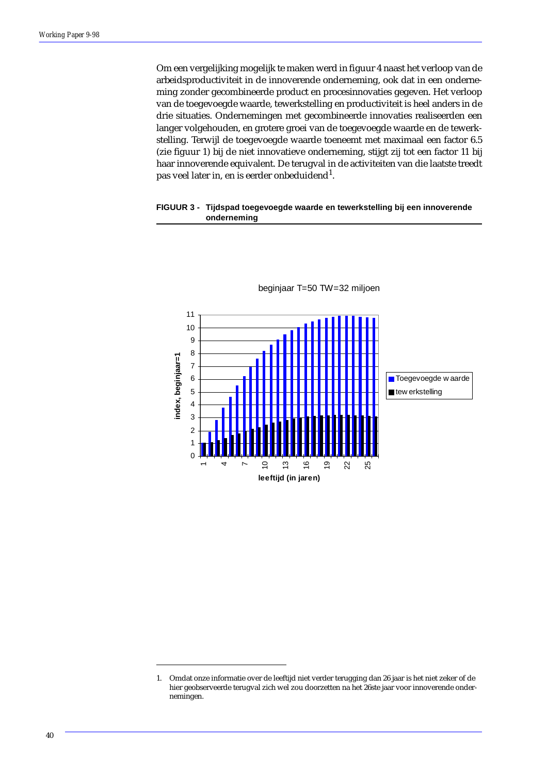Om een vergelijking mogelijk te maken werd in figuur 4 naast het verloop van de arbeidsproductiviteit in de innoverende onderneming, ook dat in een onderneming zonder gecombineerde product en procesinnovaties gegeven. Het verloop van de toegevoegde waarde, tewerkstelling en productiviteit is heel anders in de drie situaties. Ondernemingen met gecombineerde innovaties realiseerden een langer volgehouden, en grotere groei van de toegevoegde waarde en de tewerkstelling. Terwijl de toegevoegde waarde toeneemt met maximaal een factor 6.5 (zie figuur 1) bij de niet innovatieve onderneming, stijgt zij tot een factor 11 bij haar innoverende equivalent. De terugval in de activiteiten van die laatste treedt pas veel later in, en is eerder onbeduidend $^{\rm 1}$ .

### **FIGUUR 3 - Tijdspad toegevoegde waarde en tewerkstelling bij een innoverende onderneming**



<sup>1.</sup> Omdat onze informatie over de leeftijd niet verder terugging dan 26 jaar is het niet zeker of de hier geobserveerde terugval zich wel zou doorzetten na het 26ste jaar voor innoverende ondernemingen.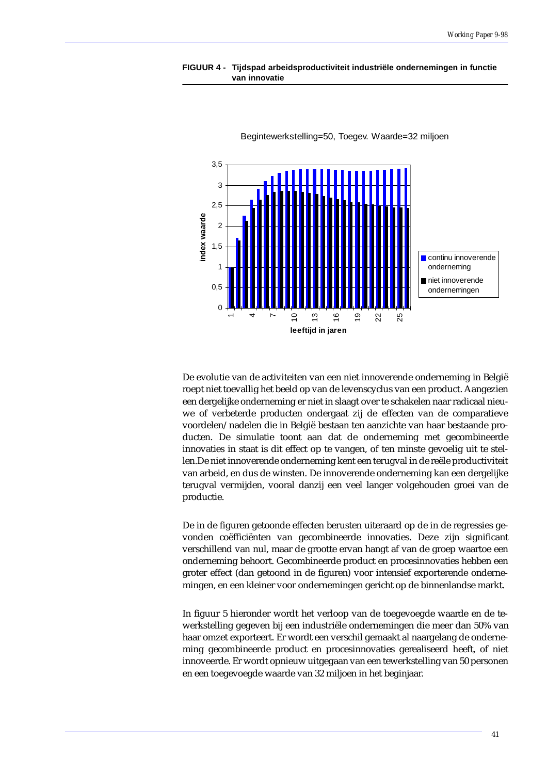



Begintewerkstelling=50, Toegev. Waarde=32 miljoen

De evolutie van de activiteiten van een niet innoverende onderneming in België roept niet toevallig het beeld op van de levenscyclus van een product. Aangezien een dergelijke onderneming er niet in slaagt over te schakelen naar radicaal nieuwe of verbeterde producten ondergaat zij de effecten van de comparatieve voordelen/nadelen die in België bestaan ten aanzichte van haar bestaande producten. De simulatie toont aan dat de onderneming met gecombineerde innovaties in staat is dit effect op te vangen, of ten minste gevoelig uit te stellen.De niet innoverende onderneming kent een terugval in de reële productiviteit van arbeid, en dus de winsten. De innoverende onderneming kan een dergelijke terugval vermijden, vooral danzij een veel langer volgehouden groei van de productie.

De in de figuren getoonde effecten berusten uiteraard op de in de regressies gevonden coëfficiënten van gecombineerde innovaties. Deze zijn significant verschillend van nul, maar de grootte ervan hangt af van de groep waartoe een onderneming behoort. Gecombineerde product en procesinnovaties hebben een groter effect (dan getoond in de figuren) voor intensief exporterende ondernemingen, en een kleiner voor ondernemingen gericht op de binnenlandse markt.

In figuur 5 hieronder wordt het verloop van de toegevoegde waarde en de tewerkstelling gegeven bij een industriële ondernemingen die meer dan 50% van haar omzet exporteert. Er wordt een verschil gemaakt al naargelang de onderneming gecombineerde product en procesinnovaties gerealiseerd heeft, of niet innoveerde. Er wordt opnieuw uitgegaan van een tewerkstelling van 50 personen en een toegevoegde waarde van 32 miljoen in het beginjaar.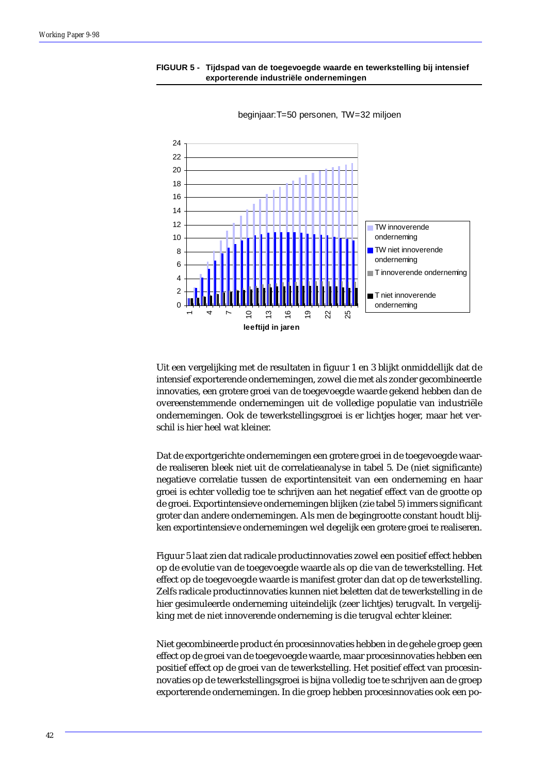### **FIGUUR 5 - Tijdspad van de toegevoegde waarde en tewerkstelling bij intensief exporterende industriële ondernemingen**



beginjaar:T=50 personen, TW=32 miljoen

Uit een vergelijking met de resultaten in figuur 1 en 3 blijkt onmiddellijk dat de intensief exporterende ondernemingen, zowel die met als zonder gecombineerde innovaties, een grotere groei van de toegevoegde waarde gekend hebben dan de overeenstemmende ondernemingen uit de volledige populatie van industriële ondernemingen. Ook de tewerkstellingsgroei is er lichtjes hoger, maar het verschil is hier heel wat kleiner.

Dat de exportgerichte ondernemingen een grotere groei in de toegevoegde waarde realiseren bleek niet uit de correlatieanalyse in tabel 5. De (niet significante) negatieve correlatie tussen de exportintensiteit van een onderneming en haar groei is echter volledig toe te schrijven aan het negatief effect van de grootte op de groei. Exportintensieve ondernemingen blijken (zie tabel 5) immers significant groter dan andere ondernemingen. Als men de begingrootte constant houdt blijken exportintensieve ondernemingen wel degelijk een grotere groei te realiseren.

Figuur 5 laat zien dat radicale productinnovaties zowel een positief effect hebben op de evolutie van de toegevoegde waarde als op die van de tewerkstelling. Het effect op de toegevoegde waarde is manifest groter dan dat op de tewerkstelling. Zelfs radicale productinnovaties kunnen niet beletten dat de tewerkstelling in de hier gesimuleerde onderneming uiteindelijk (zeer lichtjes) terugvalt. In vergelijking met de niet innoverende onderneming is die terugval echter kleiner.

Niet gecombineerde product én procesinnovaties hebben in de gehele groep geen effect op de groei van de toegevoegde waarde, maar procesinnovaties hebben een positief effect op de groei van de tewerkstelling. Het positief effect van procesinnovaties op de tewerkstellingsgroei is bijna volledig toe te schrijven aan de groep exporterende ondernemingen. In die groep hebben procesinnovaties ook een po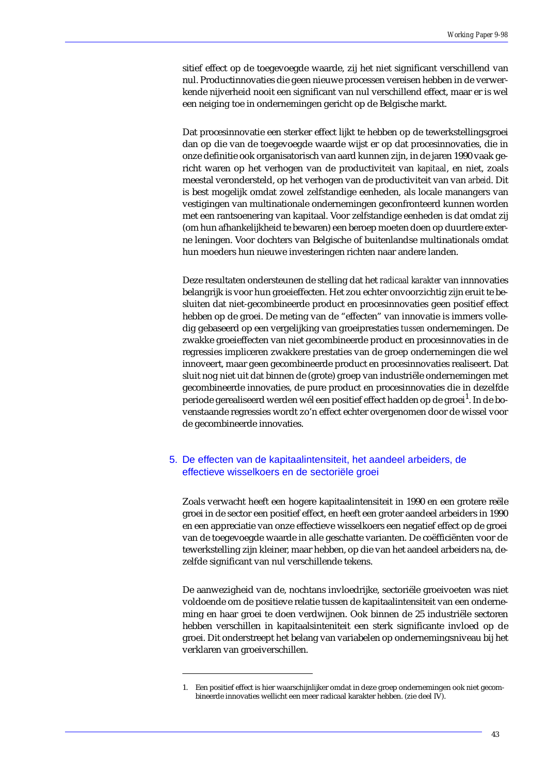sitief effect op de toegevoegde waarde, zij het niet significant verschillend van nul. Productinnovaties die geen nieuwe processen vereisen hebben in de verwerkende nijverheid nooit een significant van nul verschillend effect, maar er is wel een neiging toe in ondernemingen gericht op de Belgische markt.

Dat procesinnovatie een sterker effect lijkt te hebben op de tewerkstellingsgroei dan op die van de toegevoegde waarde wijst er op dat procesinnovaties, die in onze definitie ook organisatorisch van aard kunnen zijn, in de jaren 1990 vaak gericht waren op het verhogen van de productiviteit van *kapitaal*, en niet, zoals meestal verondersteld, op het verhogen van de productiviteit van van *arbeid*. Dit is best mogelijk omdat zowel zelfstandige eenheden, als locale manangers van vestigingen van multinationale ondernemingen geconfronteerd kunnen worden met een rantsoenering van kapitaal. Voor zelfstandige eenheden is dat omdat zij (om hun afhankelijkheid te bewaren) een beroep moeten doen op duurdere externe leningen. Voor dochters van Belgische of buitenlandse multinationals omdat hun moeders hun nieuwe investeringen richten naar andere landen.

Deze resultaten ondersteunen de stelling dat het *radicaal karakter* van innnovaties belangrijk is voor hun groeieffecten. Het zou echter onvoorzichtig zijn eruit te besluiten dat niet-gecombineerde product en procesinnovaties geen positief effect hebben op de groei. De meting van de "effecten" van innovatie is immers volledig gebaseerd op een vergelijking van groeiprestaties *tussen* ondernemingen. De zwakke groeieffecten van niet gecombineerde product en procesinnovaties in de regressies impliceren zwakkere prestaties van de groep ondernemingen die wel innoveert, maar geen gecombineerde product en procesinnovaties realiseert. Dat sluit nog niet uit dat binnen de (grote) groep van industriële ondernemingen met gecombineerde innovaties, de pure product en procesinnovaties die in dezelfde periode gerealiseerd werden wél een positief effect hadden op de groei<sup>1</sup>. In de bovenstaande regressies wordt zo'n effect echter overgenomen door de wissel voor de gecombineerde innovaties.

# 5. De effecten van de kapitaalintensiteit, het aandeel arbeiders, de effectieve wisselkoers en de sectoriële groei

Zoals verwacht heeft een hogere kapitaalintensiteit in 1990 en een grotere reële groei in de sector een positief effect, en heeft een groter aandeel arbeiders in 1990 en een appreciatie van onze effectieve wisselkoers een negatief effect op de groei van de toegevoegde waarde in alle geschatte varianten. De coëfficiënten voor de tewerkstelling zijn kleiner, maar hebben, op die van het aandeel arbeiders na, dezelfde significant van nul verschillende tekens.

De aanwezigheid van de, nochtans invloedrijke, sectoriële groeivoeten was niet voldoende om de positieve relatie tussen de kapitaalintensiteit van een onderneming en haar groei te doen verdwijnen. Ook binnen de 25 industriële sectoren hebben verschillen in kapitaalsinteniteit een sterk significante invloed op de groei. Dit onderstreept het belang van variabelen op ondernemingsniveau bij het verklaren van groeiverschillen.

<sup>1.</sup> Een positief effect is hier waarschijnlijker omdat in deze groep ondernemingen ook niet gecombineerde innovaties wellicht een meer radicaal karakter hebben. (zie deel IV).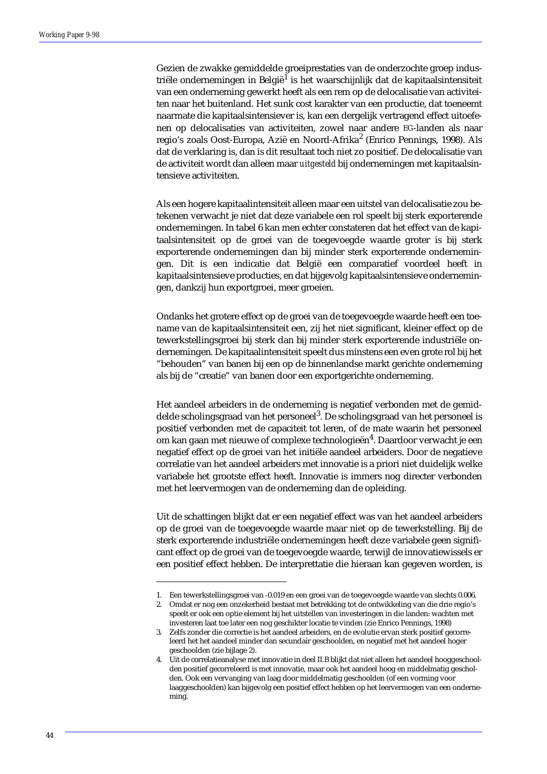Gezien de zwakke gemiddelde groeiprestaties van de onderzochte groep industriële ondernemingen in België<sup>1</sup> is het waarschijnlijk dat de kapitaalsintensiteit van een onderneming gewerkt heeft als een rem op de delocalisatie van activiteiten naar het buitenland. Het sunk cost karakter van een productie, dat toeneemt naarmate die kapitaalsintensiever is, kan een dergelijk vertragend effect uitoefenen op delocalisaties van activiteiten, zowel naar andere EG-landen als naar regio's zoals Oost-Europa, Azië en Noord-Afrika<sup>2</sup> (Enrico Pennings, 1998). Als dat de verklaring is, dan is dit resultaat toch niet zo positief. De delocalisatie van de activiteit wordt dan alleen maar *uitgesteld* bij ondernemingen met kapitaalsintensieve activiteiten.

Als een hogere kapitaalintensiteit alleen maar een uitstel van delocalisatie zou betekenen verwacht je niet dat deze variabele een rol speelt bij sterk exporterende ondernemingen. In tabel 6 kan men echter constateren dat het effect van de kapitaalsintensiteit op de groei van de toegevoegde waarde groter is bij sterk exporterende ondernemingen dan bij minder sterk exporterende ondernemingen. Dit is een indicatie dat België een comparatief voordeel heeft in kapitaalsintensieve producties, en dat bijgevolg kapitaalsintensieve ondernemingen, dankzij hun exportgroei, meer groeien.

Ondanks het grotere effect op de groei van de toegevoegde waarde heeft een toename van de kapitaalsintensiteit een, zij het niet significant, kleiner effect op de tewerkstellingsgroei bij sterk dan bij minder sterk exporterende industriële ondernemingen. De kapitaalintensiteit speelt dus minstens een even grote rol bij het "behouden" van banen bij een op de binnenlandse markt gerichte onderneming als bij de "creatie" van banen door een exportgerichte onderneming.

Het aandeel arbeiders in de onderneming is negatief verbonden met de gemiddelde scholingsgraad van het personeel<sup>3</sup>. De scholingsgraad van het personeel is positief verbonden met de capaciteit tot leren, of de mate waarin het personeel om kan gaan met nieuwe of complexe technologieën<sup>4</sup>. Daardoor verwacht je een negatief effect op de groei van het initiële aandeel arbeiders. Door de negatieve correlatie van het aandeel arbeiders met innovatie is a priori niet duidelijk welke variabele het grootste effect heeft. Innovatie is immers nog directer verbonden met het leervermogen van de onderneming dan de opleiding.

Uit de schattingen blijkt dat er een negatief effect was van het aandeel arbeiders op de groei van de toegevoegde waarde maar niet op de tewerkstelling. Bij de sterk exporterende industriële ondernemingen heeft deze variabele geen significant effect op de groei van de toegevoegde waarde, terwijl de innovatiewissels er een positief effect hebben. De interprettatie die hieraan kan gegeven worden, is

<sup>1.</sup> Een tewerkstellingsgroei van -0.019 en een groei van de toegevoegde waarde van slechts 0.006.

<sup>2.</sup> Omdat er nog een onzekerheid bestaat met betrekking tot de ontwikkeling van die drie regio's speelt er ook een optie element bij het uitstellen van investeringen in die landen: wachten met investeren laat toe later een nog geschikter locatie te vinden (zie Enrico Pennings, 1998)

<sup>3.</sup> Zelfs zonder die correctie is het aandeel arbeiders, en de evolutie ervan sterk positief gecorreleerd het het aandeel minder dan secundair geschoolden, en negatief met het aandeel hoger geschoolden (zie bijlage 2).

<sup>4.</sup> Uit de correlatieanalyse met innovatie in deel II.B blijkt dat niet alleen het aandeel hooggeschoolden positief gecorreleerd is met innovatie, maar ook het aandeel hoog en middelmatig gescholden. Ook een vervanging van laag door middelmatig geschoolden (of een vorming voor laaggeschoolden) kan bijgevolg een positief effect hebben op het leervermogen van een onderneming.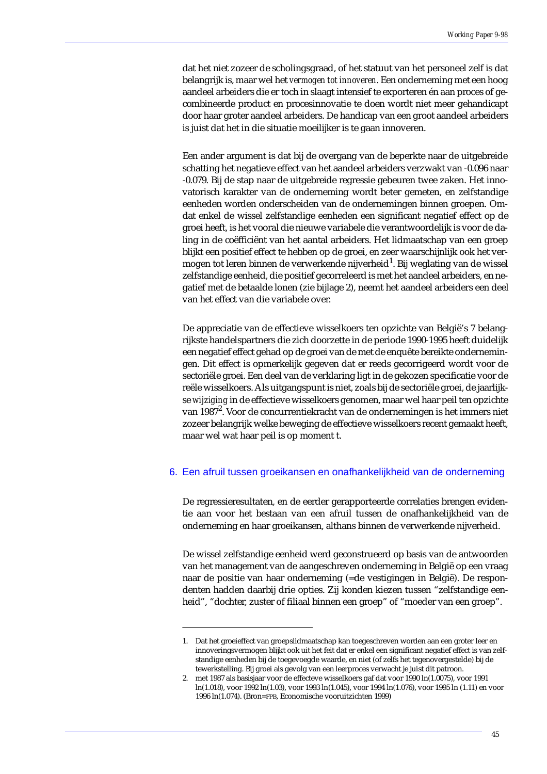dat het niet zozeer de scholingsgraad, of het statuut van het personeel zelf is dat belangrijk is, maar wel het *vermogen tot innoveren*. Een onderneming met een hoog aandeel arbeiders die er toch in slaagt intensief te exporteren én aan proces of gecombineerde product en procesinnovatie te doen wordt niet meer gehandicapt door haar groter aandeel arbeiders. De handicap van een groot aandeel arbeiders is juist dat het in die situatie moeilijker is te gaan innoveren.

Een ander argument is dat bij de overgang van de beperkte naar de uitgebreide schatting het negatieve effect van het aandeel arbeiders verzwakt van -0.096 naar -0.079. Bij de stap naar de uitgebreide regressie gebeuren twee zaken. Het innovatorisch karakter van de onderneming wordt beter gemeten, en zelfstandige eenheden worden onderscheiden van de ondernemingen binnen groepen. Omdat enkel de wissel zelfstandige eenheden een significant negatief effect op de groei heeft, is het vooral die nieuwe variabele die verantwoordelijk is voor de daling in de coëfficiënt van het aantal arbeiders. Het lidmaatschap van een groep blijkt een positief effect te hebben op de groei, en zeer waarschijnlijk ook het vermogen tot leren binnen de verwerkende nijverheid $^{\rm l}$ . Bij weglating van de wissel zelfstandige eenheid, die positief gecorreleerd is met het aandeel arbeiders, en negatief met de betaalde lonen (zie bijlage 2), neemt het aandeel arbeiders een deel van het effect van die variabele over.

De appreciatie van de effectieve wisselkoers ten opzichte van België's 7 belangrijkste handelspartners die zich doorzette in de periode 1990-1995 heeft duidelijk een negatief effect gehad op de groei van de met de enquête bereikte ondernemingen. Dit effect is opmerkelijk gegeven dat er reeds gecorrigeerd wordt voor de sectoriële groei. Een deel van de verklaring ligt in de gekozen specificatie voor de reële wisselkoers. Als uitgangspunt is niet, zoals bij de sectoriële groei, de jaarlijkse *wijziging* in de effectieve wisselkoers genomen, maar wel haar peil ten opzichte van 1987 $^2$ . Voor de concurrentiekracht van de ondernemingen is het immers niet zozeer belangrijk welke beweging de effectieve wisselkoers recent gemaakt heeft, maar wel wat haar peil is op moment t.

### 6. Een afruil tussen groeikansen en onafhankelijkheid van de onderneming

De regressieresultaten, en de eerder gerapporteerde correlaties brengen evidentie aan voor het bestaan van een afruil tussen de onafhankelijkheid van de onderneming en haar groeikansen, althans binnen de verwerkende nijverheid.

De wissel zelfstandige eenheid werd geconstrueerd op basis van de antwoorden van het management van de aangeschreven onderneming in België op een vraag naar de positie van haar onderneming (=de vestigingen in België). De respondenten hadden daarbij drie opties. Zij konden kiezen tussen "zelfstandige eenheid", "dochter, zuster of filiaal binnen een groep" of "moeder van een groep".

<sup>1.</sup> Dat het groeieffect van groepslidmaatschap kan toegeschreven worden aan een groter leer en innoveringsvermogen blijkt ook uit het feit dat er enkel een significant negatief effect is van zelfstandige eenheden bij de toegevoegde waarde, en niet (of zelfs het tegenovergestelde) bij de tewerkstelling. Bij groei als gevolg van een leerproces verwacht je juist dit patroon.

<sup>2.</sup> met 1987 als basisjaar voor de effecteve wisselkoers gaf dat voor 1990 ln(1.0075), voor 1991 ln(1.018), voor 1992 ln(1.03), voor 1993 ln(1.045), voor 1994 ln(1.076), voor 1995 ln (1.11) en voor 1996 ln(1.074). (Bron=FPB, Economische vooruitzichten 1999)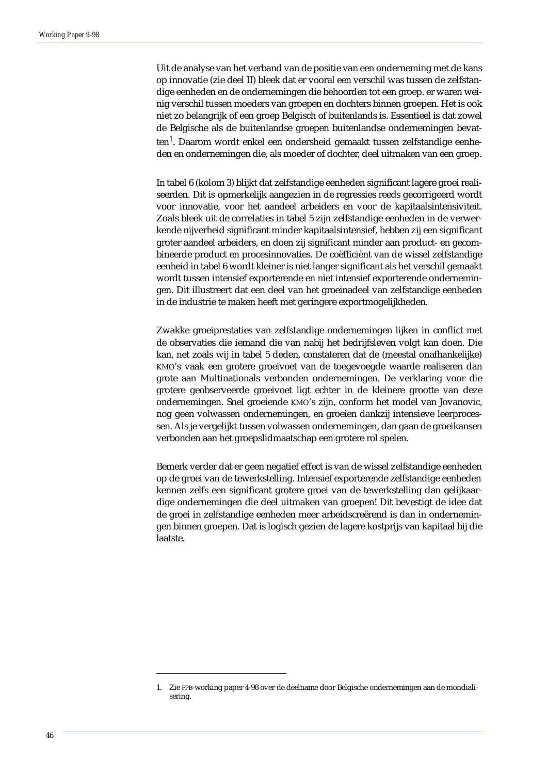Uit de analyse van het verband van de positie van een onderneming met de kans op innovatie (zie deel II) bleek dat er vooral een verschil was tussen de zelfstandige eenheden en de ondernemingen die behoorden tot een groep. er waren weinig verschil tussen moeders van groepen en dochters binnen groepen. Het is ook niet zo belangrijk of een groep Belgisch of buitenlands is. Essentieel is dat zowel de Belgische als de buitenlandse groepen buitenlandse ondernemingen bevatten<sup>1</sup>. Daarom wordt enkel een ondersheid gemaakt tussen zelfstandige eenheden en ondernemingen die, als moeder of dochter, deel uitmaken van een groep.

In tabel 6 (kolom 3) blijkt dat zelfstandige eenheden significant lagere groei realiseerden. Dit is opmerkelijk aangezien in de regressies reeds gecorrigeerd wordt voor innovatie, voor het aandeel arbeiders en voor de kapitaalsintensiviteit. Zoals bleek uit de correlaties in tabel 5 zijn zelfstandige eenheden in de verwerkende nijverheid significant minder kapitaalsintensief, hebben zij een significant groter aandeel arbeiders, en doen zij significant minder aan product- en gecombineerde product en procesinnovaties. De coëfficiënt van de wissel zelfstandige eenheid in tabel 6 wordt kleiner is niet langer significant als het verschil gemaakt wordt tussen intensief exporterende en niet intensief exporterende ondernemingen. Dit illustreert dat een deel van het groeinadeel van zelfstandige eenheden in de industrie te maken heeft met geringere exportmogelijkheden.

Zwakke groeiprestaties van zelfstandige ondernemingen lijken in conflict met de observaties die iemand die van nabij het bedrijfsleven volgt kan doen. Die kan, net zoals wij in tabel 5 deden, constateren dat de (meestal onafhankelijke) KMO's vaak een grotere groeivoet van de toegevoegde waarde realiseren dan grote aan Multinationals verbonden ondernemingen. De verklaring voor die grotere geobserveerde groeivoet ligt echter in de kleinere grootte van deze ondernemingen. Snel groeiende KMO's zijn, conform het model van Jovanovic, nog geen volwassen ondernemingen, en groeien dankzij intensieve leerprocessen. Als je vergelijkt tussen volwassen ondernemingen, dan gaan de groeikansen verbonden aan het groepslidmaatschap een grotere rol spelen.

Bemerk verder dat er geen negatief effect is van de wissel zelfstandige eenheden op de groei van de tewerkstelling. Intensief exporterende zelfstandige eenheden kennen zelfs een significant grotere groei van de tewerkstelling dan gelijkaardige ondernemingen die deel uitmaken van groepen! Dit bevestigt de idee dat de groei in zelfstandige eenheden meer arbeidscreërend is dan in ondernemingen binnen groepen. Dat is logisch gezien de lagere kostprijs van kapitaal bij die laatste.

<sup>1.</sup> Zie FPB-working paper 4-98 over de deelname door Belgische ondernemingen aan de mondialisering.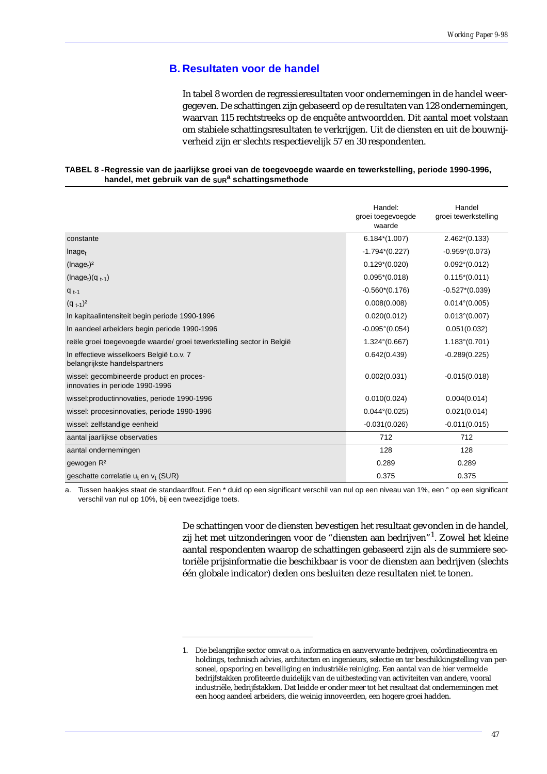# **B. Resultaten voor de handel**

In tabel 8 worden de regressieresultaten voor ondernemingen in de handel weergegeven. De schattingen zijn gebaseerd op de resultaten van 128 ondernemingen, waarvan 115 rechtstreeks op de enquête antwoordden. Dit aantal moet volstaan om stabiele schattingsresultaten te verkrijgen. Uit de diensten en uit de bouwnijverheid zijn er slechts respectievelijk 57 en 30 respondenten.

| TABEL 8 -Regressie van de jaarlijkse groei van de toegevoegde waarde en tewerkstelling, periode 1990-1996, |
|------------------------------------------------------------------------------------------------------------|
| handel, met gebruik van de sura schattingsmethode                                                          |

|                                                                             | Handel:<br>groei toegevoegde<br>waarde | Handel<br>groei tewerkstelling |
|-----------------------------------------------------------------------------|----------------------------------------|--------------------------------|
| constante                                                                   | $6.184*(1.007)$                        | $2.462*(0.133)$                |
| Inage <sub>t</sub>                                                          | $-1.794*(0.227)$                       | $-0.959*(0.073)$               |
| (Image <sub>t</sub> ) <sup>2</sup>                                          | $0.129*(0.020)$                        | $0.092*(0.012)$                |
| $(\text{Image}_{t})(q_{t-1})$                                               | $0.095*(0.018)$                        | $0.115*(0.011)$                |
| $q_{t-1}$                                                                   | $-0.560*(0.176)$                       | $-0.527*(0.039)$               |
| $(q_{t-1})^2$                                                               | 0.008(0.008)                           | $0.014^{\circ}(0.005)$         |
| In kapitaalintensiteit begin periode 1990-1996                              | 0.020(0.012)                           | $0.013^{\circ}(0.007)$         |
| In aandeel arbeiders begin periode 1990-1996                                | $-0.095^{\circ}(0.054)$                | 0.051(0.032)                   |
| reële groei toegevoegde waarde/groei tewerkstelling sector in België        | $1.324^{\circ}(0.667)$                 | $1.183^{\circ}(0.701)$         |
| In effectieve wisselkoers België t.o.v. 7<br>belangrijkste handelspartners  | 0.642(0.439)                           | $-0.289(0.225)$                |
| wissel: gecombineerde product en proces-<br>innovaties in periode 1990-1996 | 0.002(0.031)                           | $-0.015(0.018)$                |
| wissel: productinnovaties, periode 1990-1996                                | 0.010(0.024)                           | 0.004(0.014)                   |
| wissel: procesinnovaties, periode 1990-1996                                 | $0.044^{\circ}(0.025)$                 | 0.021(0.014)                   |
| wissel: zelfstandige eenheid                                                | $-0.031(0.026)$                        | $-0.011(0.015)$                |
| aantal jaarlijkse observaties                                               | 712                                    | 712                            |
| aantal ondernemingen                                                        | 128                                    | 128                            |
| gewogen R <sup>2</sup>                                                      | 0.289                                  | 0.289                          |
| geschatte correlatie $u_t$ en $v_t$ (SUR)                                   | 0.375                                  | 0.375                          |

a. Tussen haakjes staat de standaardfout. Een \* duid op een significant verschil van nul op een niveau van 1%, een ° op een significant verschil van nul op 10%, bij een tweezijdige toets.

> De schattingen voor de diensten bevestigen het resultaat gevonden in de handel, zij het met uitzonderingen voor de "diensten aan bedrijven"<sup>1</sup>. Zowel het kleine aantal respondenten waarop de schattingen gebaseerd zijn als de summiere sectoriële prijsinformatie die beschikbaar is voor de diensten aan bedrijven (slechts één globale indicator) deden ons besluiten deze resultaten niet te tonen.

<sup>1.</sup> Die belangrijke sector omvat o.a. informatica en aanverwante bedrijven, coördinatiecentra en holdings, technisch advies, architecten en ingenieurs, selectie en ter beschikkingstelling van personeel, opsporing en beveiliging en industriële reiniging. Een aantal van de hier vermelde bedrijfstakken profiteerde duidelijk van de uitbesteding van activiteiten van andere, vooral industriële, bedrijfstakken. Dat leidde er onder meer tot het resultaat dat ondernemingen met een hoog aandeel arbeiders, die weinig innoveerden, een hogere groei hadden.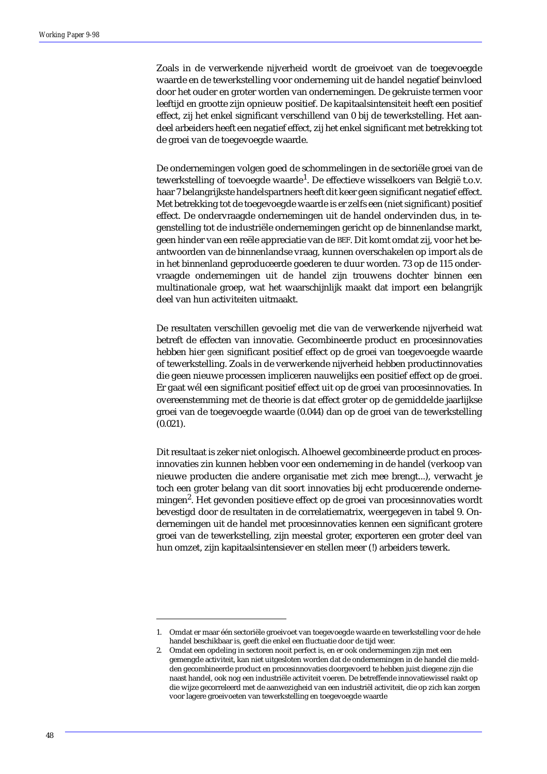Zoals in de verwerkende nijverheid wordt de groeivoet van de toegevoegde waarde en de tewerkstelling voor onderneming uit de handel negatief beinvloed door het ouder en groter worden van ondernemingen. De gekruiste termen voor leeftijd en grootte zijn opnieuw positief. De kapitaalsintensiteit heeft een positief effect, zij het enkel significant verschillend van 0 bij de tewerkstelling. Het aandeel arbeiders heeft een negatief effect, zij het enkel significant met betrekking tot de groei van de toegevoegde waarde.

De ondernemingen volgen goed de schommelingen in de sectoriële groei van de tewerkstelling of toevoegde waarde<sup>1</sup>. De effectieve wisselkoers van België t.o.v. haar 7 belangrijkste handelspartners heeft dit keer geen significant negatief effect. Met betrekking tot de toegevoegde waarde is er zelfs een (niet significant) positief effect. De ondervraagde ondernemingen uit de handel ondervinden dus, in tegenstelling tot de industriële ondernemingen gericht op de binnenlandse markt, geen hinder van een reële appreciatie van de BEF. Dit komt omdat zij, voor het beantwoorden van de binnenlandse vraag, kunnen overschakelen op import als de in het binnenland geproduceerde goederen te duur worden. 73 op de 115 ondervraagde ondernemingen uit de handel zijn trouwens dochter binnen een multinationale groep, wat het waarschijnlijk maakt dat import een belangrijk deel van hun activiteiten uitmaakt.

De resultaten verschillen gevoelig met die van de verwerkende nijverheid wat betreft de effecten van innovatie. Gecombineerde product en procesinnovaties hebben hier *geen* significant positief effect op de groei van toegevoegde waarde of tewerkstelling. Zoals in de verwerkende nijverheid hebben productinnovaties die geen nieuwe processen impliceren nauwelijks een positief effect op de groei. Er gaat wél een significant positief effect uit op de groei van procesinnovaties. In overeenstemming met de theorie is dat effect groter op de gemiddelde jaarlijkse groei van de toegevoegde waarde (0.044) dan op de groei van de tewerkstelling (0.021).

Dit resultaat is zeker niet onlogisch. Alhoewel gecombineerde product en procesinnovaties zin kunnen hebben voor een onderneming in de handel (verkoop van nieuwe producten die andere organisatie met zich mee brengt...), verwacht je toch een groter belang van dit soort innovaties bij echt producerende ondernemingen<sup>2</sup>. Het gevonden positieve effect op de groei van procesinnovaties wordt bevestigd door de resultaten in de correlatiematrix, weergegeven in tabel 9. Ondernemingen uit de handel met procesinnovaties kennen een significant grotere groei van de tewerkstelling, zijn meestal groter, exporteren een groter deel van hun omzet, zijn kapitaalsintensiever en stellen meer (!) arbeiders tewerk.

<sup>1.</sup> Omdat er maar één sectoriële groeivoet van toegevoegde waarde en tewerkstelling voor de hele handel beschikbaar is, geeft die enkel een fluctuatie door de tijd weer.

<sup>2.</sup> Omdat een opdeling in sectoren nooit perfect is, en er ook ondernemingen zijn met een gemengde activiteit, kan niet uitgesloten worden dat de ondernemingen in de handel die meldden gecombineerde product en procesinnovaties doorgevoerd te hebben juist diegene zijn die naast handel, ook nog een industriële activiteit voeren. De betreffende innovatiewissel raakt op die wijze gecorreleerd met de aanwezigheid van een industriël activiteit, die op zich kan zorgen voor lagere groeivoeten van tewerkstelling en toegevoegde waarde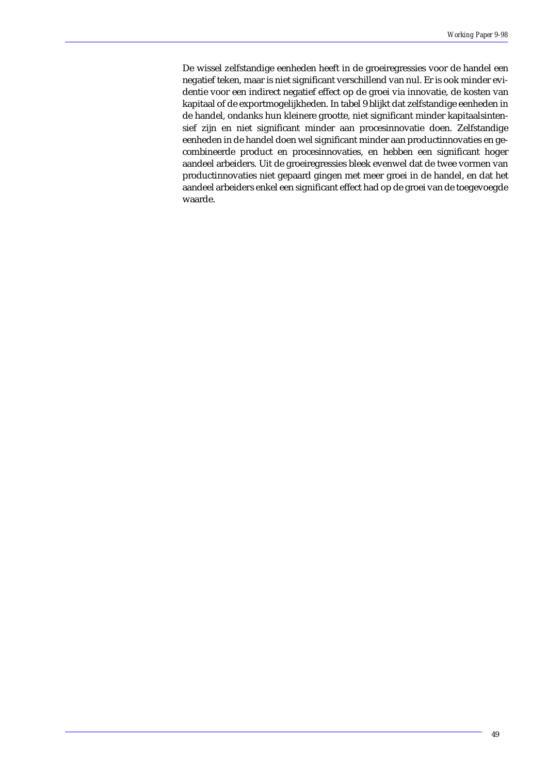De wissel zelfstandige eenheden heeft in de groeiregressies voor de handel een negatief teken, maar is niet significant verschillend van nul. Er is ook minder evidentie voor een indirect negatief effect op de groei via innovatie, de kosten van kapitaal of de exportmogelijkheden. In tabel 9 blijkt dat zelfstandige eenheden in de handel, ondanks hun kleinere grootte, niet significant minder kapitaalsintensief zijn en niet significant minder aan procesinnovatie doen. Zelfstandige eenheden in de handel doen wel significant minder aan productinnovaties en gecombineerde product en procesinnovaties, en hebben een significant hoger aandeel arbeiders. Uit de groeiregressies bleek evenwel dat de twee vormen van productinnovaties niet gepaard gingen met meer groei in de handel, en dat het aandeel arbeiders enkel een significant effect had op de groei van de toegevoegde waarde.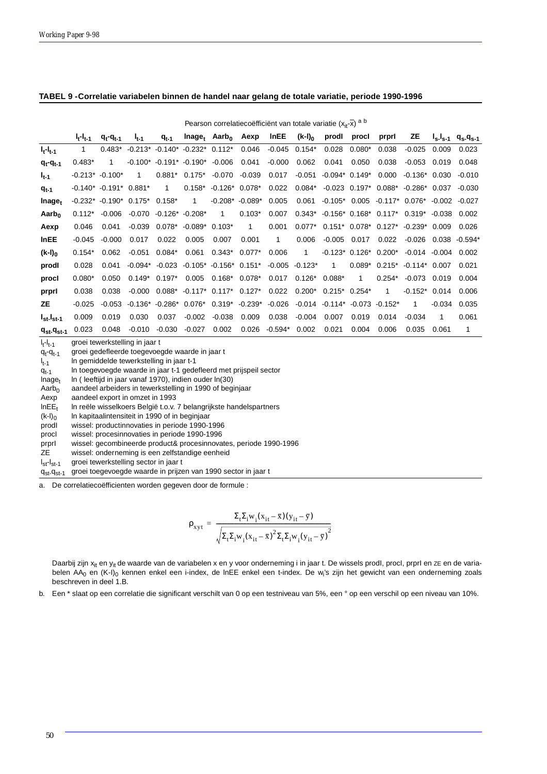|                        |                          |                              |                                           |                 |                                                     | Pearson correlatiecoëfficiënt van totale variatie $(x_{it}-\overline{x})$ a b |              |              |                             |                                                  |                |             |                                                      |                   |                                                 |
|------------------------|--------------------------|------------------------------|-------------------------------------------|-----------------|-----------------------------------------------------|-------------------------------------------------------------------------------|--------------|--------------|-----------------------------|--------------------------------------------------|----------------|-------------|------------------------------------------------------|-------------------|-------------------------------------------------|
|                        | $I_{t-1}$ <sub>t-1</sub> | $q_t - q_{t-1}$              | $I_{t-1}$                                 | $q_{t-1}$       |                                                     | Inage <sub>t</sub> Aarb <sub>o</sub>                                          | Aexp         | InEE         | $(k-1)_0$                   | prodl                                            | procl          | prprl       | ZΕ                                                   |                   | $I_{s}I_{s-1}$ q <sub>s</sub> -q <sub>s-1</sub> |
| $I_t-I_{t-1}$          | $\mathbf{1}$             | $0.483*$                     |                                           |                 | $-0.213$ * $-0.140$ * $-0.232$ * $0.112$ *          |                                                                               | 0.046        |              | $-0.045$ 0.154*             | 0.028                                            | $0.080*$       | 0.038       | $-0.025$                                             | 0.009             | 0.023                                           |
| $q_t - q_{t-1}$        | $0.483*$                 | 1                            |                                           |                 | $-0.100^*$ $-0.191^*$ $-0.190^*$                    | -0.006                                                                        | 0.041        | $-0.000$     | 0.062                       | 0.041                                            | 0.050          | 0.038       | $-0.053$                                             | 0.019             | 0.048                                           |
| $I_{t-1}$              |                          | $-0.213$ * $-0.100$ *        | 1                                         | $0.881*$        | $0.175*$                                            | $-0.070$                                                                      | $-0.039$     | 0.017        | $-0.051$                    | $-0.094$ * $0.149$ *                             |                | 0.000       | $-0.136*$ 0.030                                      |                   | $-0.010$                                        |
| $q_{t-1}$              |                          | $-0.140^*$ $-0.191^*$ 0.881* |                                           | $\overline{1}$  |                                                     | $0.158$ * $-0.126$ * $0.078$ *                                                |              | 0.022        | $0.084^{*}$                 |                                                  |                |             | $-0.023$ $0.197$ * $0.088$ * $-0.286$ * $0.037$      |                   | $-0.030$                                        |
| Inage <sub>t</sub>     |                          |                              | $-0.232$ * $-0.190$ * $0.175$ * $0.158$ * |                 | $\mathbf{1}$                                        | $-0.208$ * $-0.089$ *                                                         |              | 0.005        | 0.061                       |                                                  |                |             | $-0.105$ * 0.005 $-0.117$ * 0.076* $-0.002$ $-0.027$ |                   |                                                 |
| Aarb <sub>o</sub>      | $0.112*$                 | $-0.006$                     | -0.070                                    |                 | $-0.126$ $-0.208$ $*$                               | $\mathbf{1}$                                                                  | $0.103*$     | 0.007        | $0.343*$                    |                                                  |                |             | $-0.156$ * 0.168* 0.117* 0.319* $-0.038$             |                   | 0.002                                           |
| Aexp                   | 0.046                    | 0.041                        | $-0.039$                                  |                 | $0.078$ * -0.089* 0.103*                            |                                                                               | $\mathbf{1}$ | 0.001        | $0.077*$                    |                                                  |                |             | $0.151*$ $0.078*$ $0.127*$ $-0.239*$ $0.009$         |                   | 0.026                                           |
| <b>InEE</b>            | $-0.045$                 | $-0.000$                     | 0.017                                     | 0.022           | 0.005                                               | 0.007                                                                         | 0.001        | $\mathbf{1}$ | 0.006                       | $-0.005$                                         | 0.017          | 0.022       |                                                      |                   | $-0.026$ 0.038 $-0.594*$                        |
| $(k-l)_0$              | $0.154*$                 | 0.062                        | $-0.051$                                  | $0.084*$        | 0.061                                               | $0.343*$                                                                      | $0.077*$     | 0.006        | $\overline{1}$              | $-0.123$ * $0.126$ * $0.200$ *                   |                |             |                                                      | $-0.014$ $-0.004$ | 0.002                                           |
| prodl                  | 0.028                    | 0.041                        |                                           |                 | $-0.094$ * $-0.023$ $-0.105$ * $-0.156$ * $0.151$ * |                                                                               |              |              | $-0.005 -0.123*$            | $\mathbf{1}$                                     |                |             | $0.089$ * $0.215$ * $-0.114$ * $0.007$               |                   | 0.021                                           |
| procl                  | $0.080*$                 | 0.050                        |                                           | $0.149*$ 0.197* | 0.005                                               | $0.168^*$ 0.078*                                                              |              |              | $0.017$ $0.126^*$ $0.088^*$ |                                                  | $\overline{1}$ | $0.254*$    | $-0.073$ 0.019                                       |                   | 0.004                                           |
| prprl                  | 0.038                    | 0.038                        | $-0.000$                                  |                 | $0.088$ * $-0.117$ * $0.117$ * $0.127$ *            |                                                                               |              | 0.022        |                             | $0.200^*$ 0.215* 0.254*                          |                | $\mathbf 1$ | $-0.152$ $0.014$                                     |                   | 0.006                                           |
| ZE                     | $-0.025$                 | $-0.053$                     |                                           |                 | $-0.136^*$ $-0.286^*$ 0.076* 0.319* $-0.239^*$      |                                                                               |              |              |                             | $-0.026$ $-0.014$ $-0.114$ $-0.073$ $-0.152$ $+$ |                |             | 1                                                    | $-0.034$          | 0.035                                           |
| $I_{st}$ - $I_{st-1}$  | 0.009                    | 0.019                        | 0.030                                     | 0.037           | -0.002                                              | -0.038                                                                        | 0.009        | 0.038        | -0.004                      | 0.007                                            | 0.019          | 0.014       | $-0.034$                                             | 1                 | 0.061                                           |
| $q_{st}$ - $q_{st}$ -1 | 0.023                    | 0.048                        | $-0.010$                                  | $-0.030$        | $-0.027$                                            | 0.002                                                                         | 0.026        | $-0.594*$    | 0.002                       | 0.021                                            | 0.004          | 0.006       | 0.035                                                | 0.061             | $\mathbf{1}$                                    |

### **TABEL 9 -Correlatie variabelen binnen de handel naar gelang de totale variatie, periode 1990-1996**

l<sub>t</sub>-I<sub>t-1</sub>  $q_t - q_{t-1}$ l t-1  $q_{t-1}$  $Inage<sub>t</sub>$  $A$ arb<sub>0</sub> Aexp  $InEE_t$  $(k-1)_0$ prodI procI prprI ZE l<sub>st</sub>-l<sub>st-1</sub> groei tewerkstelling in jaar t groei gedefleerde toegevoegde waarde in jaar t ln gemiddelde tewerkstelling in jaar t-1 ln toegevoegde waarde in jaar t-1 gedefleerd met prijspeil sector ln ( leeftijd in jaar vanaf 1970), indien ouder ln(30) aandeel arbeiders in tewerkstelling in 1990 of beginjaar aandeel export in omzet in 1993 ln reële wisselkoers België t.o.v. 7 belangrijkste handelspartners ln kapitaalintensiteit in 1990 of in beginjaar wissel: productinnovaties in periode 1990-1996 wissel: procesinnovaties in periode 1990-1996 wissel: gecombineerde product& procesinnovates, periode 1990-1996 wissel: onderneming is een zelfstandige eenheid groei tewerkstelling sector in jaar t

 $q_{st}$ - $q_{st}$ -1 groei toegevoegde waarde in prijzen van 1990 sector in jaar t

a. De correlatiecoëfficienten worden gegeven door de formule :

$$
\rho_{xyt} \,=\, \frac{\Sigma_t \Sigma_i w_i (x_{it}-\bar{x})(y_{it}-\bar{y})}{\sqrt{\Sigma_t \Sigma_i w_i (x_{it}-\bar{x})^2 \Sigma_t \Sigma_i w_i (y_{it}-\bar{y})^2}}
$$

Daarbij zijn x<sub>it</sub> en y<sub>it</sub> de waarde van de variabelen x en y voor onderneming i in jaar t. De wissels prodl, procl, prprI en ZE en de variabelen AA<sub>0</sub> en (K-I)<sub>0</sub> kennen enkel een i-index, de InEE enkel een t-index. De w<sub>i</sub>'s zijn het gewicht van een onderneming zoals beschreven in deel 1.B.

b. Een \* slaat op een correlatie die significant verschilt van 0 op een testniveau van 5%, een ° op een verschil op een niveau van 10%.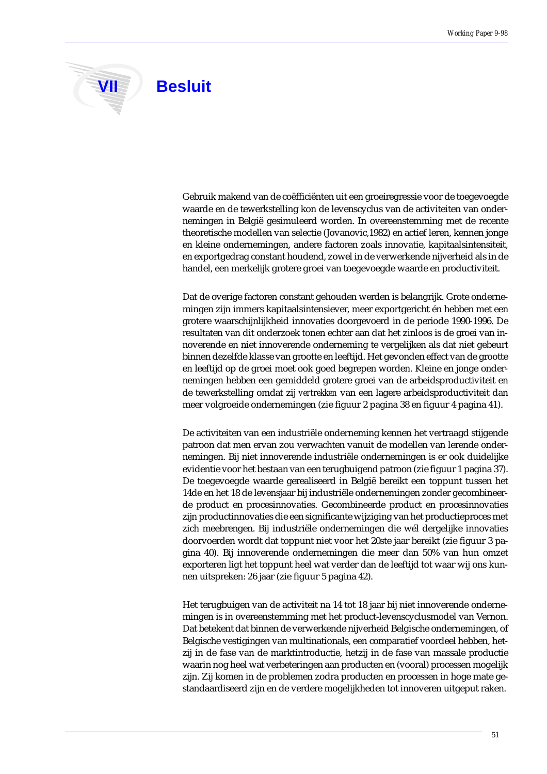**VII** Besluit

Gebruik makend van de coëfficiënten uit een groeiregressie voor de toegevoegde waarde en de tewerkstelling kon de levenscyclus van de activiteiten van ondernemingen in België gesimuleerd worden. In overeenstemming met de recente theoretische modellen van selectie (Jovanovic,1982) en actief leren, kennen jonge en kleine ondernemingen, andere factoren zoals innovatie, kapitaalsintensiteit, en exportgedrag constant houdend, zowel in de verwerkende nijverheid als in de handel, een merkelijk grotere groei van toegevoegde waarde en productiviteit.

Dat de overige factoren constant gehouden werden is belangrijk. Grote ondernemingen zijn immers kapitaalsintensiever, meer exportgericht én hebben met een grotere waarschijnlijkheid innovaties doorgevoerd in de periode 1990-1996. De resultaten van dit onderzoek tonen echter aan dat het zinloos is de groei van innoverende en niet innoverende onderneming te vergelijken als dat niet gebeurt binnen dezelfde klasse van grootte en leeftijd. Het gevonden effect van de grootte en leeftijd op de groei moet ook goed begrepen worden. Kleine en jonge ondernemingen hebben een gemiddeld grotere groei van de arbeidsproductiviteit en de tewerkstelling omdat zij *vertrekken* van een lagere arbeidsproductiviteit dan meer volgroeide ondernemingen (zie figuur 2 pagina 38 en figuur 4 pagina 41).

De activiteiten van een industriële onderneming kennen het vertraagd stijgende patroon dat men ervan zou verwachten vanuit de modellen van lerende ondernemingen. Bij niet innoverende industriële ondernemingen is er ook duidelijke evidentie voor het bestaan van een terugbuigend patroon (zie figuur 1 pagina 37). De toegevoegde waarde gerealiseerd in België bereikt een toppunt tussen het 14de en het 18 de levensjaar bij industriële ondernemingen zonder gecombineerde product en procesinnovaties. Gecombineerde product en procesinnovaties zijn productinnovaties die een significante wijziging van het productieproces met zich meebrengen. Bij industriële ondernemingen die wél dergelijke innovaties doorvoerden wordt dat toppunt niet voor het 20ste jaar bereikt (zie figuur 3 pagina 40). Bij innoverende ondernemingen die meer dan 50% van hun omzet exporteren ligt het toppunt heel wat verder dan de leeftijd tot waar wij ons kunnen uitspreken: 26 jaar (zie figuur 5 pagina 42).

Het terugbuigen van de activiteit na 14 tot 18 jaar bij niet innoverende ondernemingen is in overeenstemming met het product-levenscyclusmodel van Vernon. Dat betekent dat binnen de verwerkende nijverheid Belgische ondernemingen, of Belgische vestigingen van multinationals, een comparatief voordeel hebben, hetzij in de fase van de marktintroductie, hetzij in de fase van massale productie waarin nog heel wat verbeteringen aan producten en (vooral) processen mogelijk zijn. Zij komen in de problemen zodra producten en processen in hoge mate gestandaardiseerd zijn en de verdere mogelijkheden tot innoveren uitgeput raken.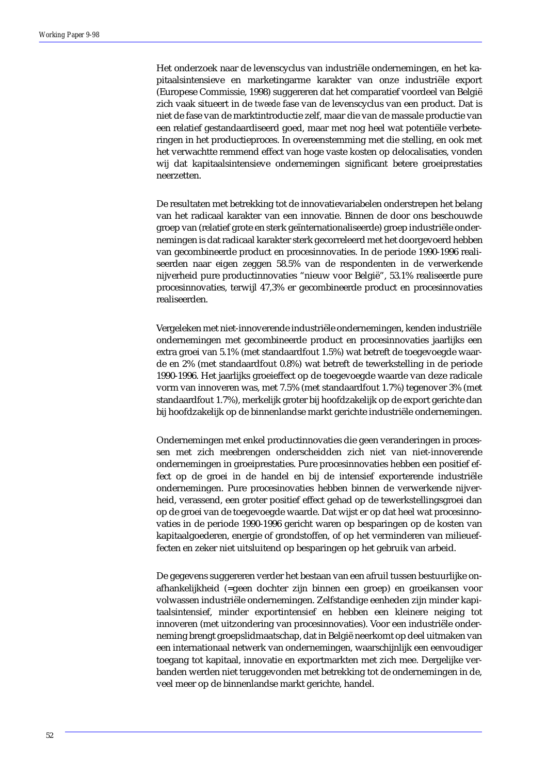Het onderzoek naar de levenscyclus van industriële ondernemingen, en het kapitaalsintensieve en marketingarme karakter van onze industriële export (Europese Commissie, 1998) suggereren dat het comparatief voordeel van België zich vaak situeert in de *tweede* fase van de levenscyclus van een product. Dat is niet de fase van de marktintroductie zelf, maar die van de massale productie van een relatief gestandaardiseerd goed, maar met nog heel wat potentiële verbeteringen in het productieproces. In overeenstemming met die stelling, en ook met het verwachtte remmend effect van hoge vaste kosten op delocalisaties, vonden wij dat kapitaalsintensieve ondernemingen significant betere groeiprestaties neerzetten.

De resultaten met betrekking tot de innovatievariabelen onderstrepen het belang van het radicaal karakter van een innovatie. Binnen de door ons beschouwde groep van (relatief grote en sterk geïnternationaliseerde) groep industriële ondernemingen is dat radicaal karakter sterk gecorreleerd met het doorgevoerd hebben van gecombineerde product en procesinnovaties. In de periode 1990-1996 realiseerden naar eigen zeggen 58.5% van de respondenten in de verwerkende nijverheid pure productinnovaties "nieuw voor België", 53.1% realiseerde pure procesinnovaties, terwijl 47,3% er gecombineerde product en procesinnovaties realiseerden.

Vergeleken met niet-innoverende industriële ondernemingen, kenden industriële ondernemingen met gecombineerde product en procesinnovaties jaarlijks een extra groei van 5.1% (met standaardfout 1.5%) wat betreft de toegevoegde waarde en 2% (met standaardfout 0.8%) wat betreft de tewerkstelling in de periode 1990-1996. Het jaarlijks groeieffect op de toegevoegde waarde van deze radicale vorm van innoveren was, met 7.5% (met standaardfout 1.7%) tegenover 3% (met standaardfout 1.7%), merkelijk groter bij hoofdzakelijk op de export gerichte dan bij hoofdzakelijk op de binnenlandse markt gerichte industriële ondernemingen.

Ondernemingen met enkel productinnovaties die geen veranderingen in processen met zich meebrengen onderscheidden zich niet van niet-innoverende ondernemingen in groeiprestaties. Pure procesinnovaties hebben een positief effect op de groei in de handel en bij de intensief exporterende industriële ondernemingen. Pure procesinovaties hebben binnen de verwerkende nijverheid, verassend, een groter positief effect gehad op de tewerkstellingsgroei dan op de groei van de toegevoegde waarde. Dat wijst er op dat heel wat procesinnovaties in de periode 1990-1996 gericht waren op besparingen op de kosten van kapitaalgoederen, energie of grondstoffen, of op het verminderen van milieueffecten en zeker niet uitsluitend op besparingen op het gebruik van arbeid.

De gegevens suggereren verder het bestaan van een afruil tussen bestuurlijke onafhankelijkheid (=geen dochter zijn binnen een groep) en groeikansen voor volwassen industriële ondernemingen. Zelfstandige eenheden zijn minder kapitaalsintensief, minder exportintensief en hebben een kleinere neiging tot innoveren (met uitzondering van procesinnovaties). Voor een industriële onderneming brengt groepslidmaatschap, dat in België neerkomt op deel uitmaken van een internationaal netwerk van ondernemingen, waarschijnlijk een eenvoudiger toegang tot kapitaal, innovatie en exportmarkten met zich mee. Dergelijke verbanden werden niet teruggevonden met betrekking tot de ondernemingen in de, veel meer op de binnenlandse markt gerichte, handel.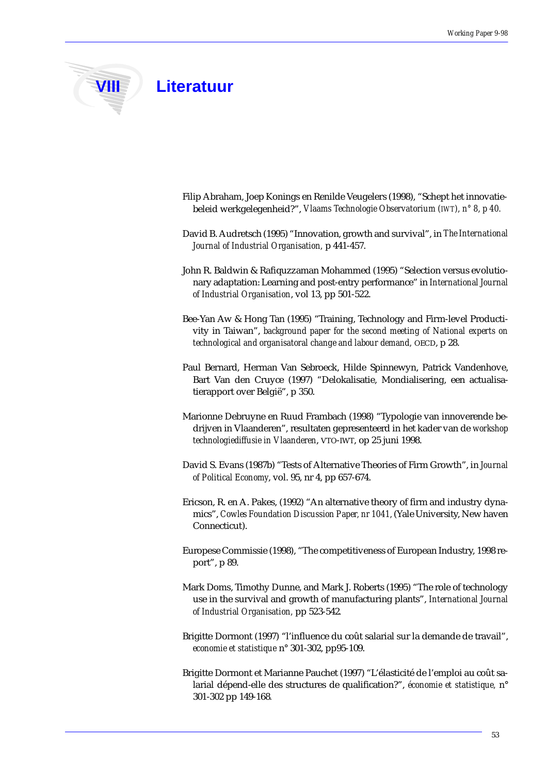

- Filip Abraham, Joep Konings en Renilde Veugelers (1998), "Schept het innovatiebeleid werkgelegenheid?", *Vlaams Technologie Observatorium (IWT), n° 8, p 40.*
- David B. Audretsch (1995) "Innovation, growth and survival", in *The International Journal of Industrial Organisation,* p 441-457.
- John R. Baldwin & Rafiquzzaman Mohammed (1995) "Selection versus evolutionary adaptation: Learning and post-entry performance" in *International Journal of Industrial Organisation*, vol 13, pp 501-522.
- Bee-Yan Aw & Hong Tan (1995) "Training, Technology and Firm-level Productivity in Taiwan", *background paper for the second meeting of National experts on technological and organisatoral change and labour demand,* OECD, p 28.
- Paul Bernard, Herman Van Sebroeck, Hilde Spinnewyn, Patrick Vandenhove, Bart Van den Cruyce (1997) "Delokalisatie, Mondialisering, een actualisatierapport over België", p 350.
- Marionne Debruyne en Ruud Frambach (1998) "Typologie van innoverende bedrijven in Vlaanderen", resultaten gepresenteerd in het kader van de *workshop technologiediffusie in Vlaanderen*, VTO-IWT, op 25 juni 1998.
- David S. Evans (1987b) "Tests of Alternative Theories of Firm Growth", in *Journal of Political Economy*, vol. 95, nr 4, pp 657-674.
- Ericson, R. en A. Pakes, (1992) "An alternative theory of firm and industry dynamics", *Cowles Foundation Discussion Paper, nr 1041,* (Yale University, New haven Connecticut).
- Europese Commissie (1998), "The competitiveness of European Industry, 1998 report", p 89.
- Mark Doms, Timothy Dunne, and Mark J. Roberts (1995) "The role of technology use in the survival and growth of manufacturing plants", *International Journal of Industrial Organisation,* pp 523-542*.*
- Brigitte Dormont (1997) "l'influence du coût salarial sur la demande de travail", *economie et statistique* n° 301-302, pp95-109.
- Brigitte Dormont et Marianne Pauchet (1997) "L'élasticité de l'emploi au coût salarial dépend-elle des structures de qualification?", *économie et statistique,* n° 301-302 pp 149-168*.*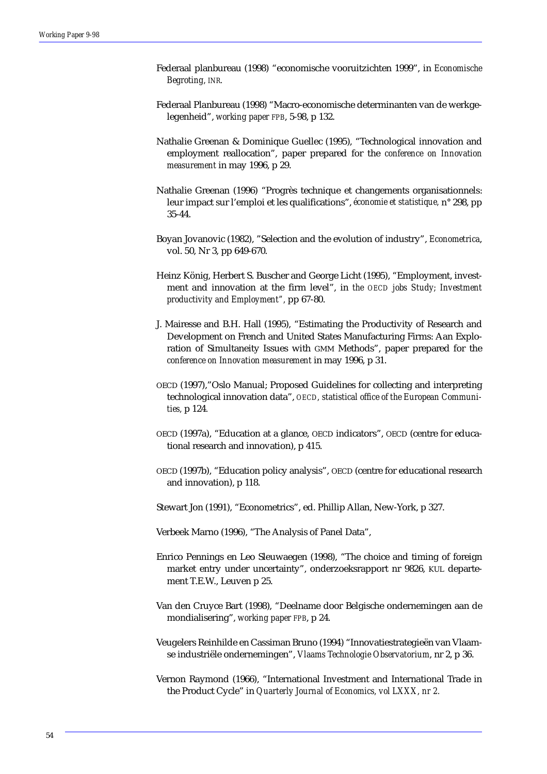- Federaal planbureau (1998) "economische vooruitzichten 1999", in *Economische Begroting, INR.*
- Federaal Planbureau (1998) "Macro-economische determinanten van de werkgelegenheid", *working paper FPB*, 5-98, p 132.
- Nathalie Greenan & Dominique Guellec (1995), "Technological innovation and employment reallocation", paper prepared for the *conference on Innovation measurement* in may 1996, p 29.
- Nathalie Greenan (1996) "Progrès technique et changements organisationnels: leur impact sur l'emploi et les qualifications", *économie et statistique,* n° 298, pp 35-44.
- Boyan Jovanovic (1982), "Selection and the evolution of industry", *Econometrica*, vol. 50, Nr 3, pp 649-670.
- Heinz König, Herbert S. Buscher and George Licht (1995), "Employment, investment and innovation at the firm level", in *the OECD jobs Study; Investment productivity and Employment",* pp 67-80.
- J. Mairesse and B.H. Hall (1995), "Estimating the Productivity of Research and Development on French and United States Manufacturing Firms: Aan Exploration of Simultaneity Issues with GMM Methods", paper prepared for the *conference on Innovation measurement* in may 1996, p 31.
- OECD (1997),"Oslo Manual; Proposed Guidelines for collecting and interpreting technological innovation data", *OECD, statistical office of the European Communities,* p 124*.*
- OECD (1997a), "Education at a glance, OECD indicators", OECD (centre for educational research and innovation), p 415.
- OECD (1997b), "Education policy analysis", OECD (centre for educational research and innovation), p 118.
- Stewart Jon (1991), "Econometrics", ed. Phillip Allan, New-York, p 327.
- Verbeek Marno (1996), "The Analysis of Panel Data",
- Enrico Pennings en Leo Sleuwaegen (1998), "The choice and timing of foreign market entry under uncertainty", onderzoeksrapport nr 9826, KUL departement T.E.W., Leuven p 25.
- Van den Cruyce Bart (1998), "Deelname door Belgische ondernemingen aan de mondialisering", *working paper FPB*, p 24.
- Veugelers Reinhilde en Cassiman Bruno (1994) "Innovatiestrategieën van Vlaamse industriële ondernemingen", *Vlaams Technologie Observatorium*, nr 2, p 36.
- Vernon Raymond (1966), "International Investment and International Trade in the Product Cycle" in *Quarterly Journal of Economics, vol LXXX, nr 2.*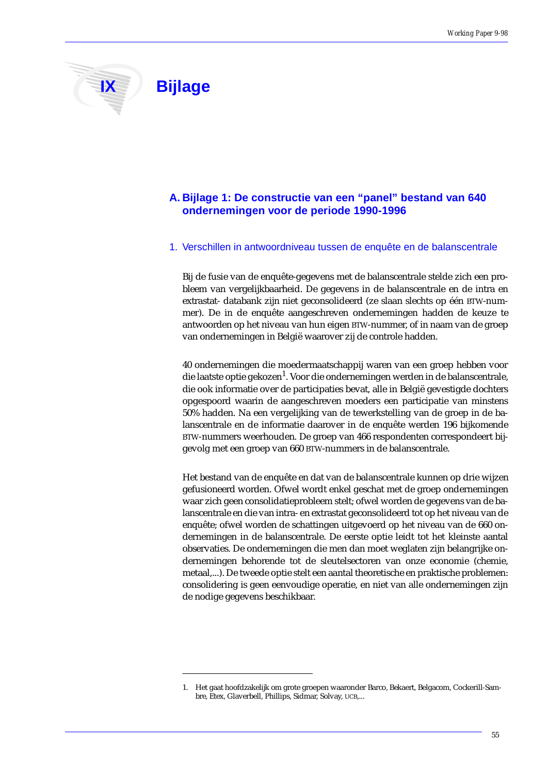# **IX Bijlage**

# **A. Bijlage 1: De constructie van een "panel" bestand van 640 ondernemingen voor de periode 1990-1996**

### 1. Verschillen in antwoordniveau tussen de enquête en de balanscentrale

Bij de fusie van de enquête-gegevens met de balanscentrale stelde zich een probleem van vergelijkbaarheid. De gegevens in de balanscentrale en de intra en extrastat- databank zijn niet geconsolideerd (ze slaan slechts op één BTW-nummer). De in de enquête aangeschreven ondernemingen hadden de keuze te antwoorden op het niveau van hun eigen BTW-nummer, of in naam van de groep van ondernemingen in België waarover zij de controle hadden.

40 ondernemingen die moedermaatschappij waren van een groep hebben voor die laatste optie gekozen<sup>1</sup>. Voor die ondernemingen werden in de balanscentrale, die ook informatie over de participaties bevat, alle in België gevestigde dochters opgespoord waarin de aangeschreven moeders een participatie van minstens 50% hadden. Na een vergelijking van de tewerkstelling van de groep in de balanscentrale en de informatie daarover in de enquête werden 196 bijkomende BTW-nummers weerhouden. De groep van 466 respondenten correspondeert bijgevolg met een groep van 660 BTW-nummers in de balanscentrale.

Het bestand van de enquête en dat van de balanscentrale kunnen op drie wijzen gefusioneerd worden. Ofwel wordt enkel geschat met de groep ondernemingen waar zich geen consolidatieprobleem stelt; ofwel worden de gegevens van de balanscentrale en die van intra- en extrastat geconsolideerd tot op het niveau van de enquête; ofwel worden de schattingen uitgevoerd op het niveau van de 660 ondernemingen in de balanscentrale. De eerste optie leidt tot het kleinste aantal observaties. De ondernemingen die men dan moet weglaten zijn belangrijke ondernemingen behorende tot de sleutelsectoren van onze economie (chemie, metaal,...). De tweede optie stelt een aantal theoretische en praktische problemen: consolidering is geen eenvoudige operatie, en niet van alle ondernemingen zijn de nodige gegevens beschikbaar.

<sup>1.</sup> Het gaat hoofdzakelijk om grote groepen waaronder Barco, Bekaert, Belgacom, Cockerill-Sambre, Etex, Glaverbell, Phillips, Sidmar, Solvay, UCB,...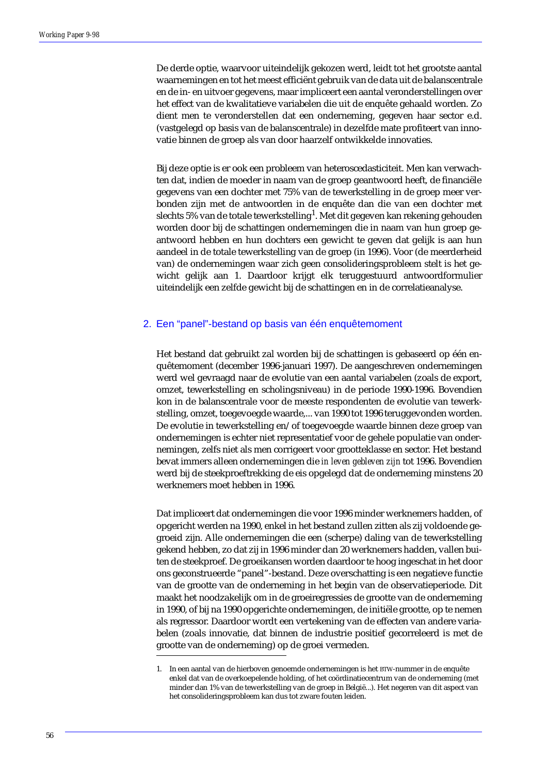De derde optie, waarvoor uiteindelijk gekozen werd, leidt tot het grootste aantal waarnemingen en tot het meest efficiënt gebruik van de data uit de balanscentrale en de in- en uitvoer gegevens, maar impliceert een aantal veronderstellingen over het effect van de kwalitatieve variabelen die uit de enquête gehaald worden. Zo dient men te veronderstellen dat een onderneming, gegeven haar sector e.d. (vastgelegd op basis van de balanscentrale) in dezelfde mate profiteert van innovatie binnen de groep als van door haarzelf ontwikkelde innovaties.

Bij deze optie is er ook een probleem van heteroscedasticiteit. Men kan verwachten dat, indien de moeder in naam van de groep geantwoord heeft, de financiële gegevens van een dochter met 75% van de tewerkstelling in de groep meer verbonden zijn met de antwoorden in de enquête dan die van een dochter met slechts 5% van de totale tewerkstelling $^{\rm 1}$ . Met dit gegeven kan rekening gehouden worden door bij de schattingen ondernemingen die in naam van hun groep geantwoord hebben en hun dochters een gewicht te geven dat gelijk is aan hun aandeel in de totale tewerkstelling van de groep (in 1996). Voor (de meerderheid van) de ondernemingen waar zich geen consolideringsprobleem stelt is het gewicht gelijk aan 1. Daardoor krijgt elk teruggestuurd antwoordformulier uiteindelijk een zelfde gewicht bij de schattingen en in de correlatieanalyse.

### 2. Een "panel"-bestand op basis van één enquêtemoment

Het bestand dat gebruikt zal worden bij de schattingen is gebaseerd op één enquêtemoment (december 1996-januari 1997). De aangeschreven ondernemingen werd wel gevraagd naar de evolutie van een aantal variabelen (zoals de export, omzet, tewerkstelling en scholingsniveau) in de periode 1990-1996. Bovendien kon in de balanscentrale voor de meeste respondenten de evolutie van tewerkstelling, omzet, toegevoegde waarde,... van 1990 tot 1996 teruggevonden worden. De evolutie in tewerkstelling en/of toegevoegde waarde binnen deze groep van ondernemingen is echter niet representatief voor de gehele populatie van ondernemingen, zelfs niet als men corrigeert voor grootteklasse en sector. Het bestand bevat immers alleen ondernemingen die *in leven gebleven zijn* tot 1996. Bovendien werd bij de steekproeftrekking de eis opgelegd dat de onderneming minstens 20 werknemers moet hebben in 1996.

Dat impliceert dat ondernemingen die voor 1996 minder werknemers hadden, of opgericht werden na 1990, enkel in het bestand zullen zitten als zij voldoende gegroeid zijn. Alle ondernemingen die een (scherpe) daling van de tewerkstelling gekend hebben, zo dat zij in 1996 minder dan 20 werknemers hadden, vallen buiten de steekproef. De groeikansen worden daardoor te hoog ingeschat in het door ons geconstrueerde "panel"-bestand. Deze overschatting is een negatieve functie van de grootte van de onderneming in het begin van de observatieperiode. Dit maakt het noodzakelijk om in de groeiregressies de grootte van de onderneming in 1990, of bij na 1990 opgerichte ondernemingen, de initiële grootte, op te nemen als regressor. Daardoor wordt een vertekening van de effecten van andere variabelen (zoals innovatie, dat binnen de industrie positief gecorreleerd is met de grootte van de onderneming) op de groei vermeden.

<sup>1.</sup> In een aantal van de hierboven genoemde ondernemingen is het BTW-nummer in de enquête enkel dat van de overkoepelende holding, of het coördinatiecentrum van de onderneming (met minder dan 1% van de tewerkstelling van de groep in België...). Het negeren van dit aspect van het consolideringsprobleem kan dus tot zware fouten leiden.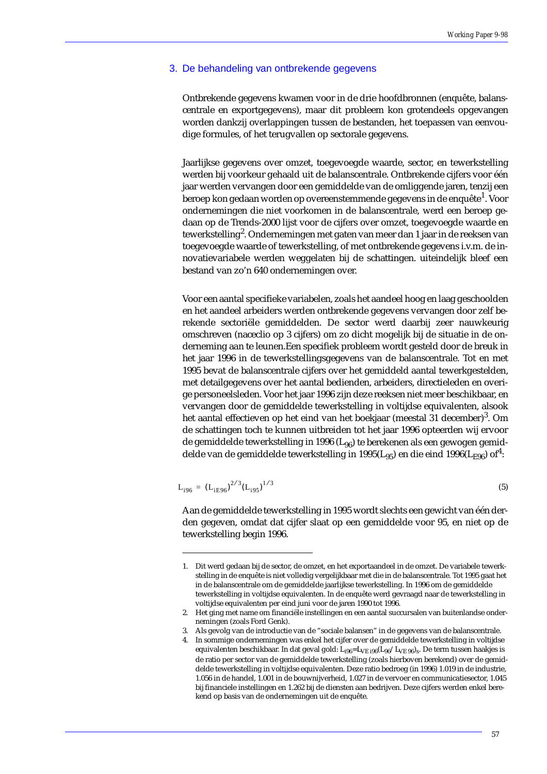### 3. De behandeling van ontbrekende gegevens

Ontbrekende gegevens kwamen voor in de drie hoofdbronnen (enquête, balanscentrale en exportgegevens), maar dit probleem kon grotendeels opgevangen worden dankzij overlappingen tussen de bestanden, het toepassen van eenvoudige formules, of het terugvallen op sectorale gegevens.

Jaarlijkse gegevens over omzet, toegevoegde waarde, sector, en tewerkstelling werden bij voorkeur gehaald uit de balanscentrale. Ontbrekende cijfers voor één jaar werden vervangen door een gemiddelde van de omliggende jaren, tenzij een beroep kon gedaan worden op overeenstemmende gegevens in de enquête<sup>1</sup>. Voor ondernemingen die niet voorkomen in de balanscentrale, werd een beroep gedaan op de Trends-2000 lijst voor de cijfers over omzet, toegevoegde waarde en tewerkstelling<sup>2</sup>. Ondernemingen met gaten van meer dan 1 jaar in de reeksen van toegevoegde waarde of tewerkstelling, of met ontbrekende gegevens i.v.m. de innovatievariabele werden weggelaten bij de schattingen. uiteindelijk bleef een bestand van zo'n 640 ondernemingen over.

Voor een aantal specifieke variabelen, zoals het aandeel hoog en laag geschoolden en het aandeel arbeiders werden ontbrekende gegevens vervangen door zelf berekende sectoriële gemiddelden. De sector werd daarbij zeer nauwkeurig omschreven (naceclio op 3 cijfers) om zo dicht mogelijk bij de situatie in de onderneming aan te leunen.Een specifiek probleem wordt gesteld door de breuk in het jaar 1996 in de tewerkstellingsgegevens van de balanscentrale. Tot en met 1995 bevat de balanscentrale cijfers over het gemiddeld aantal tewerkgestelden, met detailgegevens over het aantal bedienden, arbeiders, directieleden en overige personeelsleden. Voor het jaar 1996 zijn deze reeksen niet meer beschikbaar, en vervangen door de gemiddelde tewerkstelling in voltijdse equivalenten, alsook het aantal effectieven op het eind van het boekjaar (meestal 31 december)<sup>3</sup>. Om de schattingen toch te kunnen uitbreiden tot het jaar 1996 opteerden wij ervoor de gemiddelde tewerkstelling in 1996 ( $L_{96}$ ) te berekenen als een gewogen gemiddelde van de gemiddelde tewerkstelling in 1995(L<sub>95</sub>) en die eind 1996(L<sub>E96</sub>) of<sup>4</sup>:

$$
L_{i96} = (L_{iE96})^{2/3} (L_{i95})^{1/3}
$$
 (5)

Aan de gemiddelde tewerkstelling in 1995 wordt slechts een gewicht van één derden gegeven, omdat dat cijfer slaat op een gemiddelde voor 95, en niet op de tewerkstelling begin 1996.

3. Als gevolg van de introductie van de "sociale balansen" in de gegevens van de balanscentrale.

<sup>1.</sup> Dit werd gedaan bij de sector, de omzet, en het exportaandeel in de omzet. De variabele tewerkstelling in de enquête is niet volledig vergelijkbaar met die in de balanscentrale. Tot 1995 gaat het in de balanscentrale om de gemiddelde jaarlijkse tewerkstelling. In 1996 om de gemiddelde tewerkstelling in voltijdse equivalenten. In de enquête werd gevraagd naar de tewerkstelling in voltijdse equivalenten per eind juni voor de jaren 1990 tot 1996.

<sup>2.</sup> Het ging met name om financiële instellingen en een aantal succursalen van buitenlandse ondernemingen (zoals Ford Genk).

<sup>4.</sup> In sommige ondernemingen was enkel het cijfer over de gemiddelde tewerkstelling in voltijdse equivalenten beschikbaar. In dat geval gold: L<sub>i96</sub>=L<sub>VE i96</sub>(L<sub>96</sub>/L<sub>VE 96</sub>)<sub>s</sub>. De term tussen haakjes is de ratio per sector van de gemiddelde tewerkstelling (zoals hierboven berekend) over de gemiddelde tewerkstelling in voltijdse equivalenten. Deze ratio bedroeg (in 1996) 1.019 in de industrie, 1.056 in de handel, 1.001 in de bouwnijverheid, 1.027 in de vervoer en communicatiesector, 1.045 bij financiele instellingen en 1.262 bij de diensten aan bedrijven. Deze cijfers werden enkel berekend op basis van de ondernemingen uit de enquête.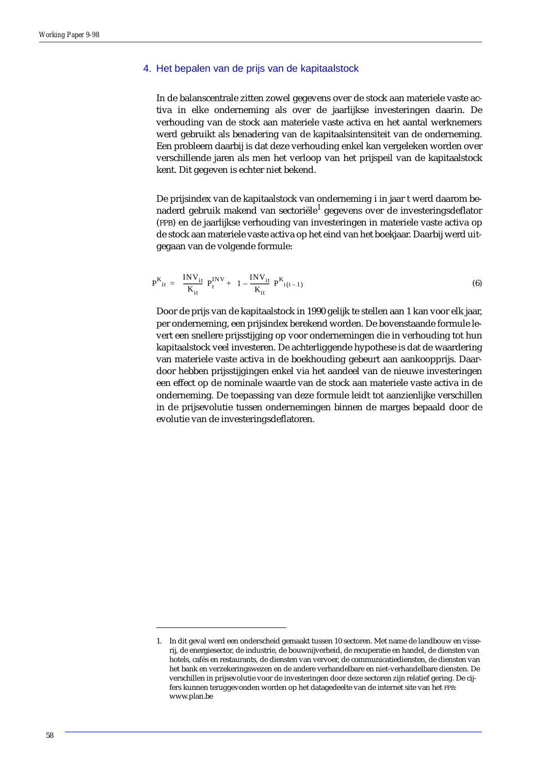### 4. Het bepalen van de prijs van de kapitaalstock

In de balanscentrale zitten zowel gegevens over de stock aan materiele vaste activa in elke onderneming als over de jaarlijkse investeringen daarin. De verhouding van de stock aan materiele vaste activa en het aantal werknemers werd gebruikt als benadering van de kapitaalsintensiteit van de onderneming. Een probleem daarbij is dat deze verhouding enkel kan vergeleken worden over verschillende jaren als men het verloop van het prijspeil van de kapitaalstock kent. Dit gegeven is echter niet bekend.

De prijsindex van de kapitaalstock van onderneming i in jaar t werd daarom benaderd gebruik makend van sectoriële<sup>1</sup> gegevens over de investeringsdeflator (FPB) en de jaarlijkse verhouding van investeringen in materiele vaste activa op de stock aan materiele vaste activa op het eind van het boekjaar. Daarbij werd uitgegaan van de volgende formule:

$$
P^{K}_{it} = \left(\frac{INV_{it}}{K_{it}}\right) P_{t}^{INV} + \left(1 - \frac{INV_{it}}{K_{it}}\right) P^{K}_{i(t-1)}
$$
(6)

Door de prijs van de kapitaalstock in 1990 gelijk te stellen aan 1 kan voor elk jaar, per onderneming, een prijsindex berekend worden. De bovenstaande formule levert een snellere prijsstijging op voor ondernemingen die in verhouding tot hun kapitaalstock veel investeren. De achterliggende hypothese is dat de waardering van materiele vaste activa in de boekhouding gebeurt aan aankoopprijs. Daardoor hebben prijsstijgingen enkel via het aandeel van de nieuwe investeringen een effect op de nominale waarde van de stock aan materiele vaste activa in de onderneming. De toepassing van deze formule leidt tot aanzienlijke verschillen in de prijsevolutie tussen ondernemingen binnen de marges bepaald door de evolutie van de investeringsdeflatoren.

<sup>1.</sup> In dit geval werd een onderscheid gemaakt tussen 10 sectoren. Met name de landbouw en visserij, de energiesector, de industrie, de bouwnijverheid, de recuperatie en handel, de diensten van hotels, cafés en restaurants, de diensten van vervoer, de communicatiediensten, de diensten van het bank en verzekeringswezen en de andere verhandelbare en niet-verhandelbare diensten. De verschillen in prijsevolutie voor de investeringen door deze sectoren zijn relatief gering. De cijfers kunnen teruggevonden worden op het datagedeelte van de internet site van het FPB: www.plan.be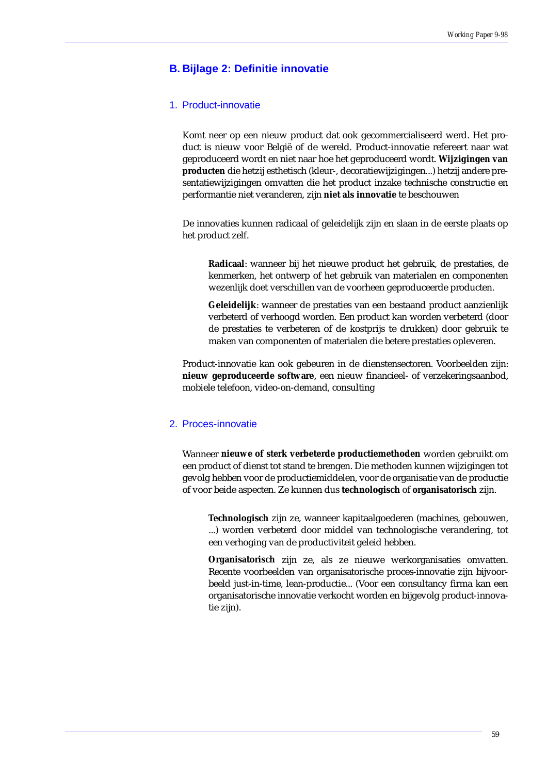# **B. Bijlage 2: Definitie innovatie**

### 1. Product-innovatie

Komt neer op een nieuw product dat ook gecommercialiseerd werd. Het product is nieuw voor België of de wereld. Product-innovatie refereert naar wat geproduceerd wordt en niet naar hoe het geproduceerd wordt. **Wijzigingen van producten** die hetzij esthetisch (kleur-, decoratiewijzigingen...) hetzij andere presentatiewijzigingen omvatten die het product inzake technische constructie en performantie niet veranderen, zijn **niet als innovatie** te beschouwen

De innovaties kunnen radicaal of geleidelijk zijn en slaan in de eerste plaats op het product zelf.

**Radicaal**: wanneer bij het nieuwe product het gebruik, de prestaties, de kenmerken, het ontwerp of het gebruik van materialen en componenten wezenlijk doet verschillen van de voorheen geproduceerde producten.

**Geleidelijk**: wanneer de prestaties van een bestaand product aanzienlijk verbeterd of verhoogd worden. Een product kan worden verbeterd (door de prestaties te verbeteren of de kostprijs te drukken) door gebruik te maken van componenten of materialen die betere prestaties opleveren.

Product-innovatie kan ook gebeuren in de dienstensectoren. Voorbeelden zijn: **nieuw geproduceerde software**, een nieuw financieel- of verzekeringsaanbod, mobiele telefoon, video-on-demand, consulting

### 2. Proces-innovatie

Wanneer **nieuwe of sterk verbeterde productiemethoden** worden gebruikt om een product of dienst tot stand te brengen. Die methoden kunnen wijzigingen tot gevolg hebben voor de productiemiddelen, voor de organisatie van de productie of voor beide aspecten. Ze kunnen dus **technologisch** of **organisatorisch** zijn.

**Technologisch** zijn ze, wanneer kapitaalgoederen (machines, gebouwen, ...) worden verbeterd door middel van technologische verandering, tot een verhoging van de productiviteit geleid hebben.

**Organisatorisch** zijn ze, als ze nieuwe werkorganisaties omvatten. Recente voorbeelden van organisatorische proces-innovatie zijn bijvoorbeeld just-in-time, lean-productie... (Voor een consultancy firma kan een organisatorische innovatie verkocht worden en bijgevolg product-innovatie zijn).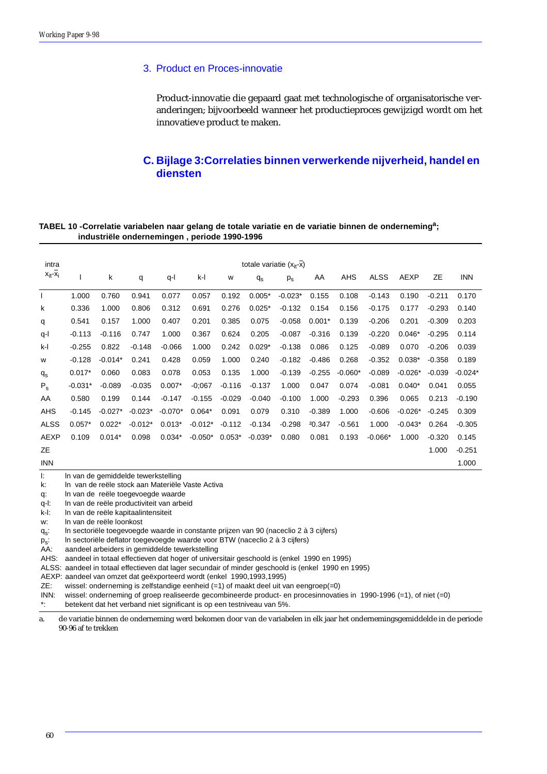## 3. Product en Proces-innovatie

Product-innovatie die gepaard gaat met technologische of organisatorische veranderingen; bijvoorbeeld wanneer het productieproces gewijzigd wordt om het innovatieve product te maken.

# **C. Bijlage 3:Correlaties binnen verwerkende nijverheid, handel en diensten**

### **TABEL 10 -Correlatie variabelen naar gelang de totale variatie en de variatie binnen de onderneminga; industriële ondernemingen , periode 1990-1996**

| intra              | totale variatie $(x_{it} - x)$                                                          |           |           |           |           |          |             |             |          |            |             |           |           |            |
|--------------------|-----------------------------------------------------------------------------------------|-----------|-----------|-----------|-----------|----------|-------------|-------------|----------|------------|-------------|-----------|-----------|------------|
| $x_{it} - x_i$     |                                                                                         | k         | q         | $q-1$     | $k-1$     | W        | $q_{\rm s}$ | $p_{\rm s}$ | AA       | <b>AHS</b> | <b>ALSS</b> | AEXP      | <b>ZE</b> | <b>INN</b> |
|                    | 1.000                                                                                   | 0.760     | 0.941     | 0.077     | 0.057     | 0.192    | $0.005*$    | $-0.023*$   | 0.155    | 0.108      | $-0.143$    | 0.190     | $-0.211$  | 0.170      |
| k                  | 0.336                                                                                   | 1.000     | 0.806     | 0.312     | 0.691     | 0.276    | $0.025*$    | $-0.132$    | 0.154    | 0.156      | $-0.175$    | 0.177     | $-0.293$  | 0.140      |
| q                  | 0.541                                                                                   | 0.157     | 1.000     | 0.407     | 0.201     | 0.385    | 0.075       | $-0.058$    | $0.001*$ | 0.139      | $-0.206$    | 0.201     | $-0.309$  | 0.203      |
| q-l                | $-0.113$                                                                                | $-0.116$  | 0.747     | 1.000     | 0.367     | 0.624    | 0.205       | $-0.087$    | $-0.316$ | 0.139      | $-0.220$    | $0.046*$  | $-0.295$  | 0.114      |
| k-l                | $-0.255$                                                                                | 0.822     | $-0.148$  | $-0.066$  | 1.000     | 0.242    | $0.029*$    | $-0.138$    | 0.086    | 0.125      | $-0.089$    | 0.070     | $-0.206$  | 0.039      |
| W                  | $-0.128$                                                                                | $-0.014*$ | 0.241     | 0.428     | 0.059     | 1.000    | 0.240       | $-0.182$    | $-0.486$ | 0.268      | $-0.352$    | $0.038*$  | $-0.358$  | 0.189      |
| $q_{\rm s}$        | $0.017*$                                                                                | 0.060     | 0.083     | 0.078     | 0.053     | 0.135    | 1.000       | $-0.139$    | $-0.255$ | $-0.060*$  | $-0.089$    | $-0.026*$ | $-0.039$  | $-0.024*$  |
| $P_{s}$            | $-0.031*$                                                                               | $-0.089$  | $-0.035$  | $0.007*$  | $-0;067$  | $-0.116$ | $-0.137$    | 1.000       | 0.047    | 0.074      | $-0.081$    | $0.040*$  | 0.041     | 0.055      |
| AA                 | 0.580                                                                                   | 0.199     | 0.144     | $-0.147$  | $-0.155$  | $-0.029$ | $-0.040$    | $-0.100$    | 1.000    | $-0.293$   | 0.396       | 0.065     | 0.213     | $-0.190$   |
| <b>AHS</b>         | $-0.145$                                                                                | $-0.027*$ | $-0.023*$ | $-0.070*$ | $0.064*$  | 0.091    | 0.079       | 0.310       | $-0.389$ | 1.000      | $-0.606$    | $-0.026*$ | $-0.245$  | 0.309      |
| <b>ALSS</b>        | $0.057*$                                                                                | $0.022*$  | $-0.012*$ | $0.013*$  | $-0.012*$ | $-0.112$ | $-0.134$    | $-0.298$    | 20.347   | $-0.561$   | 1.000       | $-0.043*$ | 0.264     | $-0.305$   |
| <b>AEXP</b>        | 0.109                                                                                   | $0.014*$  | 0.098     | $0.034*$  | $-0.050*$ | $0.053*$ | $-0.039*$   | 0.080       | 0.081    | 0.193      | $-0.066*$   | 1.000     | $-0.320$  | 0.145      |
| <b>ZE</b>          |                                                                                         |           |           |           |           |          |             |             |          |            |             |           | 1.000     | $-0.251$   |
| <b>INN</b>         |                                                                                         |           |           |           |           |          |             |             |          |            |             |           |           | 1.000      |
| $\mathbf{E}$<br>k: | In van de gemiddelde tewerkstelling<br>In van de reële stock aan Materiële Vaste Activa |           |           |           |           |          |             |             |          |            |             |           |           |            |

q: ln van de reële toegevoegde waarde

q-l: ln van de reële productiviteit van arbeid

k-l: ln van de reële kapitaalintensiteit

w: ln van de reële loonkost

q<sub>s</sub>: ln sectoriële toegevoegde waarde in constante prijzen van 90 (naceclio 2 à 3 cijfers)

 $p_s$ : In sectoriële deflator toegevoegde waarde voor BTW (naceclio 2 à 3 cijfers)<br>AA: aandeel arbeiders in gemiddelde tewerkstelling

aandeel arbeiders in gemiddelde tewerkstelling

AHS: aandeel in totaal effectieven dat hoger of universitair geschoold is (enkel 1990 en 1995)

ALSS: aandeel in totaal effectieven dat lager secundair of minder geschoold is (enkel 1990 en 1995)

AEXP: aandeel van omzet dat geëxporteerd wordt (enkel 1990,1993,1995)

ZE: wissel: onderneming is zelfstandige eenheid (=1) of maakt deel uit van eengroep(=0)

INN: wissel: onderneming of groep realiseerde gecombineerde product- en procesinnovaties in 1990-1996 (=1), of niet (=0)

\*: betekent dat het verband niet significant is op een testniveau van 5%.

a. de variatie binnen de onderneming werd bekomen door van de variabelen in elk jaar het ondernemingsgemiddelde in de periode 90-96 af te trekken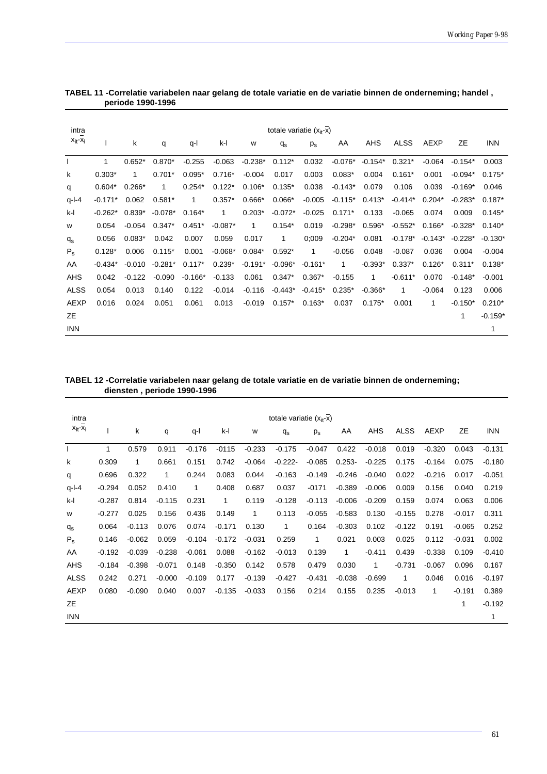| intra          | totale variatie $(xit-x)$ |          |           |           |             |           |             |           |           |           |             |           |           |            |
|----------------|---------------------------|----------|-----------|-----------|-------------|-----------|-------------|-----------|-----------|-----------|-------------|-----------|-----------|------------|
| $x_{it} - x_i$ |                           | k        | q         | q-l       | k-l         | W         | $q_{\rm s}$ | $p_{s}$   | AA        | AHS       | <b>ALSS</b> | AEXP      | ZΕ        | <b>INN</b> |
|                | $\mathbf{1}$              | $0.652*$ | $0.870*$  | $-0.255$  | $-0.063$    | $-0.238*$ | $0.112*$    | 0.032     | $-0.076*$ | $-0.154*$ | $0.321*$    | $-0.064$  | $-0.154*$ | 0.003      |
| k              | $0.303*$                  | 1        | $0.701*$  | $0.095*$  | $0.716*$    | $-0.004$  | 0.017       | 0.003     | $0.083*$  | 0.004     | $0.161*$    | 0.001     | $-0.094*$ | $0.175*$   |
| q              | $0.604*$                  | $0.266*$ | 1         | $0.254*$  | $0.122*$    | $0.106*$  | $0.135*$    | 0.038     | $-0.143*$ | 0.079     | 0.106       | 0.039     | $-0.169*$ | 0.046      |
| $q-1-4$        | $-0.171*$                 | 0.062    | $0.581*$  | 1         | $0.357*$    | $0.666*$  | $0.066*$    | $-0.005$  | $-0.115*$ | $0.413*$  | $-0.414*$   | $0.204*$  | $-0.283*$ | $0.187*$   |
| k-l            | $-0.262*$                 | $0.839*$ | $-0.078*$ | $0.164*$  | $\mathbf 1$ | $0.203*$  | $-0.072*$   | $-0.025$  | $0.171*$  | 0.133     | $-0.065$    | 0.074     | 0.009     | $0.145*$   |
| W              | 0.054                     | $-0.054$ | $0.347*$  | $0.451*$  | $-0.087*$   | 1         | $0.154*$    | 0.019     | $-0.298*$ | $0.596*$  | $-0.552*$   | $0.166*$  | $-0.328*$ | $0.140*$   |
| $q_{\rm s}$    | 0.056                     | $0.083*$ | 0.042     | 0.007     | 0.059       | 0.017     | 1           | 0:009     | $-0.204*$ | 0.081     | $-0.178*$   | $-0.143*$ | $-0.228*$ | $-0.130*$  |
| $P_{\rm s}$    | $0.128*$                  | 0.006    | $0.115*$  | 0.001     | $-0.068*$   | $0.084*$  | $0.592*$    | 1         | $-0.056$  | 0.048     | $-0.087$    | 0.036     | 0.004     | $-0.004$   |
| AA             | $-0.434*$                 | $-0.010$ | $-0.281*$ | $0.117*$  | $0.239*$    | $-0.191*$ | $-0.096*$   | $-0.161*$ | 1         | $-0.393*$ | $0.337*$    | $0.126*$  | $0.311*$  | $0.138*$   |
| <b>AHS</b>     | 0.042                     | $-0.122$ | $-0.090$  | $-0.166*$ | $-0.133$    | 0.061     | $0.347*$    | $0.367*$  | $-0.155$  | 1         | $-0.611*$   | 0.070     | $-0.148*$ | $-0.001$   |
| <b>ALSS</b>    | 0.054                     | 0.013    | 0.140     | 0.122     | $-0.014$    | $-0.116$  | $-0.443*$   | $-0.415*$ | $0.235*$  | $-0.366*$ | 1           | $-0.064$  | 0.123     | 0.006      |
| <b>AEXP</b>    | 0.016                     | 0.024    | 0.051     | 0.061     | 0.013       | $-0.019$  | $0.157*$    | $0.163*$  | 0.037     | $0.175*$  | 0.001       | 1         | $-0.150*$ | $0.210*$   |
| ZΕ             |                           |          |           |           |             |           |             |           |           |           |             |           | 1         | $-0.159*$  |
| <b>INN</b>     |                           |          |           |           |             |           |             |           |           |           |             |           |           | 1          |

| TABEL 11 -Correlatie variabelen naar gelang de totale variatie en de variatie binnen de onderneming; handel, |  |  |
|--------------------------------------------------------------------------------------------------------------|--|--|
| periode 1990-1996                                                                                            |  |  |

|                             | TABEL 12 - Correlatie variabelen naar gelang de totale variatie en de variatie binnen de onderneming; |
|-----------------------------|-------------------------------------------------------------------------------------------------------|
| diensten, periode 1990-1996 |                                                                                                       |

| intra          |          |          |          |          |          |          | totale variatie $(xit-x)$ |          |           |          |             |             |           |            |
|----------------|----------|----------|----------|----------|----------|----------|---------------------------|----------|-----------|----------|-------------|-------------|-----------|------------|
| $X_{it} - X_i$ |          | k        | q        | q-l      | k-l      | W        | $q_{\rm s}$               | $p_s$    | AA        | AHS      | <b>ALSS</b> | <b>AEXP</b> | <b>ZE</b> | <b>INN</b> |
| $\mathbf{I}$   | 1        | 0.579    | 0.911    | $-0.176$ | $-0115$  | $-0.233$ | $-0.175$                  | $-0.047$ | 0.422     | $-0.018$ | 0.019       | $-0.320$    | 0.043     | $-0.131$   |
| k              | 0.309    | 1        | 0.661    | 0.151    | 0.742    | $-0.064$ | $-0.222-$                 | $-0.085$ | $0.253 -$ | $-0.225$ | 0.175       | $-0.164$    | 0.075     | $-0.180$   |
| q              | 0.696    | 0.322    | 1        | 0.244    | 0.083    | 0.044    | $-0.163$                  | $-0.149$ | $-0.246$  | $-0.040$ | 0.022       | $-0.216$    | 0.017     | $-0.051$   |
| $q-l-4$        | $-0.294$ | 0.052    | 0.410    | 1        | 0.408    | 0.687    | 0.037                     | $-0171$  | $-0.389$  | $-0.006$ | 0.009       | 0.156       | 0.040     | 0.219      |
| k-l            | $-0.287$ | 0.814    | $-0.115$ | 0.231    | 1        | 0.119    | $-0.128$                  | $-0.113$ | $-0.006$  | $-0.209$ | 0.159       | 0.074       | 0.063     | 0.006      |
| W              | $-0.277$ | 0.025    | 0.156    | 0.436    | 0.149    | 1        | 0.113                     | $-0.055$ | $-0.583$  | 0.130    | $-0.155$    | 0.278       | $-0.017$  | 0.311      |
| $q_{\rm s}$    | 0.064    | $-0.113$ | 0.076    | 0.074    | $-0.171$ | 0.130    | $\mathbf{1}$              | 0.164    | $-0.303$  | 0.102    | $-0.122$    | 0.191       | $-0.065$  | 0.252      |
| $P_{s}$        | 0.146    | $-0.062$ | 0.059    | $-0.104$ | $-0.172$ | $-0.031$ | 0.259                     | 1        | 0.021     | 0.003    | 0.025       | 0.112       | $-0.031$  | 0.002      |
| AA             | $-0.192$ | $-0.039$ | $-0.238$ | $-0.061$ | 0.088    | $-0.162$ | $-0.013$                  | 0.139    | 1         | $-0.411$ | 0.439       | $-0.338$    | 0.109     | $-0.410$   |
| AHS            | $-0.184$ | $-0.398$ | $-0.071$ | 0.148    | $-0.350$ | 0.142    | 0.578                     | 0.479    | 0.030     | 1        | $-0.731$    | $-0.067$    | 0.096     | 0.167      |
| <b>ALSS</b>    | 0.242    | 0.271    | $-0.000$ | $-0.109$ | 0.177    | $-0.139$ | $-0.427$                  | $-0.431$ | $-0.038$  | $-0.699$ | 1           | 0.046       | 0.016     | $-0.197$   |
| AEXP           | 0.080    | $-0.090$ | 0.040    | 0.007    | $-0.135$ | $-0.033$ | 0.156                     | 0.214    | 0.155     | 0.235    | $-0.013$    | 1           | $-0.191$  | 0.389      |
| ZE             |          |          |          |          |          |          |                           |          |           |          |             |             | 1         | $-0.192$   |
| <b>INN</b>     |          |          |          |          |          |          |                           |          |           |          |             |             |           | 1          |